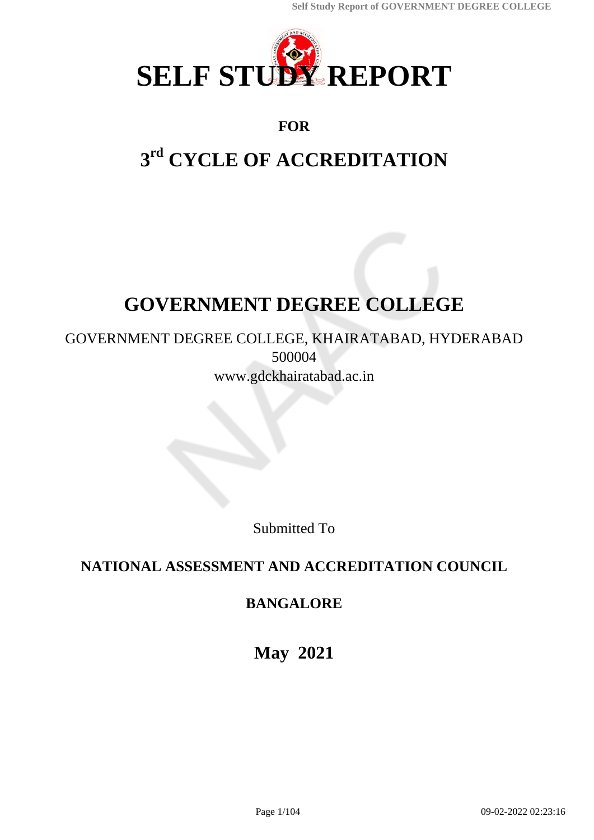

## **FOR**

# **3 rd CYCLE OF ACCREDITATION**

# **GOVERNMENT DEGREE COLLEGE**

## GOVERNMENT DEGREE COLLEGE, KHAIRATABAD, HYDERABAD 500004 www.gdckhairatabad.ac.in

Submitted To

## **NATIONAL ASSESSMENT AND ACCREDITATION COUNCIL**

## **BANGALORE**

**May 2021**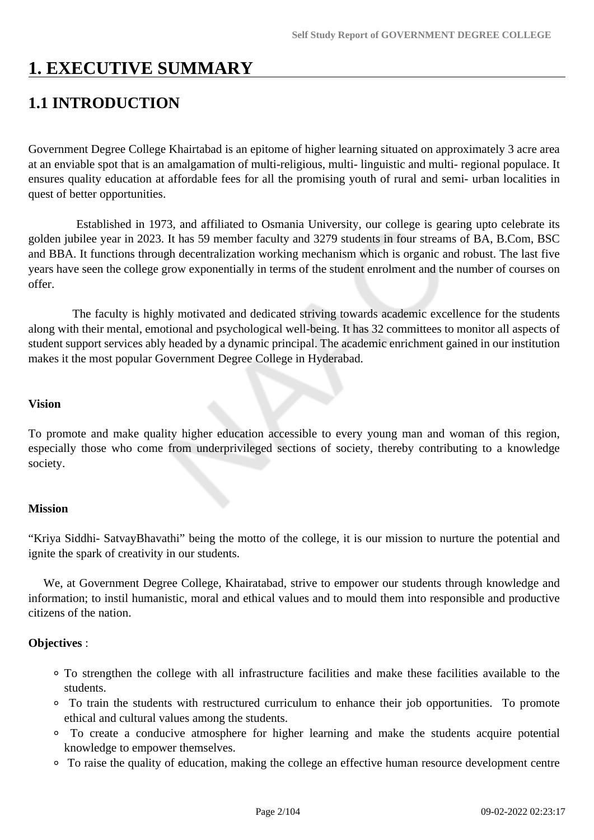# **1. EXECUTIVE SUMMARY**

## **1.1 INTRODUCTION**

Government Degree College Khairtabad is an epitome of higher learning situated on approximately 3 acre area at an enviable spot that is an amalgamation of multi-religious, multi- linguistic and multi- regional populace. It ensures quality education at affordable fees for all the promising youth of rural and semi- urban localities in quest of better opportunities.

 Established in 1973, and affiliated to Osmania University, our college is gearing upto celebrate its golden jubilee year in 2023. It has 59 member faculty and 3279 students in four streams of BA, B.Com, BSC and BBA. It functions through decentralization working mechanism which is organic and robust. The last five years have seen the college grow exponentially in terms of the student enrolment and the number of courses on offer.

 The faculty is highly motivated and dedicated striving towards academic excellence for the students along with their mental, emotional and psychological well-being. It has 32 committees to monitor all aspects of student support services ably headed by a dynamic principal. The academic enrichment gained in our institution makes it the most popular Government Degree College in Hyderabad.

#### **Vision**

To promote and make quality higher education accessible to every young man and woman of this region, especially those who come from underprivileged sections of society, thereby contributing to a knowledge society.

#### **Mission**

"Kriya Siddhi- SatvayBhavathi" being the motto of the college, it is our mission to nurture the potential and ignite the spark of creativity in our students.

 We, at Government Degree College, Khairatabad, strive to empower our students through knowledge and information; to instil humanistic, moral and ethical values and to mould them into responsible and productive citizens of the nation.

#### **Objectives** :

- To strengthen the college with all infrastructure facilities and make these facilities available to the students.
- <sup>o</sup> To train the students with restructured curriculum to enhance their job opportunities. To promote ethical and cultural values among the students.
- To create a conducive atmosphere for higher learning and make the students acquire potential knowledge to empower themselves.
- To raise the quality of education, making the college an effective human resource development centre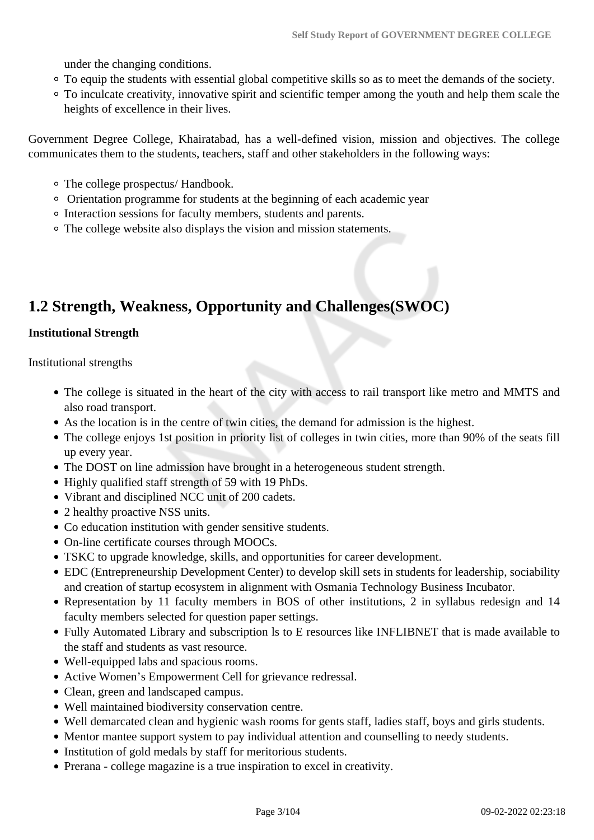under the changing conditions.

- To equip the students with essential global competitive skills so as to meet the demands of the society.
- To inculcate creativity, innovative spirit and scientific temper among the youth and help them scale the heights of excellence in their lives.

Government Degree College, Khairatabad, has a well-defined vision, mission and objectives. The college communicates them to the students, teachers, staff and other stakeholders in the following ways:

- The college prospectus/ Handbook.
- Orientation programme for students at the beginning of each academic year
- Interaction sessions for faculty members, students and parents.
- The college website also displays the vision and mission statements.

## **1.2 Strength, Weakness, Opportunity and Challenges(SWOC)**

#### **Institutional Strength**

Institutional strengths

- The college is situated in the heart of the city with access to rail transport like metro and MMTS and also road transport.
- As the location is in the centre of twin cities, the demand for admission is the highest.
- The college enjoys 1st position in priority list of colleges in twin cities, more than 90% of the seats fill up every year.
- The DOST on line admission have brought in a heterogeneous student strength.
- Highly qualified staff strength of 59 with 19 PhDs.
- Vibrant and disciplined NCC unit of 200 cadets.
- 2 healthy proactive NSS units.
- Co education institution with gender sensitive students.
- On-line certificate courses through MOOCs.
- TSKC to upgrade knowledge, skills, and opportunities for career development.
- EDC (Entrepreneurship Development Center) to develop skill sets in students for leadership, sociability and creation of startup ecosystem in alignment with Osmania Technology Business Incubator.
- Representation by 11 faculty members in BOS of other institutions, 2 in syllabus redesign and 14 faculty members selected for question paper settings.
- Fully Automated Library and subscription ls to E resources like INFLIBNET that is made available to the staff and students as vast resource.
- Well-equipped labs and spacious rooms.
- Active Women's Empowerment Cell for grievance redressal.
- Clean, green and landscaped campus.
- Well maintained biodiversity conservation centre.
- Well demarcated clean and hygienic wash rooms for gents staff, ladies staff, boys and girls students.
- Mentor mantee support system to pay individual attention and counselling to needy students.
- Institution of gold medals by staff for meritorious students.
- Prerana college magazine is a true inspiration to excel in creativity.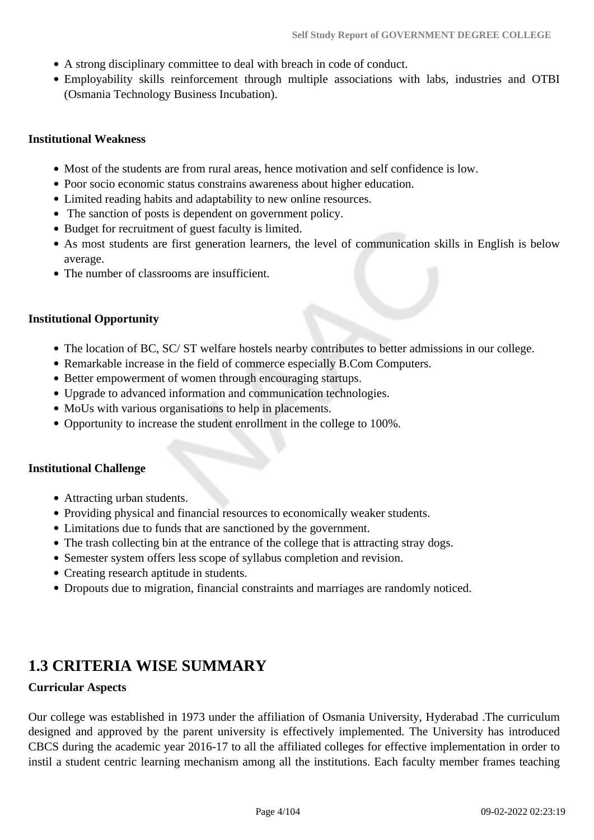- A strong disciplinary committee to deal with breach in code of conduct.
- Employability skills reinforcement through multiple associations with labs, industries and OTBI (Osmania Technology Business Incubation).

#### **Institutional Weakness**

- Most of the students are from rural areas, hence motivation and self confidence is low.
- Poor socio economic status constrains awareness about higher education.
- Limited reading habits and adaptability to new online resources.
- The sanction of posts is dependent on government policy.
- Budget for recruitment of guest faculty is limited.
- As most students are first generation learners, the level of communication skills in English is below average.
- The number of classrooms are insufficient.

#### **Institutional Opportunity**

- The location of BC, SC/ ST welfare hostels nearby contributes to better admissions in our college.
- Remarkable increase in the field of commerce especially B.Com Computers.
- Better empowerment of women through encouraging startups.
- Upgrade to advanced information and communication technologies.
- MoUs with various organisations to help in placements.
- Opportunity to increase the student enrollment in the college to 100%.

#### **Institutional Challenge**

- Attracting urban students.
- Providing physical and financial resources to economically weaker students.
- Limitations due to funds that are sanctioned by the government.
- The trash collecting bin at the entrance of the college that is attracting stray dogs.
- Semester system offers less scope of syllabus completion and revision.
- Creating research aptitude in students.
- Dropouts due to migration, financial constraints and marriages are randomly noticed.

## **1.3 CRITERIA WISE SUMMARY**

#### **Curricular Aspects**

Our college was established in 1973 under the affiliation of Osmania University, Hyderabad .The curriculum designed and approved by the parent university is effectively implemented. The University has introduced CBCS during the academic year 2016-17 to all the affiliated colleges for effective implementation in order to instil a student centric learning mechanism among all the institutions. Each faculty member frames teaching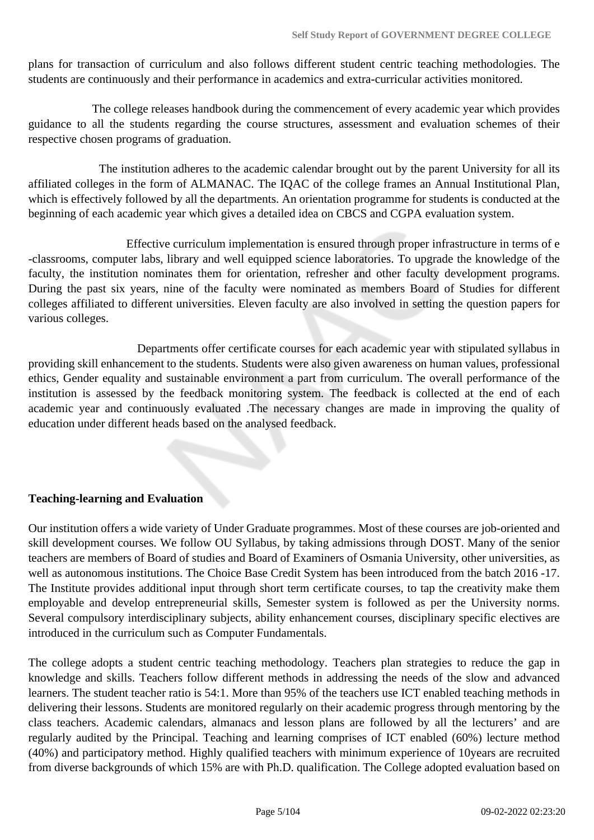plans for transaction of curriculum and also follows different student centric teaching methodologies. The students are continuously and their performance in academics and extra-curricular activities monitored.

 The college releases handbook during the commencement of every academic year which provides guidance to all the students regarding the course structures, assessment and evaluation schemes of their respective chosen programs of graduation.

 The institution adheres to the academic calendar brought out by the parent University for all its affiliated colleges in the form of ALMANAC. The IQAC of the college frames an Annual Institutional Plan, which is effectively followed by all the departments. An orientation programme for students is conducted at the beginning of each academic year which gives a detailed idea on CBCS and CGPA evaluation system.

 Effective curriculum implementation is ensured through proper infrastructure in terms of e -classrooms, computer labs, library and well equipped science laboratories. To upgrade the knowledge of the faculty, the institution nominates them for orientation, refresher and other faculty development programs. During the past six years, nine of the faculty were nominated as members Board of Studies for different colleges affiliated to different universities. Eleven faculty are also involved in setting the question papers for various colleges.

 Departments offer certificate courses for each academic year with stipulated syllabus in providing skill enhancement to the students. Students were also given awareness on human values, professional ethics, Gender equality and sustainable environment a part from curriculum. The overall performance of the institution is assessed by the feedback monitoring system. The feedback is collected at the end of each academic year and continuously evaluated .The necessary changes are made in improving the quality of education under different heads based on the analysed feedback.

#### **Teaching-learning and Evaluation**

Our institution offers a wide variety of Under Graduate programmes. Most of these courses are job-oriented and skill development courses. We follow OU Syllabus, by taking admissions through DOST. Many of the senior teachers are members of Board of studies and Board of Examiners of Osmania University, other universities, as well as autonomous institutions. The Choice Base Credit System has been introduced from the batch 2016 -17. The Institute provides additional input through short term certificate courses, to tap the creativity make them employable and develop entrepreneurial skills, Semester system is followed as per the University norms. Several compulsory interdisciplinary subjects, ability enhancement courses, disciplinary specific electives are introduced in the curriculum such as Computer Fundamentals.

The college adopts a student centric teaching methodology. Teachers plan strategies to reduce the gap in knowledge and skills. Teachers follow different methods in addressing the needs of the slow and advanced learners. The student teacher ratio is 54:1. More than 95% of the teachers use ICT enabled teaching methods in delivering their lessons. Students are monitored regularly on their academic progress through mentoring by the class teachers. Academic calendars, almanacs and lesson plans are followed by all the lecturers' and are regularly audited by the Principal. Teaching and learning comprises of ICT enabled (60%) lecture method (40%) and participatory method. Highly qualified teachers with minimum experience of 10years are recruited from diverse backgrounds of which 15% are with Ph.D. qualification. The College adopted evaluation based on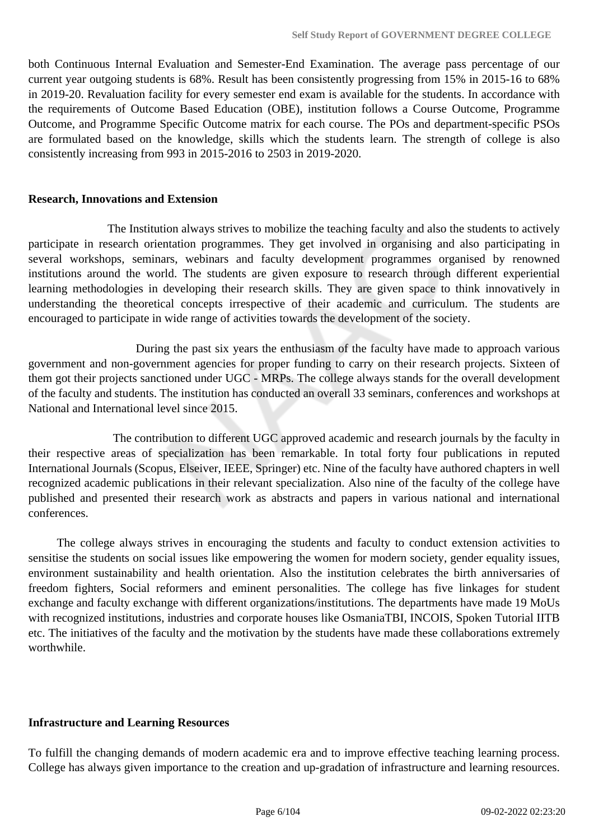both Continuous Internal Evaluation and Semester-End Examination. The average pass percentage of our current year outgoing students is 68%. Result has been consistently progressing from 15% in 2015-16 to 68% in 2019-20. Revaluation facility for every semester end exam is available for the students. In accordance with the requirements of Outcome Based Education (OBE), institution follows a Course Outcome, Programme Outcome, and Programme Specific Outcome matrix for each course. The POs and department-specific PSOs are formulated based on the knowledge, skills which the students learn. The strength of college is also consistently increasing from 993 in 2015-2016 to 2503 in 2019-2020.

#### **Research, Innovations and Extension**

 The Institution always strives to mobilize the teaching faculty and also the students to actively participate in research orientation programmes. They get involved in organising and also participating in several workshops, seminars, webinars and faculty development programmes organised by renowned institutions around the world. The students are given exposure to research through different experiential learning methodologies in developing their research skills. They are given space to think innovatively in understanding the theoretical concepts irrespective of their academic and curriculum. The students are encouraged to participate in wide range of activities towards the development of the society.

 During the past six years the enthusiasm of the faculty have made to approach various government and non-government agencies for proper funding to carry on their research projects. Sixteen of them got their projects sanctioned under UGC - MRPs. The college always stands for the overall development of the faculty and students. The institution has conducted an overall 33 seminars, conferences and workshops at National and International level since 2015.

 The contribution to different UGC approved academic and research journals by the faculty in their respective areas of specialization has been remarkable. In total forty four publications in reputed International Journals (Scopus, Elseiver, IEEE, Springer) etc. Nine of the faculty have authored chapters in well recognized academic publications in their relevant specialization. Also nine of the faculty of the college have published and presented their research work as abstracts and papers in various national and international conferences.

 The college always strives in encouraging the students and faculty to conduct extension activities to sensitise the students on social issues like empowering the women for modern society, gender equality issues, environment sustainability and health orientation. Also the institution celebrates the birth anniversaries of freedom fighters, Social reformers and eminent personalities. The college has five linkages for student exchange and faculty exchange with different organizations/institutions. The departments have made 19 MoUs with recognized institutions, industries and corporate houses like OsmaniaTBI, INCOIS, Spoken Tutorial IITB etc. The initiatives of the faculty and the motivation by the students have made these collaborations extremely worthwhile.

#### **Infrastructure and Learning Resources**

To fulfill the changing demands of modern academic era and to improve effective teaching learning process. College has always given importance to the creation and up-gradation of infrastructure and learning resources.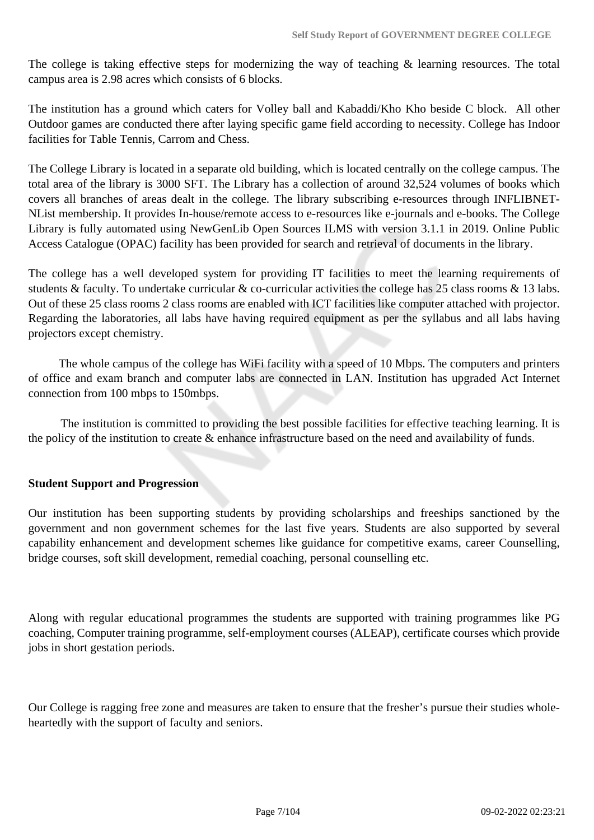The college is taking effective steps for modernizing the way of teaching  $\&$  learning resources. The total campus area is 2.98 acres which consists of 6 blocks.

The institution has a ground which caters for Volley ball and Kabaddi/Kho Kho beside C block. All other Outdoor games are conducted there after laying specific game field according to necessity. College has Indoor facilities for Table Tennis, Carrom and Chess.

The College Library is located in a separate old building, which is located centrally on the college campus. The total area of the library is 3000 SFT. The Library has a collection of around 32,524 volumes of books which covers all branches of areas dealt in the college. The library subscribing e-resources through INFLIBNET-NList membership. It provides In-house/remote access to e-resources like e-journals and e-books. The College Library is fully automated using NewGenLib Open Sources ILMS with version 3.1.1 in 2019. Online Public Access Catalogue (OPAC) facility has been provided for search and retrieval of documents in the library.

The college has a well developed system for providing IT facilities to meet the learning requirements of students & faculty. To undertake curricular & co-curricular activities the college has 25 class rooms & 13 labs. Out of these 25 class rooms 2 class rooms are enabled with ICT facilities like computer attached with projector. Regarding the laboratories, all labs have having required equipment as per the syllabus and all labs having projectors except chemistry.

 The whole campus of the college has WiFi facility with a speed of 10 Mbps. The computers and printers of office and exam branch and computer labs are connected in LAN. Institution has upgraded Act Internet connection from 100 mbps to 150mbps.

 The institution is committed to providing the best possible facilities for effective teaching learning. It is the policy of the institution to create & enhance infrastructure based on the need and availability of funds.

#### **Student Support and Progression**

Our institution has been supporting students by providing scholarships and freeships sanctioned by the government and non government schemes for the last five years. Students are also supported by several capability enhancement and development schemes like guidance for competitive exams, career Counselling, bridge courses, soft skill development, remedial coaching, personal counselling etc.

Along with regular educational programmes the students are supported with training programmes like PG coaching, Computer training programme, self-employment courses (ALEAP), certificate courses which provide jobs in short gestation periods.

Our College is ragging free zone and measures are taken to ensure that the fresher's pursue their studies wholeheartedly with the support of faculty and seniors.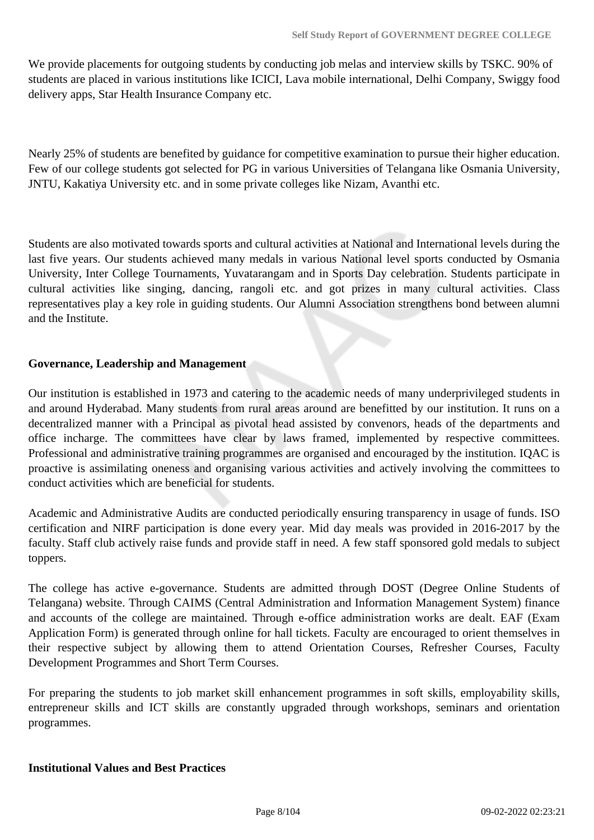We provide placements for outgoing students by conducting job melas and interview skills by TSKC. 90% of students are placed in various institutions like ICICI, Lava mobile international, Delhi Company, Swiggy food delivery apps, Star Health Insurance Company etc.

Nearly 25% of students are benefited by guidance for competitive examination to pursue their higher education. Few of our college students got selected for PG in various Universities of Telangana like Osmania University, JNTU, Kakatiya University etc. and in some private colleges like Nizam, Avanthi etc.

Students are also motivated towards sports and cultural activities at National and International levels during the last five years. Our students achieved many medals in various National level sports conducted by Osmania University, Inter College Tournaments, Yuvatarangam and in Sports Day celebration. Students participate in cultural activities like singing, dancing, rangoli etc. and got prizes in many cultural activities. Class representatives play a key role in guiding students. Our Alumni Association strengthens bond between alumni and the Institute.

#### **Governance, Leadership and Management**

Our institution is established in 1973 and catering to the academic needs of many underprivileged students in and around Hyderabad. Many students from rural areas around are benefitted by our institution. It runs on a decentralized manner with a Principal as pivotal head assisted by convenors, heads of the departments and office incharge. The committees have clear by laws framed, implemented by respective committees. Professional and administrative training programmes are organised and encouraged by the institution. IQAC is proactive is assimilating oneness and organising various activities and actively involving the committees to conduct activities which are beneficial for students.

Academic and Administrative Audits are conducted periodically ensuring transparency in usage of funds. ISO certification and NIRF participation is done every year. Mid day meals was provided in 2016-2017 by the faculty. Staff club actively raise funds and provide staff in need. A few staff sponsored gold medals to subject toppers.

The college has active e-governance. Students are admitted through DOST (Degree Online Students of Telangana) website. Through CAIMS (Central Administration and Information Management System) finance and accounts of the college are maintained. Through e-office administration works are dealt. EAF (Exam Application Form) is generated through online for hall tickets. Faculty are encouraged to orient themselves in their respective subject by allowing them to attend Orientation Courses, Refresher Courses, Faculty Development Programmes and Short Term Courses.

For preparing the students to job market skill enhancement programmes in soft skills, employability skills, entrepreneur skills and ICT skills are constantly upgraded through workshops, seminars and orientation programmes.

#### **Institutional Values and Best Practices**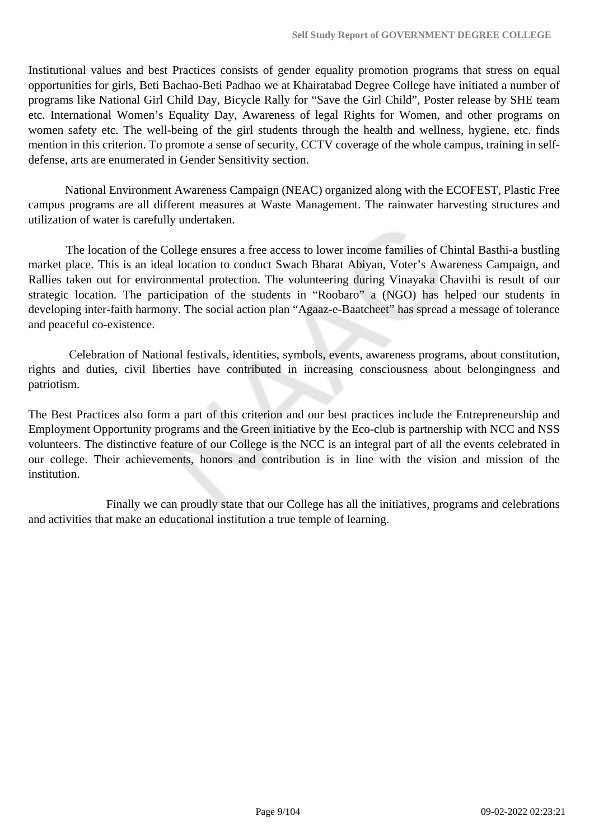Institutional values and best Practices consists of gender equality promotion programs that stress on equal opportunities for girls, Beti Bachao-Beti Padhao we at Khairatabad Degree College have initiated a number of programs like National Girl Child Day, Bicycle Rally for "Save the Girl Child", Poster release by SHE team etc. International Women's Equality Day, Awareness of legal Rights for Women, and other programs on women safety etc. The well-being of the girl students through the health and wellness, hygiene, etc. finds mention in this criterion. To promote a sense of security, CCTV coverage of the whole campus, training in selfdefense, arts are enumerated in Gender Sensitivity section.

 National Environment Awareness Campaign (NEAC) organized along with the ECOFEST, Plastic Free campus programs are all different measures at Waste Management. The rainwater harvesting structures and utilization of water is carefully undertaken.

 The location of the College ensures a free access to lower income families of Chintal Basthi-a bustling market place. This is an ideal location to conduct Swach Bharat Abiyan, Voter's Awareness Campaign, and Rallies taken out for environmental protection. The volunteering during Vinayaka Chavithi is result of our strategic location. The participation of the students in "Roobaro" a (NGO) has helped our students in developing inter-faith harmony. The social action plan "Agaaz-e-Baatcheet" has spread a message of tolerance and peaceful co-existence.

 Celebration of National festivals, identities, symbols, events, awareness programs, about constitution, rights and duties, civil liberties have contributed in increasing consciousness about belongingness and patriotism.

The Best Practices also form a part of this criterion and our best practices include the Entrepreneurship and Employment Opportunity programs and the Green initiative by the Eco-club is partnership with NCC and NSS volunteers. The distinctive feature of our College is the NCC is an integral part of all the events celebrated in our college. Their achievements, honors and contribution is in line with the vision and mission of the institution.

 Finally we can proudly state that our College has all the initiatives, programs and celebrations and activities that make an educational institution a true temple of learning.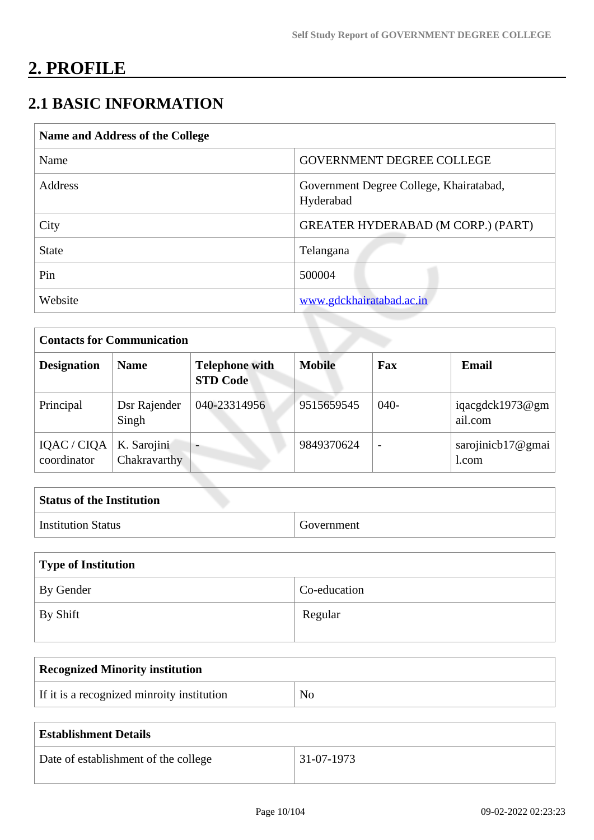# **2. PROFILE**

## **2.1 BASIC INFORMATION**

| Name and Address of the College |                                                      |  |  |
|---------------------------------|------------------------------------------------------|--|--|
| Name                            | <b>GOVERNMENT DEGREE COLLEGE</b>                     |  |  |
| Address                         | Government Degree College, Khairatabad,<br>Hyderabad |  |  |
| City                            | GREATER HYDERABAD (M CORP.) (PART)                   |  |  |
| <b>State</b>                    | Telangana                                            |  |  |
| Pin                             | 500004                                               |  |  |
| Website                         | www.gdckhairatabad.ac.in                             |  |  |

| <b>Contacts for Communication</b> |                             |                                          |               |                          |                            |
|-----------------------------------|-----------------------------|------------------------------------------|---------------|--------------------------|----------------------------|
| <b>Designation</b>                | <b>Name</b>                 | <b>Telephone with</b><br><b>STD Code</b> | <b>Mobile</b> | Fax                      | Email                      |
| Principal                         | Dsr Rajender<br>Singh       | 040-23314956                             | 9515659545    | $040-$                   | iqacgdck1973@gm<br>ail.com |
| IQAC / CIQA<br>coordinator        | K. Sarojini<br>Chakravarthy |                                          | 9849370624    | $\overline{\phantom{0}}$ | sarojinicb17@gmai<br>1.com |

| <b>Status of the Institution</b> |            |
|----------------------------------|------------|
| <b>Institution Status</b>        | Government |

| Type of Institution |              |  |
|---------------------|--------------|--|
| By Gender           | Co-education |  |
| By Shift            | Regular      |  |

| <b>Recognized Minority institution</b>     |  |
|--------------------------------------------|--|
| If it is a recognized minroity institution |  |

| <b>Establishment Details</b>         |                         |
|--------------------------------------|-------------------------|
| Date of establishment of the college | $\frac{1}{31}$ -07-1973 |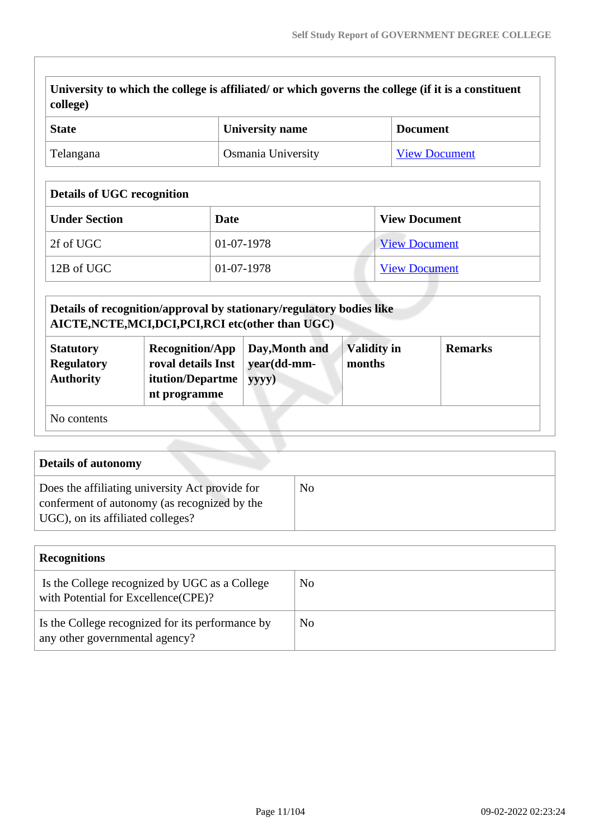| <b>State</b> | University name           | <b>Document</b>      |
|--------------|---------------------------|----------------------|
| Telangana    | <b>Osmania University</b> | <b>View Document</b> |

## **Details of UGC recognition**

| <b>Under Section</b> | Date       | <b>View Document</b> |
|----------------------|------------|----------------------|
| 2f of UGC            | 01-07-1978 | <b>View Document</b> |
| 12B of UGC           | 01-07-1978 | <b>View Document</b> |

|                                                           | Details of recognition/approval by stationary/regulatory bodies like<br>AICTE, NCTE, MCI, DCI, PCI, RCI etc (other than UGC) |                                        |                              |                |
|-----------------------------------------------------------|------------------------------------------------------------------------------------------------------------------------------|----------------------------------------|------------------------------|----------------|
| <b>Statutory</b><br><b>Regulatory</b><br><b>Authority</b> | <b>Recognition/App</b><br>roval details Inst<br>itution/Departme<br>nt programme                                             | Day, Month and<br>year(dd-mm-<br>yyyy) | <b>Validity in</b><br>months | <b>Remarks</b> |
| No contents                                               |                                                                                                                              |                                        |                              |                |

| Details of autonomy                                                                                                                  |    |
|--------------------------------------------------------------------------------------------------------------------------------------|----|
| Does the affiliating university Act provide for<br>conferment of autonomy (as recognized by the<br>UGC), on its affiliated colleges? | No |

| <b>Recognitions</b>                                                                  |    |
|--------------------------------------------------------------------------------------|----|
| Is the College recognized by UGC as a College<br>with Potential for Excellence(CPE)? | No |
| Is the College recognized for its performance by<br>any other governmental agency?   | No |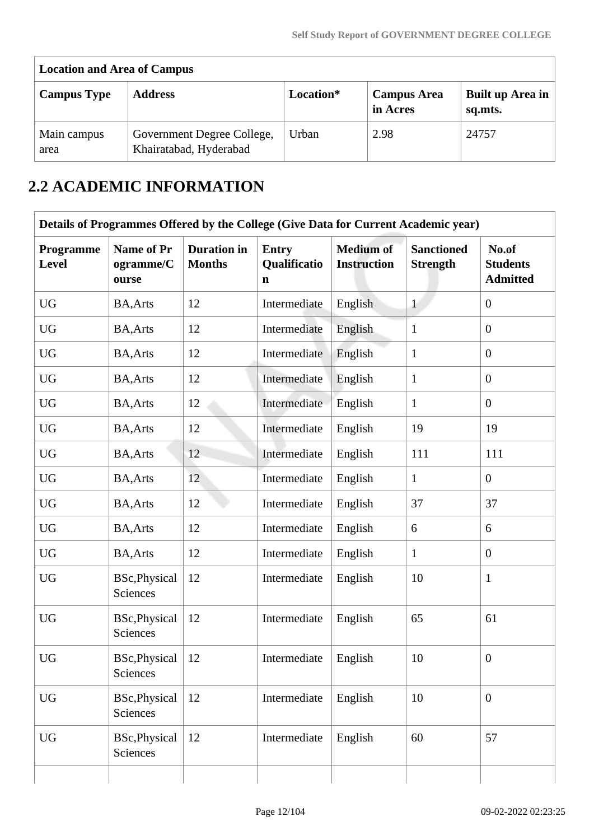| <b>Location and Area of Campus</b> |                                                      |           |                                |                             |  |  |  |  |  |  |
|------------------------------------|------------------------------------------------------|-----------|--------------------------------|-----------------------------|--|--|--|--|--|--|
| <b>Campus Type</b>                 | <b>Address</b>                                       | Location* | <b>Campus Area</b><br>in Acres | Built up Area in<br>sq.mts. |  |  |  |  |  |  |
| Main campus<br>area                | Government Degree College,<br>Khairatabad, Hyderabad | Urban     | 2.98                           | 24757                       |  |  |  |  |  |  |

## **2.2 ACADEMIC INFORMATION**

| Details of Programmes Offered by the College (Give Data for Current Academic year) |                                  |                                     |                                   |                                        |                                      |                                             |  |  |  |  |
|------------------------------------------------------------------------------------|----------------------------------|-------------------------------------|-----------------------------------|----------------------------------------|--------------------------------------|---------------------------------------------|--|--|--|--|
| Programme<br>Level                                                                 | Name of Pr<br>ogramme/C<br>ourse | <b>Duration</b> in<br><b>Months</b> | <b>Entry</b><br>Qualificatio<br>n | <b>Medium of</b><br><b>Instruction</b> | <b>Sanctioned</b><br><b>Strength</b> | No.of<br><b>Students</b><br><b>Admitted</b> |  |  |  |  |
| <b>UG</b>                                                                          | <b>BA, Arts</b>                  | 12                                  | Intermediate                      | English                                | $\mathbf{1}$                         | $\overline{0}$                              |  |  |  |  |
| <b>UG</b>                                                                          | <b>BA, Arts</b>                  | 12                                  | Intermediate                      | English                                | $\mathbf{1}$                         | $\mathbf{0}$                                |  |  |  |  |
| <b>UG</b>                                                                          | <b>BA, Arts</b>                  | 12                                  | Intermediate                      | English                                | $\mathbf{1}$                         | $\mathbf{0}$                                |  |  |  |  |
| <b>UG</b>                                                                          | <b>BA, Arts</b>                  | 12                                  | Intermediate                      | English                                | $\mathbf{1}$                         | $\mathbf{0}$                                |  |  |  |  |
| <b>UG</b>                                                                          | <b>BA, Arts</b>                  | 12                                  | Intermediate                      | English                                | $\mathbf{1}$                         | $\boldsymbol{0}$                            |  |  |  |  |
| <b>UG</b>                                                                          | <b>BA, Arts</b>                  | 12                                  | Intermediate                      | English                                | 19                                   | 19                                          |  |  |  |  |
| <b>UG</b>                                                                          | <b>BA, Arts</b>                  | 12                                  | Intermediate                      | English                                | 111                                  | 111                                         |  |  |  |  |
| <b>UG</b>                                                                          | <b>BA, Arts</b>                  | 12                                  | Intermediate                      | English                                | $\mathbf{1}$                         | $\mathbf{0}$                                |  |  |  |  |
| <b>UG</b>                                                                          | <b>BA, Arts</b>                  | 12                                  | Intermediate                      | English                                | 37                                   | 37                                          |  |  |  |  |
| <b>UG</b>                                                                          | <b>BA, Arts</b>                  | 12                                  | Intermediate                      | English                                | 6                                    | 6                                           |  |  |  |  |
| <b>UG</b>                                                                          | <b>BA, Arts</b>                  | 12                                  | Intermediate                      | English                                | $\mathbf{1}$                         | $\mathbf{0}$                                |  |  |  |  |
| <b>UG</b>                                                                          | BSc, Physical<br>Sciences        | 12                                  | Intermediate                      | English                                | 10                                   | $\mathbf{1}$                                |  |  |  |  |
| <b>UG</b>                                                                          | <b>BSc, Physical</b><br>Sciences | 12                                  | Intermediate                      | English                                | 65                                   | 61                                          |  |  |  |  |
| UG                                                                                 | BSc, Physical<br>Sciences        | 12                                  | Intermediate                      | English                                | 10                                   | $\overline{0}$                              |  |  |  |  |
| UG                                                                                 | BSc, Physical<br>Sciences        | 12                                  | Intermediate                      | English                                | 10                                   | $\mathbf{0}$                                |  |  |  |  |
| <b>UG</b>                                                                          | BSc, Physical<br>Sciences        | 12                                  | Intermediate                      | English                                | 60                                   | 57                                          |  |  |  |  |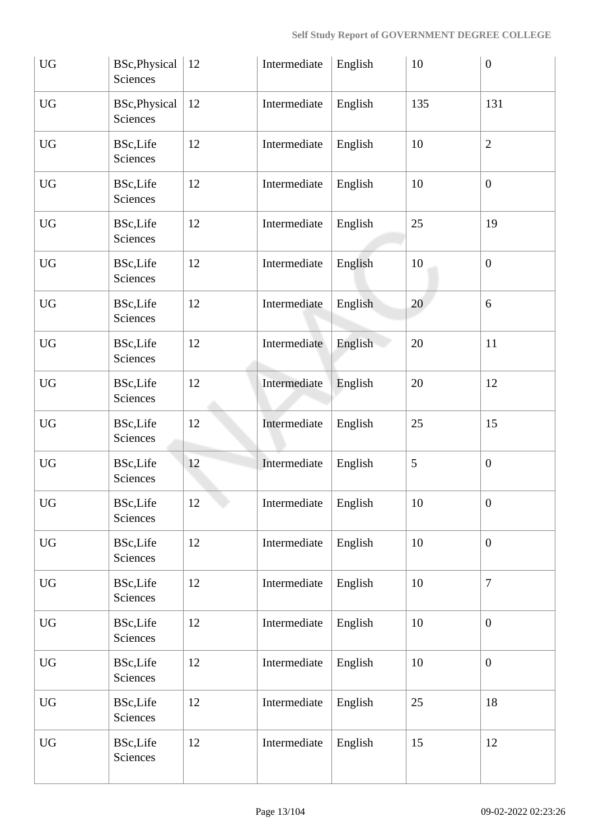| <b>UG</b>              | BSc, Physical<br>Sciences   | 12 | Intermediate | English | 10  | $\boldsymbol{0}$ |
|------------------------|-----------------------------|----|--------------|---------|-----|------------------|
| <b>UG</b>              | BSc, Physical<br>Sciences   | 12 | Intermediate | English | 135 | 131              |
| <b>UG</b>              | <b>BSc,Life</b><br>Sciences | 12 | Intermediate | English | 10  | $\mathbf{2}$     |
| ${\rm U}{\rm G}$       | <b>BSc,Life</b><br>Sciences | 12 | Intermediate | English | 10  | $\overline{0}$   |
| <b>UG</b>              | <b>BSc,Life</b><br>Sciences | 12 | Intermediate | English | 25  | 19               |
| <b>UG</b>              | <b>BSc,Life</b><br>Sciences | 12 | Intermediate | English | 10  | $\boldsymbol{0}$ |
| ${\rm U}{\rm G}$       | <b>BSc,Life</b><br>Sciences | 12 | Intermediate | English | 20  | 6                |
| <b>UG</b>              | <b>BSc,Life</b><br>Sciences | 12 | Intermediate | English | 20  | 11               |
| <b>UG</b>              | <b>BSc,Life</b><br>Sciences | 12 | Intermediate | English | 20  | 12               |
| <b>UG</b>              | <b>BSc,Life</b><br>Sciences | 12 | Intermediate | English | 25  | 15               |
| <b>UG</b>              | <b>BSc,Life</b><br>Sciences | 12 | Intermediate | English | 5   | $\boldsymbol{0}$ |
| ${\rm U}{\rm G}$       | BSc,Life<br>Sciences        | 12 | Intermediate | English | 10  | $\boldsymbol{0}$ |
| <b>UG</b>              | <b>BSc,Life</b><br>Sciences | 12 | Intermediate | English | 10  | $\overline{0}$   |
| $\mathbf{U}\mathbf{G}$ | <b>BSc,Life</b><br>Sciences | 12 | Intermediate | English | 10  | $\overline{7}$   |
| ${\rm U}{\rm G}$       | <b>BSc,Life</b><br>Sciences | 12 | Intermediate | English | 10  | $\overline{0}$   |
| <b>UG</b>              | <b>BSc,Life</b><br>Sciences | 12 | Intermediate | English | 10  | $\overline{0}$   |
| ${\rm U}{\rm G}$       | <b>BSc,Life</b><br>Sciences | 12 | Intermediate | English | 25  | 18               |
| ${\rm U}{\rm G}$       | <b>BSc,Life</b><br>Sciences | 12 | Intermediate | English | 15  | 12               |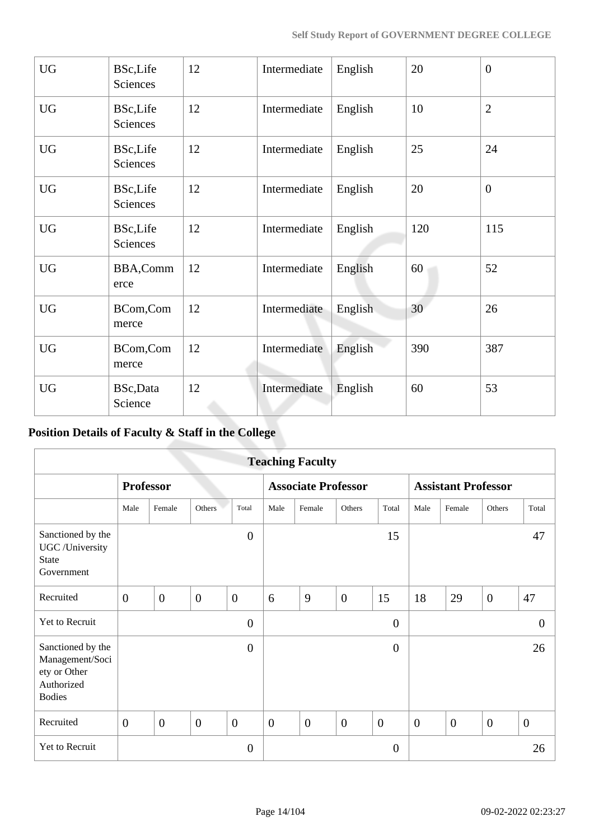| <b>UG</b> | <b>BSc,Life</b><br><b>Sciences</b> | 12 | Intermediate | English | 20  | $\overline{0}$ |
|-----------|------------------------------------|----|--------------|---------|-----|----------------|
| <b>UG</b> | <b>BSc,Life</b><br>Sciences        | 12 | Intermediate | English | 10  | $\overline{2}$ |
| <b>UG</b> | <b>BSc,Life</b><br>Sciences        | 12 | Intermediate | English | 25  | 24             |
| <b>UG</b> | <b>BSc,Life</b><br>Sciences        | 12 | Intermediate | English | 20  | $\overline{0}$ |
| <b>UG</b> | <b>BSc,Life</b><br>Sciences        | 12 | Intermediate | English | 120 | 115            |
| <b>UG</b> | BBA,Comm<br>erce                   | 12 | Intermediate | English | 60  | 52             |
| <b>UG</b> | BCom,Com<br>merce                  | 12 | Intermediate | English | 30  | 26             |
| <b>UG</b> | BCom,Com<br>merce                  | 12 | Intermediate | English | 390 | 387            |
| <b>UG</b> | BSc, Data<br>Science               | 12 | Intermediate | English | 60  | 53             |

## **Position Details of Faculty & Staff in the College**

|                                                                                     | <b>Teaching Faculty</b> |                |                |                  |                |                            |                |                |                            |                |                |                  |
|-------------------------------------------------------------------------------------|-------------------------|----------------|----------------|------------------|----------------|----------------------------|----------------|----------------|----------------------------|----------------|----------------|------------------|
|                                                                                     | <b>Professor</b>        |                |                |                  |                | <b>Associate Professor</b> |                |                | <b>Assistant Professor</b> |                |                |                  |
|                                                                                     | Male                    | Female         | Others         | Total            | Male           | Female                     | Others         | Total          | Male                       | Female         | Others         | Total            |
| Sanctioned by the<br>UGC /University<br><b>State</b><br>Government                  |                         |                |                | $\overline{0}$   |                |                            |                | 15             |                            |                |                | 47               |
| Recruited                                                                           | $\overline{0}$          | $\overline{0}$ | $\overline{0}$ | $\boldsymbol{0}$ | 6              | 9                          | $\overline{0}$ | 15             | 18                         | 29             | $\overline{0}$ | 47               |
| Yet to Recruit                                                                      |                         |                |                | $\overline{0}$   |                |                            |                | $\overline{0}$ |                            |                |                | $\theta$         |
| Sanctioned by the<br>Management/Soci<br>ety or Other<br>Authorized<br><b>Bodies</b> |                         |                |                | $\boldsymbol{0}$ |                |                            |                | $\overline{0}$ |                            |                |                | 26               |
| Recruited                                                                           | $\overline{0}$          | $\overline{0}$ | $\overline{0}$ | $\overline{0}$   | $\overline{0}$ | $\overline{0}$             | $\overline{0}$ | $\overline{0}$ | $\boldsymbol{0}$           | $\overline{0}$ | $\overline{0}$ | $\boldsymbol{0}$ |
| Yet to Recruit                                                                      |                         |                |                | $\overline{0}$   |                |                            |                | $\overline{0}$ |                            |                |                | 26               |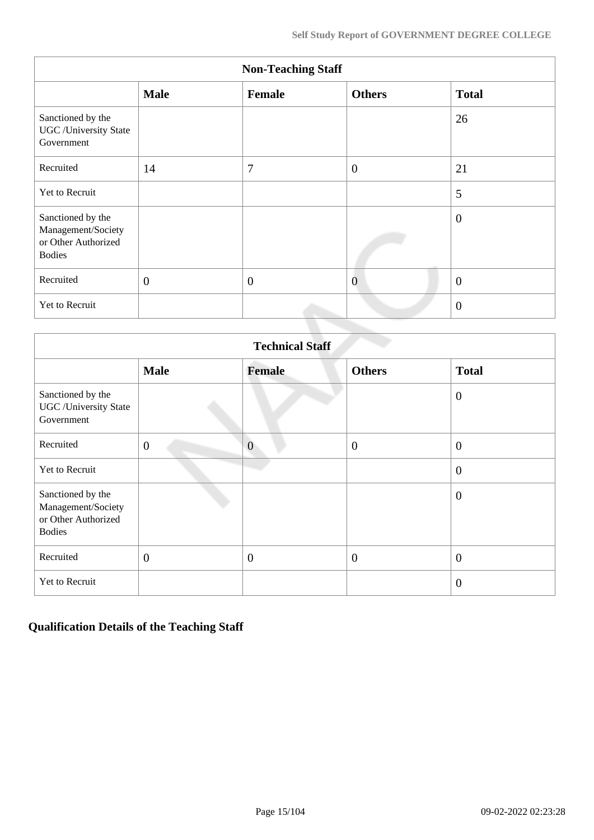|                                                                                 | <b>Non-Teaching Staff</b> |                |                  |                |  |  |  |  |  |  |
|---------------------------------------------------------------------------------|---------------------------|----------------|------------------|----------------|--|--|--|--|--|--|
|                                                                                 | <b>Male</b>               | Female         | <b>Others</b>    | <b>Total</b>   |  |  |  |  |  |  |
| Sanctioned by the<br><b>UGC</b> / University State<br>Government                |                           |                |                  | 26             |  |  |  |  |  |  |
| Recruited                                                                       | 14                        | $\overline{7}$ | $\boldsymbol{0}$ | 21             |  |  |  |  |  |  |
| Yet to Recruit                                                                  |                           |                |                  | 5              |  |  |  |  |  |  |
| Sanctioned by the<br>Management/Society<br>or Other Authorized<br><b>Bodies</b> |                           |                |                  | $\overline{0}$ |  |  |  |  |  |  |
| Recruited                                                                       | $\overline{0}$            | $\mathbf{0}$   | $\overline{0}$   | $\overline{0}$ |  |  |  |  |  |  |
| Yet to Recruit                                                                  |                           |                |                  | $\theta$       |  |  |  |  |  |  |

|                                                                                 | <b>Technical Staff</b> |                |                  |                |  |  |  |  |  |  |  |
|---------------------------------------------------------------------------------|------------------------|----------------|------------------|----------------|--|--|--|--|--|--|--|
|                                                                                 | <b>Male</b>            | Female         | <b>Others</b>    | <b>Total</b>   |  |  |  |  |  |  |  |
| Sanctioned by the<br><b>UGC</b> / University State<br>Government                |                        |                |                  | $\overline{0}$ |  |  |  |  |  |  |  |
| Recruited                                                                       | $\overline{0}$         | $\overline{0}$ | $\overline{0}$   | $\overline{0}$ |  |  |  |  |  |  |  |
| Yet to Recruit                                                                  |                        |                |                  | $\overline{0}$ |  |  |  |  |  |  |  |
| Sanctioned by the<br>Management/Society<br>or Other Authorized<br><b>Bodies</b> |                        |                |                  | $\overline{0}$ |  |  |  |  |  |  |  |
| Recruited                                                                       | $\overline{0}$         | $\overline{0}$ | $\boldsymbol{0}$ | $\overline{0}$ |  |  |  |  |  |  |  |
| Yet to Recruit                                                                  |                        |                |                  | $\overline{0}$ |  |  |  |  |  |  |  |

### **Qualification Details of the Teaching Staff**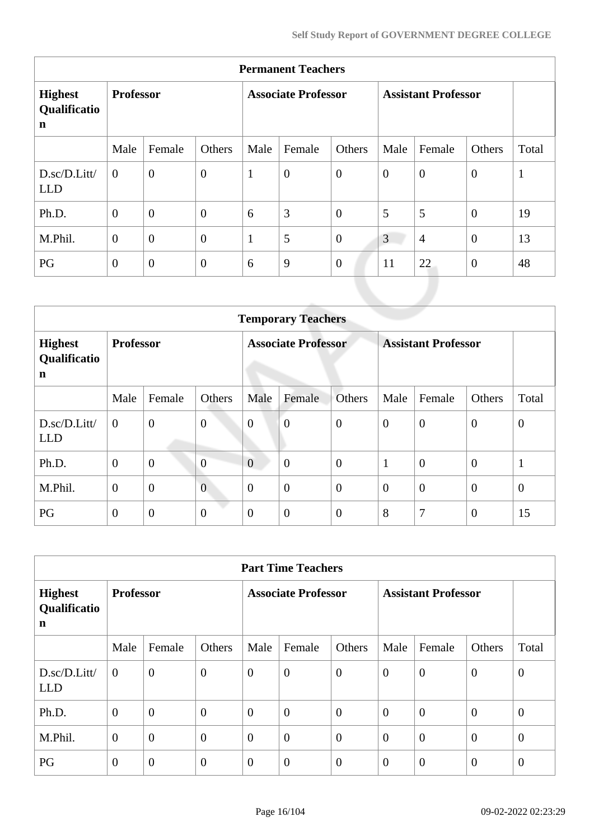| <b>Permanent Teachers</b>                     |                  |                |                |              |                            |                |                |                            |                  |              |  |  |
|-----------------------------------------------|------------------|----------------|----------------|--------------|----------------------------|----------------|----------------|----------------------------|------------------|--------------|--|--|
| <b>Highest</b><br>Qualificatio<br>$\mathbf n$ | <b>Professor</b> |                |                |              | <b>Associate Professor</b> |                |                | <b>Assistant Professor</b> |                  |              |  |  |
|                                               | Male             | Female         | Others         | Male         | Female                     | Others         | Male           | Female                     | Others           | Total        |  |  |
| $D.\text{sc}/D$ . Litt/<br><b>LLD</b>         | $\overline{0}$   | $\overline{0}$ | $\mathbf{0}$   | $\mathbf{1}$ | $\boldsymbol{0}$           | $\overline{0}$ | $\overline{0}$ | $\theta$                   | $\overline{0}$   | $\mathbf{1}$ |  |  |
| Ph.D.                                         | $\overline{0}$   | $\theta$       | $\overline{0}$ | 6            | 3                          | $\overline{0}$ | 5              | 5                          | $\overline{0}$   | 19           |  |  |
| M.Phil.                                       | $\theta$         | $\overline{0}$ | $\overline{0}$ | $\mathbf{1}$ | 5                          | $\overline{0}$ | 3              | $\overline{4}$             | $\mathbf{0}$     | 13           |  |  |
| PG                                            | $\overline{0}$   | $\overline{0}$ | $\overline{0}$ | 6            | 9                          | $\overline{0}$ | 11             | 22                         | $\boldsymbol{0}$ | 48           |  |  |
|                                               |                  |                |                |              | <b>CONTRACTOR</b>          |                |                |                            |                  |              |  |  |

|                                                         | <b>Temporary Teachers</b> |                  |                            |                |                  |                            |                |                  |                |                  |  |  |
|---------------------------------------------------------|---------------------------|------------------|----------------------------|----------------|------------------|----------------------------|----------------|------------------|----------------|------------------|--|--|
| <b>Professor</b><br><b>Highest</b><br>Qualificatio<br>n |                           |                  | <b>Associate Professor</b> |                |                  | <b>Assistant Professor</b> |                |                  |                |                  |  |  |
|                                                         | Male                      | Female           | <b>Others</b>              | Male           | Female           | Others                     | Male           | Female           | Others         | Total            |  |  |
| $D.\text{sc}/D.\text{Litt}$<br><b>LLD</b>               | $\mathbf{0}$              | $\overline{0}$   | $\overline{0}$             | $\mathbf{0}$   | $\boldsymbol{0}$ | $\overline{0}$             | $\overline{0}$ | $\overline{0}$   | $\overline{0}$ | $\boldsymbol{0}$ |  |  |
| Ph.D.                                                   | $\overline{0}$            | $\boldsymbol{0}$ | $\overline{0}$             | $\overline{0}$ | $\boldsymbol{0}$ | $\overline{0}$             | $\mathbf{1}$   | $\boldsymbol{0}$ | $\overline{0}$ | $\mathbf{1}$     |  |  |
| M.Phil.                                                 | $\overline{0}$            | $\overline{0}$   | $\overline{0}$             | $\overline{0}$ | $\overline{0}$   | $\mathbf{0}$               | $\theta$       | $\overline{0}$   | $\overline{0}$ | $\mathbf{0}$     |  |  |
| PG                                                      | $\boldsymbol{0}$          | $\overline{0}$   | $\theta$                   | $\overline{0}$ | $\boldsymbol{0}$ | $\mathbf{0}$               | 8              | 7                | $\overline{0}$ | 15               |  |  |

| <b>Part Time Teachers</b>           |                  |                |                |                            |                  |                |                            |                  |                |                |  |
|-------------------------------------|------------------|----------------|----------------|----------------------------|------------------|----------------|----------------------------|------------------|----------------|----------------|--|
| <b>Highest</b><br>Qualificatio<br>n | <b>Professor</b> |                |                | <b>Associate Professor</b> |                  |                | <b>Assistant Professor</b> |                  |                |                |  |
|                                     | Male             | Female         | Others         | Male                       | Female           | Others         | Male                       | Female           | Others         | Total          |  |
| D.sc/D.Litt/<br><b>LLD</b>          | $\overline{0}$   | $\theta$       | $\overline{0}$ | $\overline{0}$             | $\boldsymbol{0}$ | $\theta$       | $\overline{0}$             | $\overline{0}$   | $\overline{0}$ | $\overline{0}$ |  |
| Ph.D.                               | $\overline{0}$   | $\overline{0}$ | $\overline{0}$ | $\overline{0}$             | $\boldsymbol{0}$ | $\overline{0}$ | $\overline{0}$             | $\overline{0}$   | $\theta$       | $\overline{0}$ |  |
| M.Phil.                             | $\overline{0}$   | $\overline{0}$ | $\overline{0}$ | $\overline{0}$             | $\overline{0}$   | $\overline{0}$ | $\overline{0}$             | $\overline{0}$   | $\overline{0}$ | $\overline{0}$ |  |
| PG                                  | $\overline{0}$   | $\theta$       | $\overline{0}$ | $\overline{0}$             | $\boldsymbol{0}$ | $\theta$       | $\overline{0}$             | $\boldsymbol{0}$ | $\mathbf{0}$   | $\overline{0}$ |  |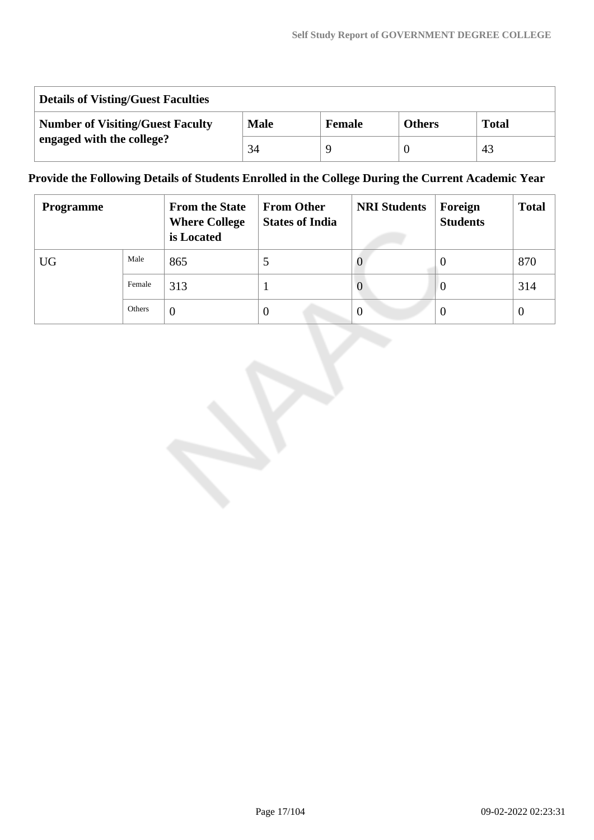| <b>Details of Visting/Guest Faculties</b> |             |        |               |              |
|-------------------------------------------|-------------|--------|---------------|--------------|
| <b>Number of Visiting/Guest Faculty</b>   | <b>Male</b> | Female | <b>Others</b> | <b>Total</b> |
| engaged with the college?                 | 34          | Ч      |               | 43           |

### **Provide the Following Details of Students Enrolled in the College During the Current Academic Year**

| <b>Programme</b> |        | <b>From the State</b><br><b>Where College</b><br>is Located | <b>From Other</b><br><b>States of India</b> | <b>NRI Students</b> | Foreign<br><b>Students</b> | <b>Total</b> |
|------------------|--------|-------------------------------------------------------------|---------------------------------------------|---------------------|----------------------------|--------------|
| <b>UG</b>        | Male   | 865                                                         | C                                           |                     |                            | 870          |
|                  | Female | 313                                                         |                                             | v                   | 0                          | 314          |
|                  | Others | $\overline{0}$                                              | 0                                           | 0                   | $\left($                   | $\theta$     |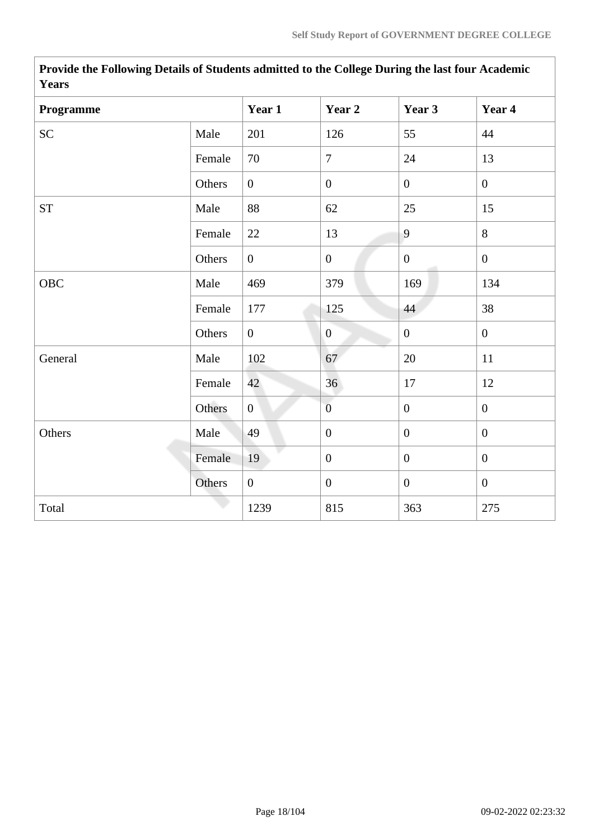| <b>rears</b>       |        |                |                  |                |                  |
|--------------------|--------|----------------|------------------|----------------|------------------|
| Programme          |        | Year 1         | Year 2           | Year 3         | Year 4           |
| <b>SC</b>          | Male   | 201            | 126              | 55             | 44               |
|                    | Female | 70             | $\overline{7}$   | 24             | 13               |
|                    | Others | $\overline{0}$ | $\boldsymbol{0}$ | $\overline{0}$ | $\overline{0}$   |
| ${\cal S}{\cal T}$ | Male   | 88             | 62               | 25             | 15               |
|                    | Female | 22             | 13               | 9              | 8                |
|                    | Others | $\overline{0}$ | $\boldsymbol{0}$ | $\mathbf{0}$   | $\mathbf{0}$     |
| OBC                | Male   | 469            | 379              | 169            | 134              |
|                    | Female | 177            | 125              | 44             | 38               |
|                    | Others | $\overline{0}$ | $\overline{0}$   | $\overline{0}$ | $\overline{0}$   |
| General            | Male   | 102            | 67               | 20             | $11\,$           |
|                    | Female | 42             | 36               | 17             | 12               |
|                    | Others | $\overline{0}$ | $\overline{0}$   | $\overline{0}$ | $\overline{0}$   |
| Others             | Male   | 49             | $\boldsymbol{0}$ | $\mathbf{0}$   | $\overline{0}$   |
|                    | Female | 19             | $\boldsymbol{0}$ | $\overline{0}$ | $\overline{0}$   |
|                    | Others | $\overline{0}$ | $\boldsymbol{0}$ | $\overline{0}$ | $\boldsymbol{0}$ |
| Total              |        | 1239           | 815              | 363            | 275              |

**Provide the Following Details of Students admitted to the College During the last four Academic Years**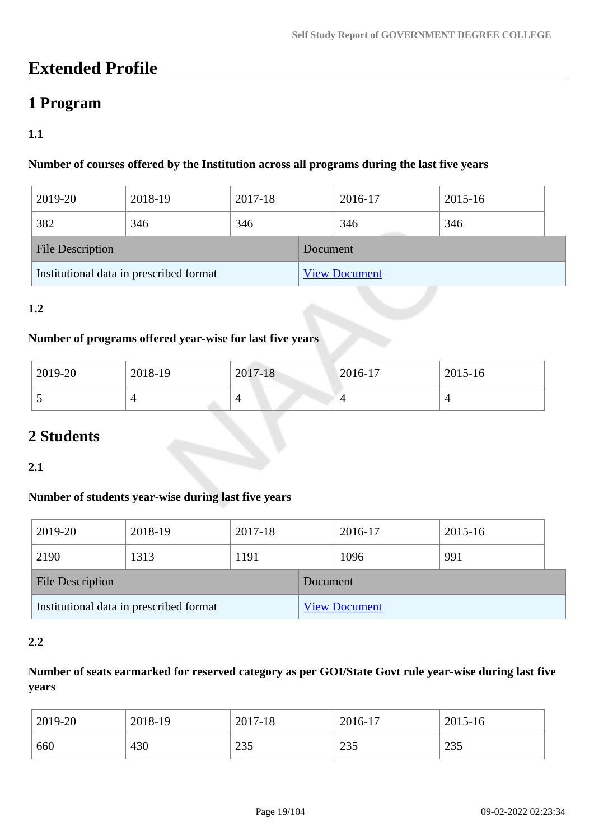# **Extended Profile**

## **1 Program**

## **1.1**

## **Number of courses offered by the Institution across all programs during the last five years**

| 2019-20                                 | 2018-19 | 2017-18 |          | 2016-17              | 2015-16 |  |
|-----------------------------------------|---------|---------|----------|----------------------|---------|--|
| 382                                     | 346     | 346     |          | 346                  | 346     |  |
| <b>File Description</b>                 |         |         | Document |                      |         |  |
| Institutional data in prescribed format |         |         |          | <b>View Document</b> |         |  |

### **1.2**

#### **Number of programs offered year-wise for last five years**

| 2019-20 | 2018-19 | 2017-18  | $ 2016-17$ | 2015-16 |
|---------|---------|----------|------------|---------|
| ັ       |         | $\Delta$ |            |         |

## **2 Students**

**2.1**

### **Number of students year-wise during last five years**

| 2019-20                                 | 2018-19 | 2017-18 |                      | 2016-17 | 2015-16 |  |
|-----------------------------------------|---------|---------|----------------------|---------|---------|--|
| 2190                                    | 1313    | 1191    |                      | 1096    | 991     |  |
| <b>File Description</b>                 |         |         | Document             |         |         |  |
| Institutional data in prescribed format |         |         | <b>View Document</b> |         |         |  |

#### **2.2**

### **Number of seats earmarked for reserved category as per GOI/State Govt rule year-wise during last five years**

| 2019-20 | 2018-19 | 2017-18 | 2016-17 | 2015-16 |
|---------|---------|---------|---------|---------|
| 660     | 430     | 235     | 235     | 235     |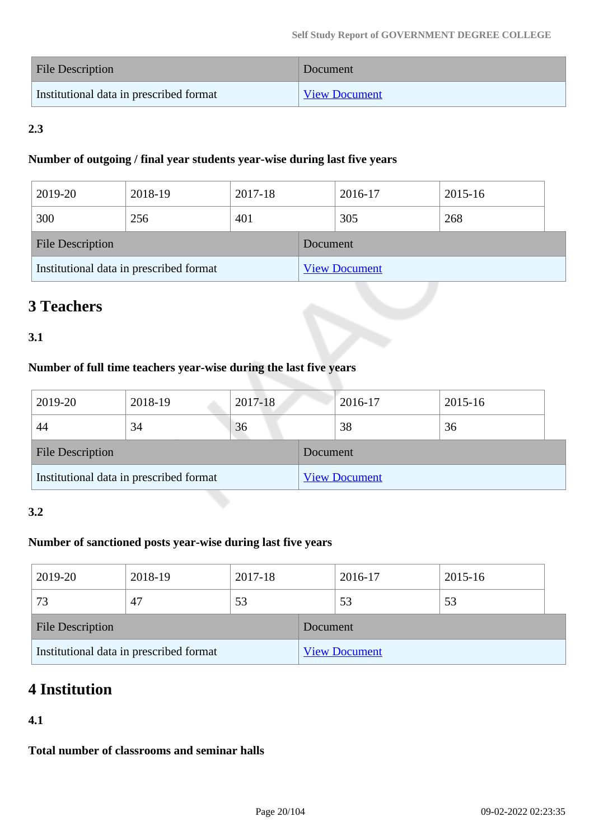| <b>File Description</b>                 | Document             |
|-----------------------------------------|----------------------|
| Institutional data in prescribed format | <b>View Document</b> |

## **2.3**

#### **Number of outgoing / final year students year-wise during last five years**

| 2019-20                                 | 2018-19 | 2017-18 |          | 2016-17              | 2015-16 |  |
|-----------------------------------------|---------|---------|----------|----------------------|---------|--|
| 300                                     | 256     | 401     |          | 305                  | 268     |  |
| <b>File Description</b>                 |         |         | Document |                      |         |  |
| Institutional data in prescribed format |         |         |          | <b>View Document</b> |         |  |

## **3 Teachers**

### **3.1**

### **Number of full time teachers year-wise during the last five years**

| 2019-20                                 | 2018-19 | 2017-18 |          | 2016-17              | 2015-16 |  |
|-----------------------------------------|---------|---------|----------|----------------------|---------|--|
| 44                                      | 34      | 36      |          | 38                   | 36      |  |
| <b>File Description</b>                 |         |         | Document |                      |         |  |
| Institutional data in prescribed format |         |         |          | <b>View Document</b> |         |  |

#### **3.2**

### **Number of sanctioned posts year-wise during last five years**

| 2019-20                                 | 2018-19 | 2017-18  |                      | 2016-17 | 2015-16 |  |
|-----------------------------------------|---------|----------|----------------------|---------|---------|--|
| 73                                      | 47      | 53       |                      | 53      | 53      |  |
| <b>File Description</b>                 |         | Document |                      |         |         |  |
| Institutional data in prescribed format |         |          | <b>View Document</b> |         |         |  |

## **4 Institution**

### **4.1**

**Total number of classrooms and seminar halls**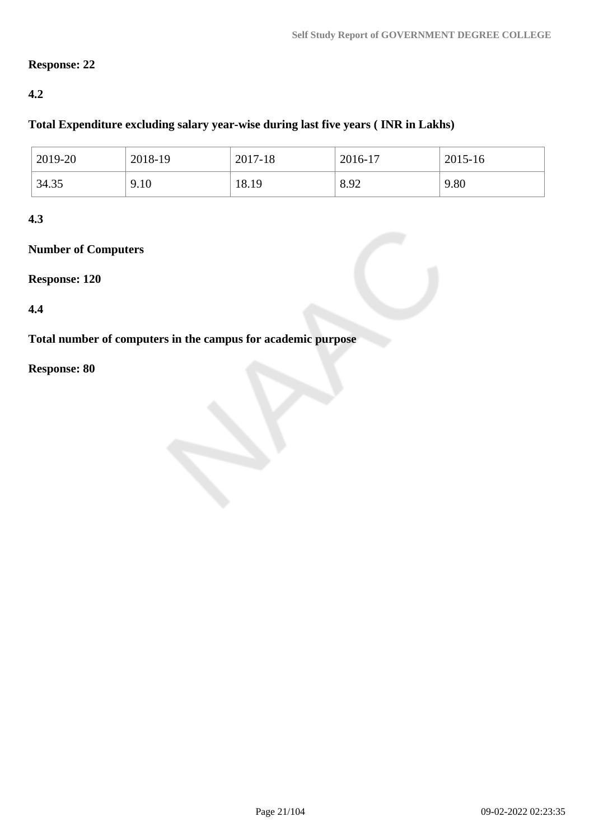### **Response: 22**

### **4.2**

### **Total Expenditure excluding salary year-wise during last five years ( INR in Lakhs)**

| 2019-20 | 2018-19 | 2017-18 | 2016-17 | 2015-16 |
|---------|---------|---------|---------|---------|
| 34.35   | 9.10    | 18.19   | 8.92    | 9.80    |

### **4.3**

### **Number of Computers**

#### **Response: 120**

#### **4.4**

**Total number of computers in the campus for academic purpose**

### **Response: 80**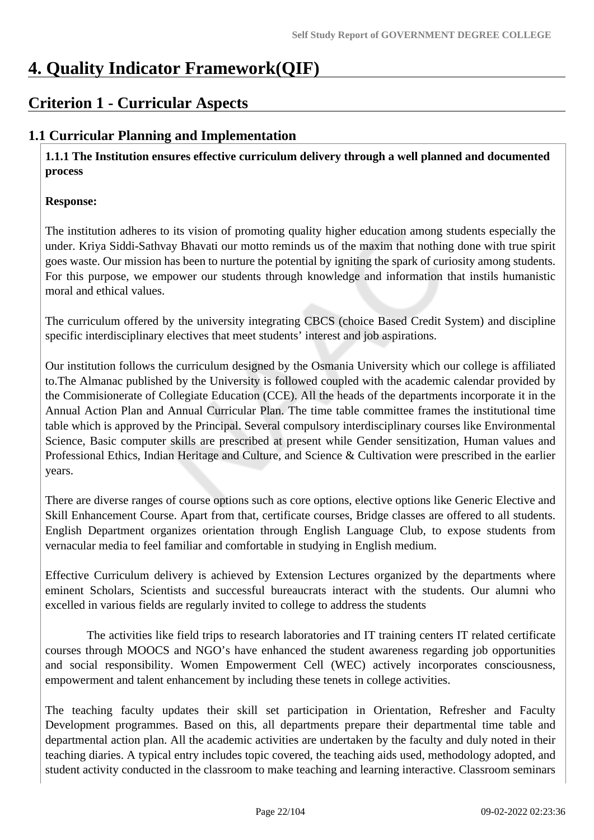## **4. Quality Indicator Framework(QIF)**

## **Criterion 1 - Curricular Aspects**

## **1.1 Curricular Planning and Implementation**

 **1.1.1 The Institution ensures effective curriculum delivery through a well planned and documented process**

#### **Response:**

The institution adheres to its vision of promoting quality higher education among students especially the under. Kriya Siddi-Sathvay Bhavati our motto reminds us of the maxim that nothing done with true spirit goes waste. Our mission has been to nurture the potential by igniting the spark of curiosity among students. For this purpose, we empower our students through knowledge and information that instils humanistic moral and ethical values.

The curriculum offered by the university integrating CBCS (choice Based Credit System) and discipline specific interdisciplinary electives that meet students' interest and job aspirations.

Our institution follows the curriculum designed by the Osmania University which our college is affiliated to.The Almanac published by the University is followed coupled with the academic calendar provided by the Commisionerate of Collegiate Education (CCE). All the heads of the departments incorporate it in the Annual Action Plan and Annual Curricular Plan. The time table committee frames the institutional time table which is approved by the Principal. Several compulsory interdisciplinary courses like Environmental Science, Basic computer skills are prescribed at present while Gender sensitization, Human values and Professional Ethics, Indian Heritage and Culture, and Science & Cultivation were prescribed in the earlier years.

There are diverse ranges of course options such as core options, elective options like Generic Elective and Skill Enhancement Course. Apart from that, certificate courses, Bridge classes are offered to all students. English Department organizes orientation through English Language Club, to expose students from vernacular media to feel familiar and comfortable in studying in English medium.

Effective Curriculum delivery is achieved by Extension Lectures organized by the departments where eminent Scholars, Scientists and successful bureaucrats interact with the students. Our alumni who excelled in various fields are regularly invited to college to address the students

 The activities like field trips to research laboratories and IT training centers IT related certificate courses through MOOCS and NGO's have enhanced the student awareness regarding job opportunities and social responsibility. Women Empowerment Cell (WEC) actively incorporates consciousness, empowerment and talent enhancement by including these tenets in college activities.

The teaching faculty updates their skill set participation in Orientation, Refresher and Faculty Development programmes. Based on this, all departments prepare their departmental time table and departmental action plan. All the academic activities are undertaken by the faculty and duly noted in their teaching diaries. A typical entry includes topic covered, the teaching aids used, methodology adopted, and student activity conducted in the classroom to make teaching and learning interactive. Classroom seminars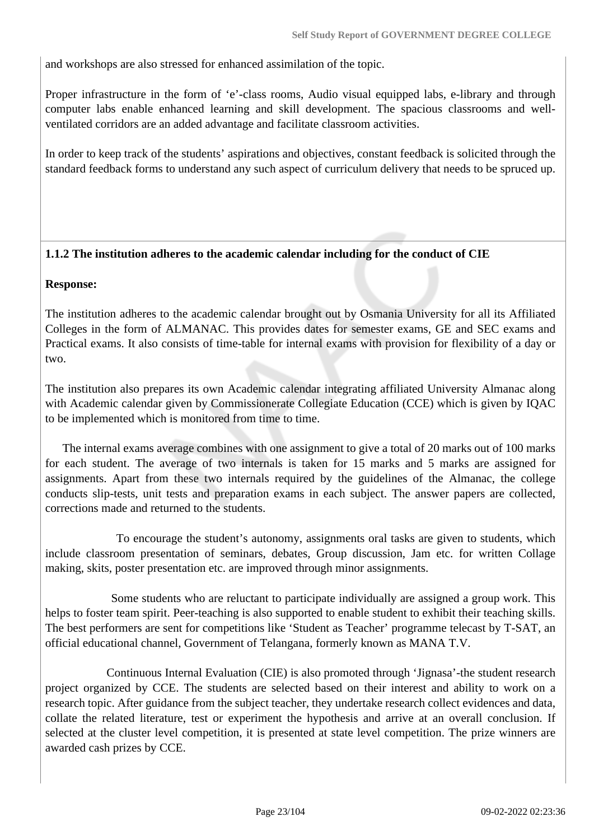and workshops are also stressed for enhanced assimilation of the topic.

Proper infrastructure in the form of 'e'-class rooms, Audio visual equipped labs, e-library and through computer labs enable enhanced learning and skill development. The spacious classrooms and wellventilated corridors are an added advantage and facilitate classroom activities.

In order to keep track of the students' aspirations and objectives, constant feedback is solicited through the standard feedback forms to understand any such aspect of curriculum delivery that needs to be spruced up.

#### **1.1.2 The institution adheres to the academic calendar including for the conduct of CIE**

#### **Response:**

The institution adheres to the academic calendar brought out by Osmania University for all its Affiliated Colleges in the form of ALMANAC. This provides dates for semester exams, GE and SEC exams and Practical exams. It also consists of time-table for internal exams with provision for flexibility of a day or two.

The institution also prepares its own Academic calendar integrating affiliated University Almanac along with Academic calendar given by Commissionerate Collegiate Education (CCE) which is given by IQAC to be implemented which is monitored from time to time.

 The internal exams average combines with one assignment to give a total of 20 marks out of 100 marks for each student. The average of two internals is taken for 15 marks and 5 marks are assigned for assignments. Apart from these two internals required by the guidelines of the Almanac, the college conducts slip-tests, unit tests and preparation exams in each subject. The answer papers are collected, corrections made and returned to the students.

 To encourage the student's autonomy, assignments oral tasks are given to students, which include classroom presentation of seminars, debates, Group discussion, Jam etc. for written Collage making, skits, poster presentation etc. are improved through minor assignments.

 Some students who are reluctant to participate individually are assigned a group work. This helps to foster team spirit. Peer-teaching is also supported to enable student to exhibit their teaching skills. The best performers are sent for competitions like 'Student as Teacher' programme telecast by T-SAT, an official educational channel, Government of Telangana, formerly known as MANA T.V.

 Continuous Internal Evaluation (CIE) is also promoted through 'Jignasa'-the student research project organized by CCE. The students are selected based on their interest and ability to work on a research topic. After guidance from the subject teacher, they undertake research collect evidences and data, collate the related literature, test or experiment the hypothesis and arrive at an overall conclusion. If selected at the cluster level competition, it is presented at state level competition. The prize winners are awarded cash prizes by CCE.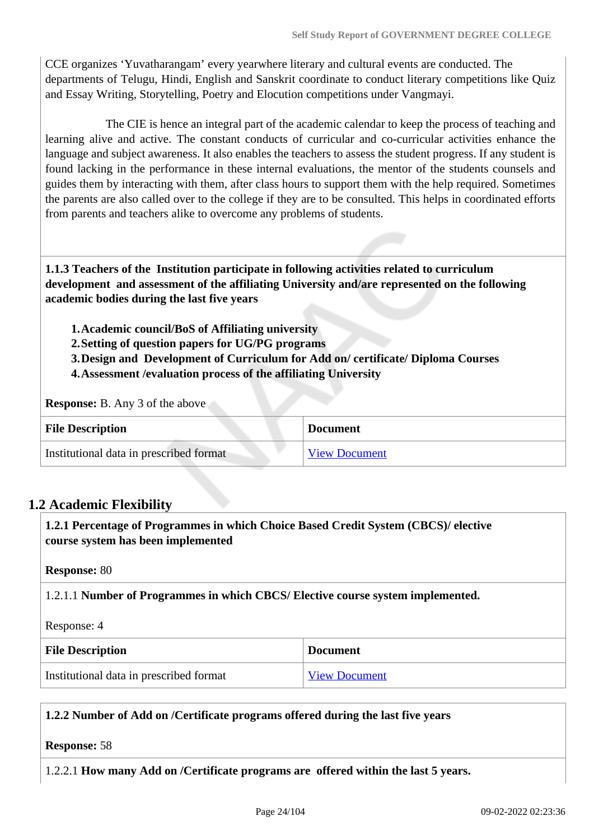CCE organizes 'Yuvatharangam' every yearwhere literary and cultural events are conducted. The departments of Telugu, Hindi, English and Sanskrit coordinate to conduct literary competitions like Quiz and Essay Writing, Storytelling, Poetry and Elocution competitions under Vangmayi.

 The CIE is hence an integral part of the academic calendar to keep the process of teaching and learning alive and active. The constant conducts of curricular and co-curricular activities enhance the language and subject awareness. It also enables the teachers to assess the student progress. If any student is found lacking in the performance in these internal evaluations, the mentor of the students counsels and guides them by interacting with them, after class hours to support them with the help required. Sometimes the parents are also called over to the college if they are to be consulted. This helps in coordinated efforts from parents and teachers alike to overcome any problems of students.

 **1.1.3 Teachers of the Institution participate in following activities related to curriculum development and assessment of the affiliating University and/are represented on the following academic bodies during the last five years** 

**1.Academic council/BoS of Affiliating university**

**2.Setting of question papers for UG/PG programs** 

**3.Design and Development of Curriculum for Add on/ certificate/ Diploma Courses** 

**4.Assessment /evaluation process of the affiliating University**

**Response:** B. Any 3 of the above

| <b>File Description</b>                 | <b>Document</b>      |
|-----------------------------------------|----------------------|
| Institutional data in prescribed format | <b>View Document</b> |

### **1.2 Academic Flexibility**

 **1.2.1 Percentage of Programmes in which Choice Based Credit System (CBCS)/ elective course system has been implemented** 

**Response:** 80

1.2.1.1 **Number of Programmes in which CBCS/ Elective course system implemented.**

Response: 4

| <b>File Description</b>                 | <b>Document</b>      |
|-----------------------------------------|----------------------|
| Institutional data in prescribed format | <b>View Document</b> |

#### **1.2.2 Number of Add on /Certificate programs offered during the last five years**

**Response:** 58

1.2.2.1 **How many Add on /Certificate programs are offered within the last 5 years.**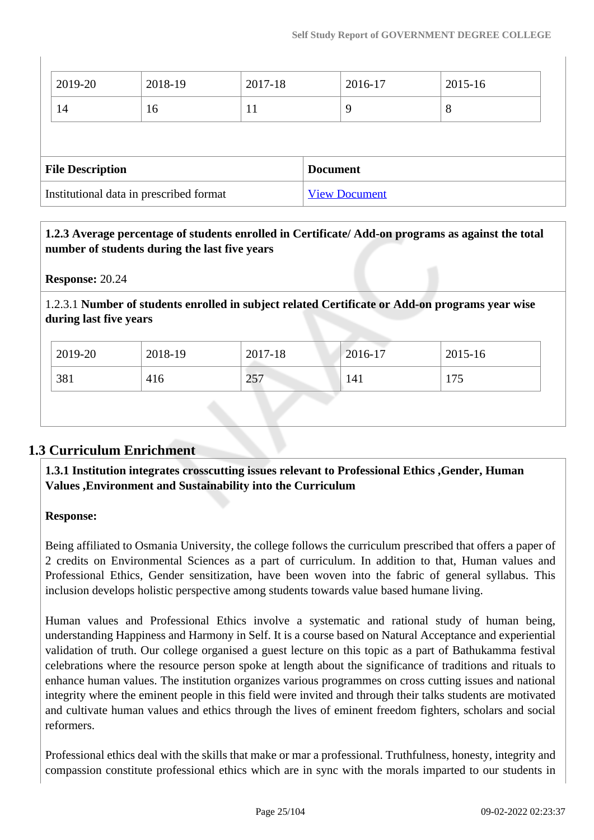| 2019-20                                 | 2018-19 | 2017-18 | 2016-17              | 2015-16 |  |
|-----------------------------------------|---------|---------|----------------------|---------|--|
| 14                                      | 16      | 11      | 9                    | 8       |  |
|                                         |         |         |                      |         |  |
| <b>File Description</b>                 |         |         | <b>Document</b>      |         |  |
| Institutional data in prescribed format |         |         | <b>View Document</b> |         |  |

### **1.2.3 Average percentage of students enrolled in Certificate/ Add-on programs as against the total number of students during the last five years**

**Response:** 20.24

1.2.3.1 **Number of students enrolled in subject related Certificate or Add-on programs year wise during last five years**

| 2019-20 | 2018-19 | 2017-18 | 2016-17 | 2015-16 |
|---------|---------|---------|---------|---------|
| 381     | 416     | 257     | 141     | 175     |

## **1.3 Curriculum Enrichment**

 **1.3.1 Institution integrates crosscutting issues relevant to Professional Ethics ,Gender, Human Values ,Environment and Sustainability into the Curriculum**

#### **Response:**

Being affiliated to Osmania University, the college follows the curriculum prescribed that offers a paper of 2 credits on Environmental Sciences as a part of curriculum. In addition to that, Human values and Professional Ethics, Gender sensitization, have been woven into the fabric of general syllabus. This inclusion develops holistic perspective among students towards value based humane living.

Human values and Professional Ethics involve a systematic and rational study of human being, understanding Happiness and Harmony in Self. It is a course based on Natural Acceptance and experiential validation of truth. Our college organised a guest lecture on this topic as a part of Bathukamma festival celebrations where the resource person spoke at length about the significance of traditions and rituals to enhance human values. The institution organizes various programmes on cross cutting issues and national integrity where the eminent people in this field were invited and through their talks students are motivated and cultivate human values and ethics through the lives of eminent freedom fighters, scholars and social reformers.

Professional ethics deal with the skills that make or mar a professional. Truthfulness, honesty, integrity and compassion constitute professional ethics which are in sync with the morals imparted to our students in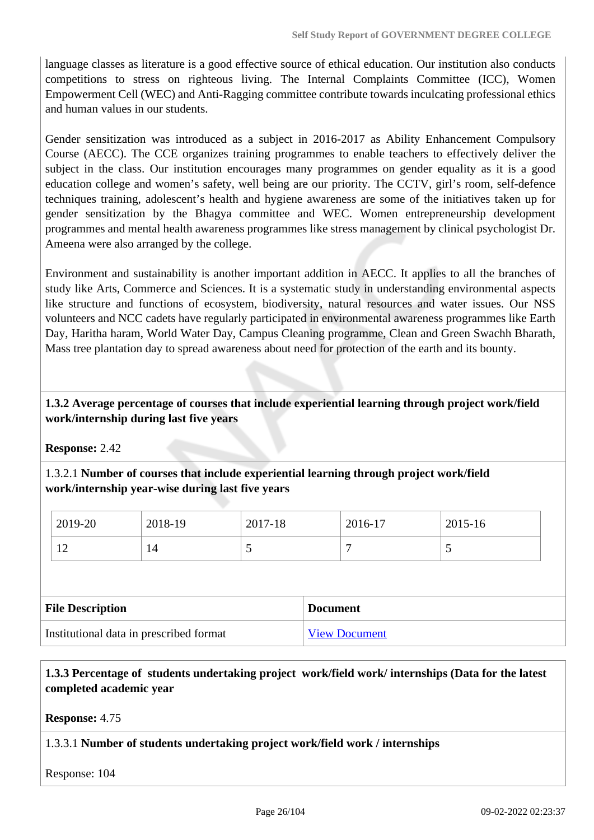language classes as literature is a good effective source of ethical education. Our institution also conducts competitions to stress on righteous living. The Internal Complaints Committee (ICC), Women Empowerment Cell (WEC) and Anti-Ragging committee contribute towards inculcating professional ethics and human values in our students.

Gender sensitization was introduced as a subject in 2016-2017 as Ability Enhancement Compulsory Course (AECC). The CCE organizes training programmes to enable teachers to effectively deliver the subject in the class. Our institution encourages many programmes on gender equality as it is a good education college and women's safety, well being are our priority. The CCTV, girl's room, self-defence techniques training, adolescent's health and hygiene awareness are some of the initiatives taken up for gender sensitization by the Bhagya committee and WEC. Women entrepreneurship development programmes and mental health awareness programmes like stress management by clinical psychologist Dr. Ameena were also arranged by the college.

Environment and sustainability is another important addition in AECC. It applies to all the branches of study like Arts, Commerce and Sciences. It is a systematic study in understanding environmental aspects like structure and functions of ecosystem, biodiversity, natural resources and water issues. Our NSS volunteers and NCC cadets have regularly participated in environmental awareness programmes like Earth Day, Haritha haram, World Water Day, Campus Cleaning programme, Clean and Green Swachh Bharath, Mass tree plantation day to spread awareness about need for protection of the earth and its bounty.

#### **1.3.2 Average percentage of courses that include experiential learning through project work/field work/internship during last five years**

**Response:** 2.42

1.3.2.1 **Number of courses that include experiential learning through project work/field work/internship year-wise during last five years**

| 2019-20 | 2018-19 | 2017-18 | 2016-17 | 2015-16  |
|---------|---------|---------|---------|----------|
| 12      | 14      | ັ       | −       | <b>~</b> |

| <b>File Description</b>                 | <b>Document</b>      |
|-----------------------------------------|----------------------|
| Institutional data in prescribed format | <b>View Document</b> |

 **1.3.3 Percentage of students undertaking project work/field work/ internships (Data for the latest completed academic year**

**Response:** 4.75

#### 1.3.3.1 **Number of students undertaking project work/field work / internships**

Response: 104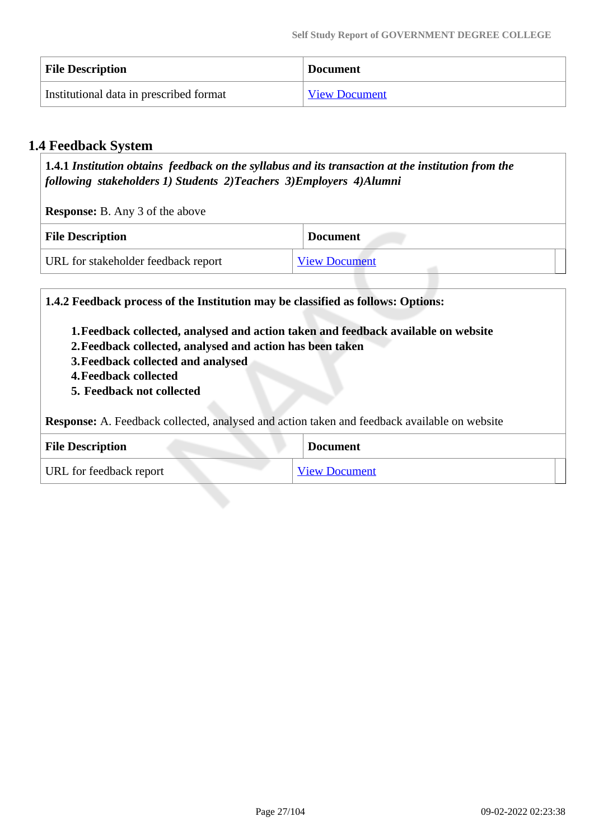| <b>File Description</b>                 | <b>Document</b>      |
|-----------------------------------------|----------------------|
| Institutional data in prescribed format | <b>View Document</b> |

### **1.4 Feedback System**

 **1.4.1** *Institution obtains feedback on the syllabus and its transaction at the institution from the following stakeholders 1) Students 2)Teachers 3)Employers 4)Alumni* 

**Response:** B. Any 3 of the above

| <b>File Description</b>             | <b>Document</b>      |
|-------------------------------------|----------------------|
| URL for stakeholder feedback report | <b>View Document</b> |

**1.4.2 Feedback process of the Institution may be classified as follows: Options:**

- **1.Feedback collected, analysed and action taken and feedback available on website**
- **2.Feedback collected, analysed and action has been taken**
- **3.Feedback collected and analysed**
- **4.Feedback collected**
- **5. Feedback not collected**

**Response:** A. Feedback collected, analysed and action taken and feedback available on website

| <b>File Description</b> | <b>Document</b>      |
|-------------------------|----------------------|
| URL for feedback report | <b>View Document</b> |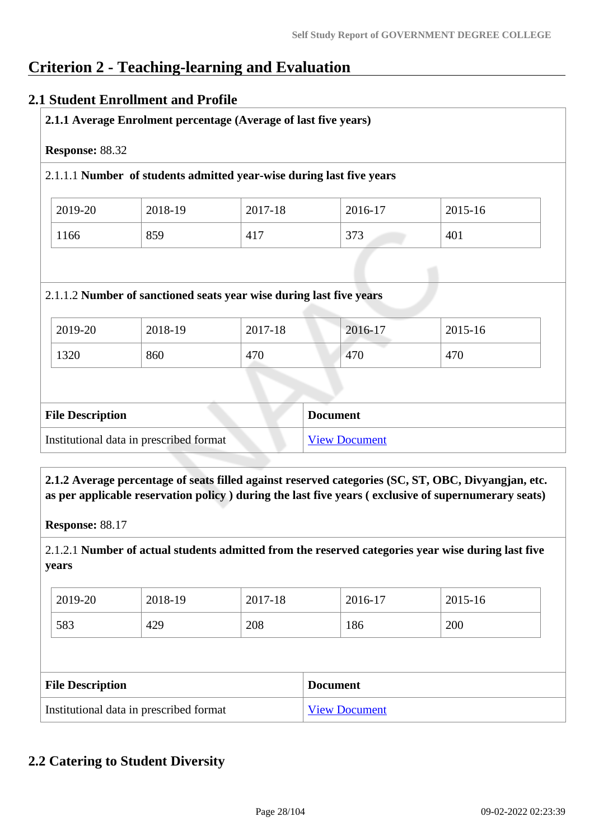## **Criterion 2 - Teaching-learning and Evaluation**

### **2.1 Student Enrollment and Profile**

|         |         | 2.1.1.1 Number of students admitted year-wise during last five years |         |         |
|---------|---------|----------------------------------------------------------------------|---------|---------|
| 2019-20 | 2018-19 | 2017-18                                                              | 2016-17 | 2015-16 |
| 1166    | 859     | 417                                                                  | 373     | 401     |
|         |         | 2.1.1.2 Number of sanctioned seats year wise during last five years  |         |         |
| 2019-20 | 2018-19 | 2017-18                                                              | 2016-17 | 2015-16 |
|         |         |                                                                      |         |         |

 **2.1.2 Average percentage of seats filled against reserved categories (SC, ST, OBC, Divyangjan, etc. as per applicable reservation policy ) during the last five years ( exclusive of supernumerary seats)**

**Response:** 88.17

2.1.2.1 **Number of actual students admitted from the reserved categories year wise during last five years**

| <b>File Description</b> |         |         | <b>Document</b> |         |         |
|-------------------------|---------|---------|-----------------|---------|---------|
|                         |         |         |                 |         |         |
| 583                     | 429     | 208     |                 | 186     | 200     |
| 2019-20                 | 2018-19 | 2017-18 |                 | 2016-17 | 2015-16 |

# **2.2 Catering to Student Diversity**

Institutional data in prescribed format [View Document](https://assessmentonline.naac.gov.in/storage/app/hei/SSR/107020/2.1.2_1619248251_4538.xlsx)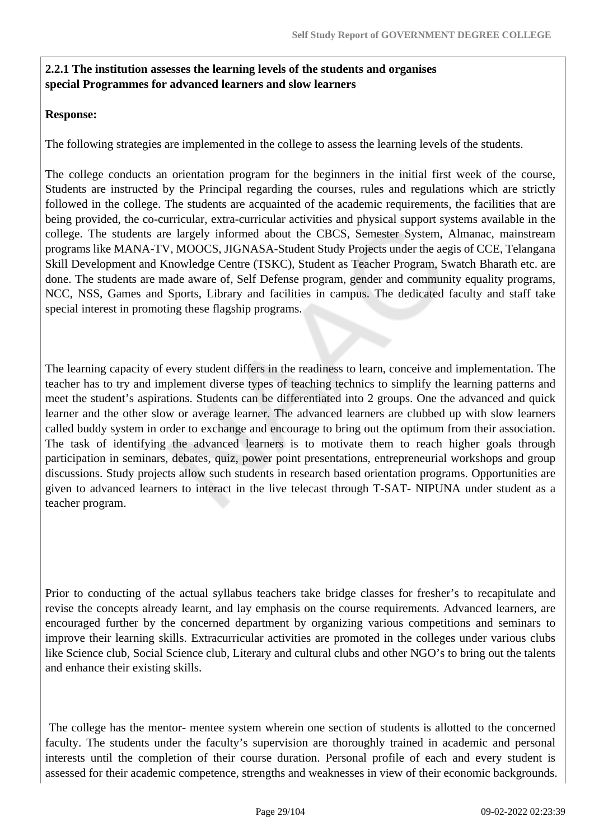### **2.2.1 The institution assesses the learning levels of the students and organises special Programmes for advanced learners and slow learners**

#### **Response:**

The following strategies are implemented in the college to assess the learning levels of the students.

The college conducts an orientation program for the beginners in the initial first week of the course, Students are instructed by the Principal regarding the courses, rules and regulations which are strictly followed in the college. The students are acquainted of the academic requirements, the facilities that are being provided, the co-curricular, extra-curricular activities and physical support systems available in the college. The students are largely informed about the CBCS, Semester System, Almanac, mainstream programs like MANA-TV, MOOCS, JIGNASA-Student Study Projects under the aegis of CCE, Telangana Skill Development and Knowledge Centre (TSKC), Student as Teacher Program, Swatch Bharath etc. are done. The students are made aware of, Self Defense program, gender and community equality programs, NCC, NSS, Games and Sports, Library and facilities in campus. The dedicated faculty and staff take special interest in promoting these flagship programs.

The learning capacity of every student differs in the readiness to learn, conceive and implementation. The teacher has to try and implement diverse types of teaching technics to simplify the learning patterns and meet the student's aspirations. Students can be differentiated into 2 groups. One the advanced and quick learner and the other slow or average learner. The advanced learners are clubbed up with slow learners called buddy system in order to exchange and encourage to bring out the optimum from their association. The task of identifying the advanced learners is to motivate them to reach higher goals through participation in seminars, debates, quiz, power point presentations, entrepreneurial workshops and group discussions. Study projects allow such students in research based orientation programs. Opportunities are given to advanced learners to interact in the live telecast through T-SAT- NIPUNA under student as a teacher program.

Prior to conducting of the actual syllabus teachers take bridge classes for fresher's to recapitulate and revise the concepts already learnt, and lay emphasis on the course requirements. Advanced learners, are encouraged further by the concerned department by organizing various competitions and seminars to improve their learning skills. Extracurricular activities are promoted in the colleges under various clubs like Science club, Social Science club, Literary and cultural clubs and other NGO's to bring out the talents and enhance their existing skills.

 The college has the mentor- mentee system wherein one section of students is allotted to the concerned faculty. The students under the faculty's supervision are thoroughly trained in academic and personal interests until the completion of their course duration. Personal profile of each and every student is assessed for their academic competence, strengths and weaknesses in view of their economic backgrounds.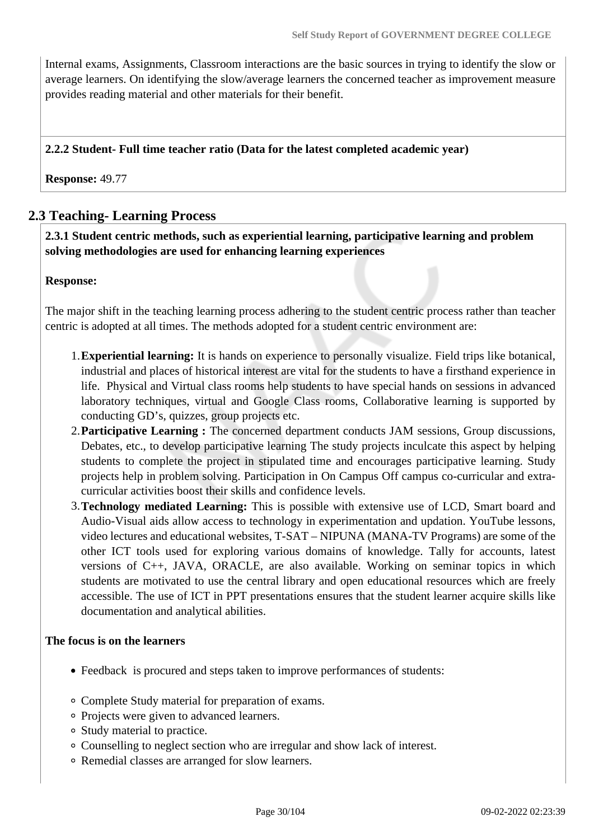Internal exams, Assignments, Classroom interactions are the basic sources in trying to identify the slow or average learners. On identifying the slow/average learners the concerned teacher as improvement measure provides reading material and other materials for their benefit.

#### **2.2.2 Student- Full time teacher ratio (Data for the latest completed academic year)**

**Response:** 49.77

### **2.3 Teaching- Learning Process**

 **2.3.1 Student centric methods, such as experiential learning, participative learning and problem solving methodologies are used for enhancing learning experiences**

#### **Response:**

The major shift in the teaching learning process adhering to the student centric process rather than teacher centric is adopted at all times. The methods adopted for a student centric environment are:

- 1.**Experiential learning:** It is hands on experience to personally visualize. Field trips like botanical, industrial and places of historical interest are vital for the students to have a firsthand experience in life. Physical and Virtual class rooms help students to have special hands on sessions in advanced laboratory techniques, virtual and Google Class rooms, Collaborative learning is supported by conducting GD's, quizzes, group projects etc.
- 2.**Participative Learning :** The concerned department conducts JAM sessions, Group discussions, Debates, etc., to develop participative learning The study projects inculcate this aspect by helping students to complete the project in stipulated time and encourages participative learning. Study projects help in problem solving. Participation in On Campus Off campus co-curricular and extracurricular activities boost their skills and confidence levels.
- 3.**Technology mediated Learning:** This is possible with extensive use of LCD, Smart board and Audio-Visual aids allow access to technology in experimentation and updation. YouTube lessons, video lectures and educational websites, T-SAT – NIPUNA (MANA-TV Programs) are some of the other ICT tools used for exploring various domains of knowledge. Tally for accounts, latest versions of C++, JAVA, ORACLE, are also available. Working on seminar topics in which students are motivated to use the central library and open educational resources which are freely accessible. The use of ICT in PPT presentations ensures that the student learner acquire skills like documentation and analytical abilities.

#### **The focus is on the learners**

- Feedback is procured and steps taken to improve performances of students:
- Complete Study material for preparation of exams.
- Projects were given to advanced learners.
- Study material to practice.
- Counselling to neglect section who are irregular and show lack of interest.
- Remedial classes are arranged for slow learners.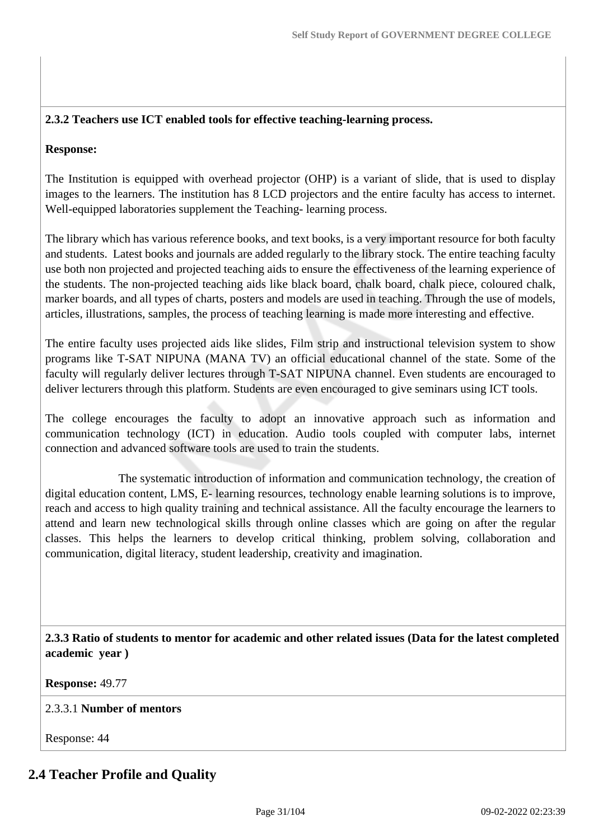#### **2.3.2 Teachers use ICT enabled tools for effective teaching-learning process.**

#### **Response:**

The Institution is equipped with overhead projector (OHP) is a variant of slide, that is used to display images to the learners. The institution has 8 LCD projectors and the entire faculty has access to internet. Well-equipped laboratories supplement the Teaching- learning process.

The library which has various reference books, and text books, is a very important resource for both faculty and students. Latest books and journals are added regularly to the library stock. The entire teaching faculty use both non projected and projected teaching aids to ensure the effectiveness of the learning experience of the students. The non-projected teaching aids like black board, chalk board, chalk piece, coloured chalk, marker boards, and all types of charts, posters and models are used in teaching. Through the use of models, articles, illustrations, samples, the process of teaching learning is made more interesting and effective.

The entire faculty uses projected aids like slides, Film strip and instructional television system to show programs like T-SAT NIPUNA (MANA TV) an official educational channel of the state. Some of the faculty will regularly deliver lectures through T-SAT NIPUNA channel. Even students are encouraged to deliver lecturers through this platform. Students are even encouraged to give seminars using ICT tools.

The college encourages the faculty to adopt an innovative approach such as information and communication technology (ICT) in education. Audio tools coupled with computer labs, internet connection and advanced software tools are used to train the students.

 The systematic introduction of information and communication technology, the creation of digital education content, LMS, E- learning resources, technology enable learning solutions is to improve, reach and access to high quality training and technical assistance. All the faculty encourage the learners to attend and learn new technological skills through online classes which are going on after the regular classes. This helps the learners to develop critical thinking, problem solving, collaboration and communication, digital literacy, student leadership, creativity and imagination.

 **2.3.3 Ratio of students to mentor for academic and other related issues (Data for the latest completed academic year )**

**Response:** 49.77

#### 2.3.3.1 **Number of mentors**

Response: 44

## **2.4 Teacher Profile and Quality**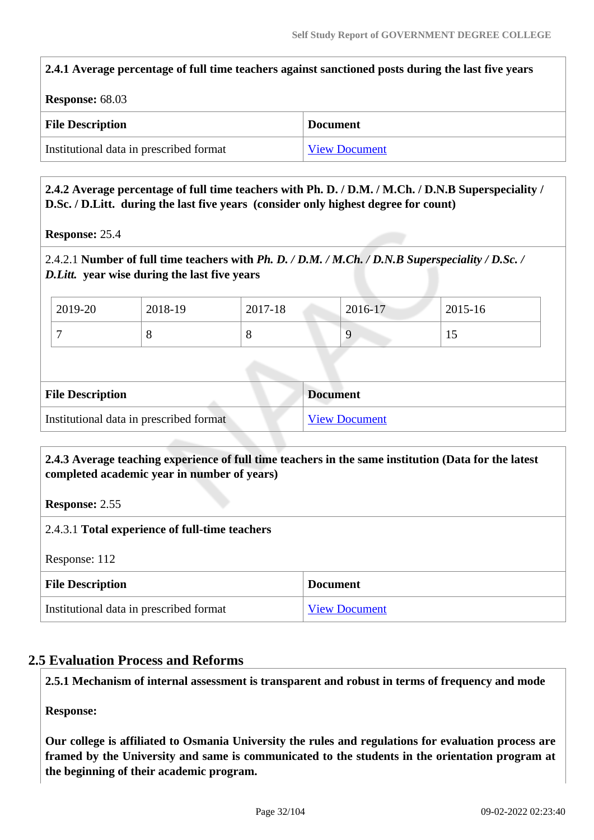**2.4.1 Average percentage of full time teachers against sanctioned posts during the last five years Response:** 68.03 **File Description Document** Institutional data in prescribed format [View Document](https://assessmentonline.naac.gov.in/storage/app/hei/SSR/107020/2.4.1_1619439507_4538.xlsx)

#### **2.4.2 Average percentage of full time teachers with Ph. D. / D.M. / M.Ch. / D.N.B Superspeciality / D.Sc. / D.Litt. during the last five years (consider only highest degree for count)**

**Response:** 25.4

2.4.2.1 **Number of full time teachers with** *Ph. D. / D.M. / M.Ch. / D.N.B Superspeciality / D.Sc. / D.Litt.* **year wise during the last five years**

| 2019-20 | 2018-19 | 2017-18 | 2016-17  | 2015-16 |
|---------|---------|---------|----------|---------|
|         |         |         | $\Omega$ | ⊥ື      |

| <b>File Description</b>                 | <b>Document</b>      |
|-----------------------------------------|----------------------|
| Institutional data in prescribed format | <b>View Document</b> |

### **2.4.3 Average teaching experience of full time teachers in the same institution (Data for the latest completed academic year in number of years)**

**Response:** 2.55

#### 2.4.3.1 **Total experience of full-time teachers**

Response: 112

| <b>File Description</b>                 | <b>Document</b>      |
|-----------------------------------------|----------------------|
| Institutional data in prescribed format | <b>View Document</b> |

### **2.5 Evaluation Process and Reforms**

**2.5.1 Mechanism of internal assessment is transparent and robust in terms of frequency and mode**

**Response:** 

**Our college is affiliated to Osmania University the rules and regulations for evaluation process are framed by the University and same is communicated to the students in the orientation program at the beginning of their academic program.**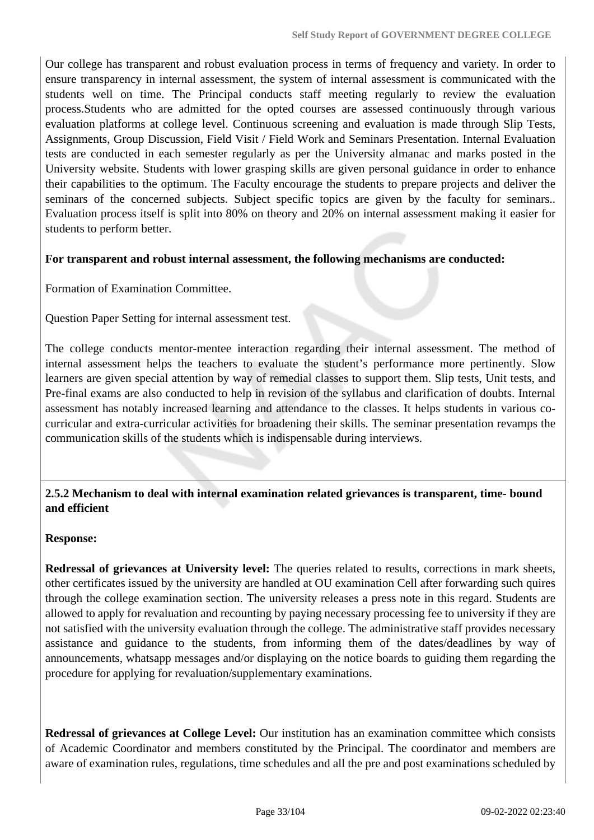Our college has transparent and robust evaluation process in terms of frequency and variety. In order to ensure transparency in internal assessment, the system of internal assessment is communicated with the students well on time. The Principal conducts staff meeting regularly to review the evaluation process.Students who are admitted for the opted courses are assessed continuously through various evaluation platforms at college level. Continuous screening and evaluation is made through Slip Tests, Assignments, Group Discussion, Field Visit / Field Work and Seminars Presentation. Internal Evaluation tests are conducted in each semester regularly as per the University almanac and marks posted in the University website. Students with lower grasping skills are given personal guidance in order to enhance their capabilities to the optimum. The Faculty encourage the students to prepare projects and deliver the seminars of the concerned subjects. Subject specific topics are given by the faculty for seminars.. Evaluation process itself is split into 80% on theory and 20% on internal assessment making it easier for students to perform better.

#### **For transparent and robust internal assessment, the following mechanisms are conducted:**

Formation of Examination Committee.

Question Paper Setting for internal assessment test.

The college conducts mentor-mentee interaction regarding their internal assessment. The method of internal assessment helps the teachers to evaluate the student's performance more pertinently. Slow learners are given special attention by way of remedial classes to support them. Slip tests, Unit tests, and Pre-final exams are also conducted to help in revision of the syllabus and clarification of doubts. Internal assessment has notably increased learning and attendance to the classes. It helps students in various cocurricular and extra-curricular activities for broadening their skills. The seminar presentation revamps the communication skills of the students which is indispensable during interviews.

### **2.5.2 Mechanism to deal with internal examination related grievances is transparent, time- bound and efficient**

#### **Response:**

**Redressal of grievances at University level:** The queries related to results, corrections in mark sheets, other certificates issued by the university are handled at OU examination Cell after forwarding such quires through the college examination section. The university releases a press note in this regard. Students are allowed to apply for revaluation and recounting by paying necessary processing fee to university if they are not satisfied with the university evaluation through the college. The administrative staff provides necessary assistance and guidance to the students, from informing them of the dates/deadlines by way of announcements, whatsapp messages and/or displaying on the notice boards to guiding them regarding the procedure for applying for revaluation/supplementary examinations.

**Redressal of grievances at College Level:** Our institution has an examination committee which consists of Academic Coordinator and members constituted by the Principal. The coordinator and members are aware of examination rules, regulations, time schedules and all the pre and post examinations scheduled by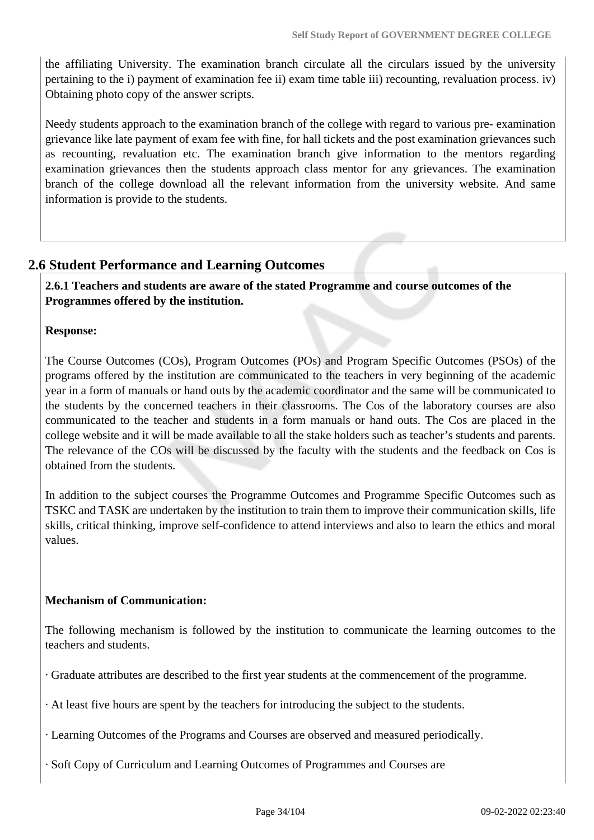the affiliating University. The examination branch circulate all the circulars issued by the university pertaining to the i) payment of examination fee ii) exam time table iii) recounting, revaluation process. iv) Obtaining photo copy of the answer scripts.

Needy students approach to the examination branch of the college with regard to various pre- examination grievance like late payment of exam fee with fine, for hall tickets and the post examination grievances such as recounting, revaluation etc. The examination branch give information to the mentors regarding examination grievances then the students approach class mentor for any grievances. The examination branch of the college download all the relevant information from the university website. And same information is provide to the students.

## **2.6 Student Performance and Learning Outcomes**

 **2.6.1 Teachers and students are aware of the stated Programme and course outcomes of the Programmes offered by the institution.**

### **Response:**

The Course Outcomes (COs), Program Outcomes (POs) and Program Specific Outcomes (PSOs) of the programs offered by the institution are communicated to the teachers in very beginning of the academic year in a form of manuals or hand outs by the academic coordinator and the same will be communicated to the students by the concerned teachers in their classrooms. The Cos of the laboratory courses are also communicated to the teacher and students in a form manuals or hand outs. The Cos are placed in the college website and it will be made available to all the stake holders such as teacher's students and parents. The relevance of the COs will be discussed by the faculty with the students and the feedback on Cos is obtained from the students.

In addition to the subject courses the Programme Outcomes and Programme Specific Outcomes such as TSKC and TASK are undertaken by the institution to train them to improve their communication skills, life skills, critical thinking, improve self-confidence to attend interviews and also to learn the ethics and moral values.

#### **Mechanism of Communication:**

The following mechanism is followed by the institution to communicate the learning outcomes to the teachers and students.

- · Graduate attributes are described to the first year students at the commencement of the programme.
- · At least five hours are spent by the teachers for introducing the subject to the students.
- · Learning Outcomes of the Programs and Courses are observed and measured periodically.
- · Soft Copy of Curriculum and Learning Outcomes of Programmes and Courses are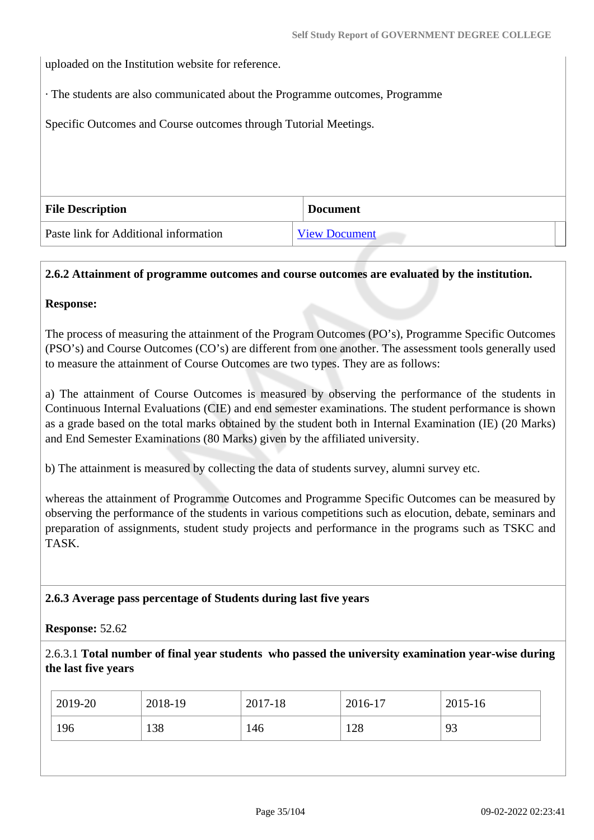uploaded on the Institution website for reference.

· The students are also communicated about the Programme outcomes, Programme

Specific Outcomes and Course outcomes through Tutorial Meetings.

| <b>File Description</b>               | <b>Document</b>      |
|---------------------------------------|----------------------|
| Paste link for Additional information | <b>View Document</b> |

#### **2.6.2 Attainment of programme outcomes and course outcomes are evaluated by the institution.**

#### **Response:**

The process of measuring the attainment of the Program Outcomes (PO's), Programme Specific Outcomes (PSO's) and Course Outcomes (CO's) are different from one another. The assessment tools generally used to measure the attainment of Course Outcomes are two types. They are as follows:

a) The attainment of Course Outcomes is measured by observing the performance of the students in Continuous Internal Evaluations (CIE) and end semester examinations. The student performance is shown as a grade based on the total marks obtained by the student both in Internal Examination (IE) (20 Marks) and End Semester Examinations (80 Marks) given by the affiliated university.

b) The attainment is measured by collecting the data of students survey, alumni survey etc.

whereas the attainment of Programme Outcomes and Programme Specific Outcomes can be measured by observing the performance of the students in various competitions such as elocution, debate, seminars and preparation of assignments, student study projects and performance in the programs such as TSKC and TASK.

#### **2.6.3 Average pass percentage of Students during last five years**

#### **Response:** 52.62

2.6.3.1 **Total number of final year students who passed the university examination year-wise during the last five years**

| 2019-20 | 2018-19 | 2017-18 | 2016-17 | 2015-16 |
|---------|---------|---------|---------|---------|
| 196     | 138     | 146     | 128     | 93      |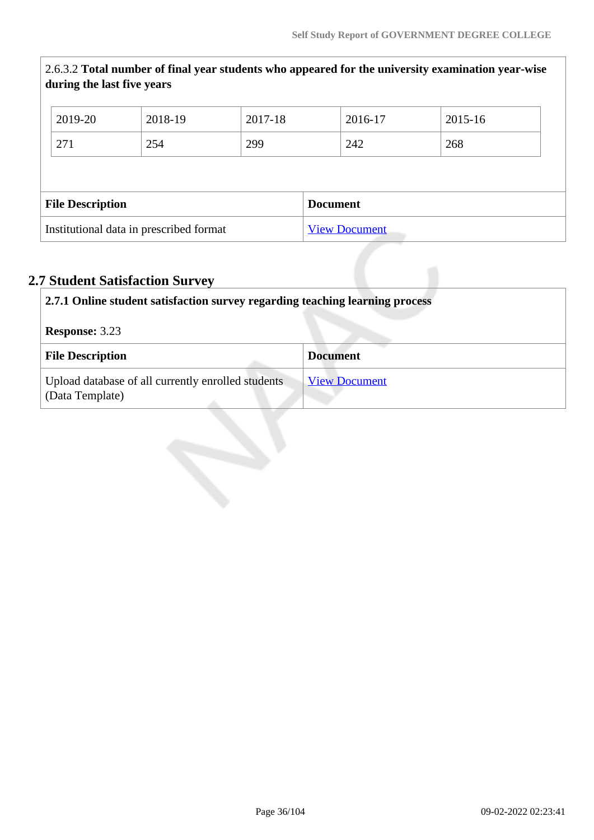|                         | during the last five years              |         |                 |                      |         | 2.6.3.2 Total number of final year students who appeared for the university examination year-wise |  |
|-------------------------|-----------------------------------------|---------|-----------------|----------------------|---------|---------------------------------------------------------------------------------------------------|--|
|                         | 2019-20                                 | 2018-19 | 2017-18         |                      | 2016-17 | $2015 - 16$                                                                                       |  |
|                         | 271                                     | 254     | 299             |                      | 242     | 268                                                                                               |  |
|                         |                                         |         |                 |                      |         |                                                                                                   |  |
| <b>File Description</b> |                                         |         | <b>Document</b> |                      |         |                                                                                                   |  |
|                         | Institutional data in prescribed format |         |                 | <b>View Document</b> |         |                                                                                                   |  |

## **2.7 Student Satisfaction Survey**

| 2.7.1 Online student satisfaction survey regarding teaching learning process |                      |  |  |  |
|------------------------------------------------------------------------------|----------------------|--|--|--|
| <b>Response: 3.23</b>                                                        |                      |  |  |  |
| <b>File Description</b>                                                      | <b>Document</b>      |  |  |  |
| Upload database of all currently enrolled students<br>(Data Template)        | <b>View Document</b> |  |  |  |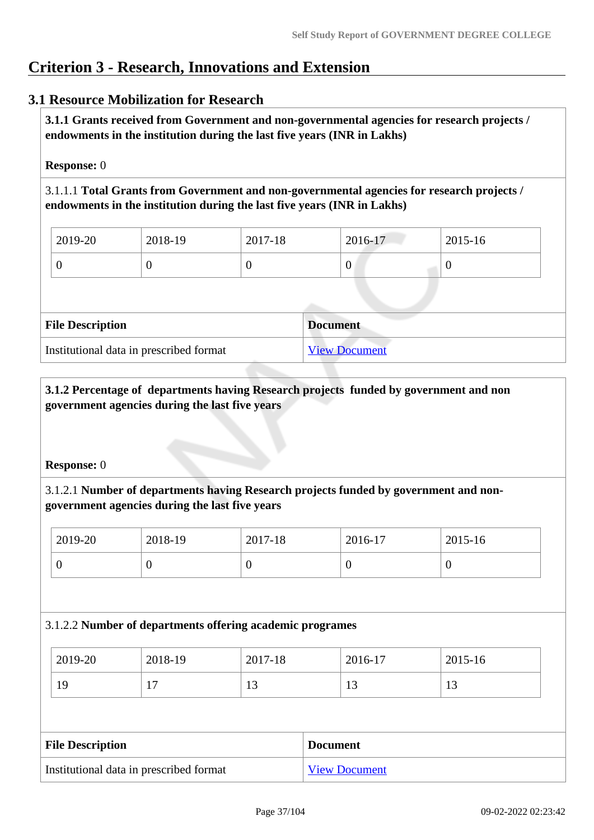# **Criterion 3 - Research, Innovations and Extension**

# **3.1 Resource Mobilization for Research**

 **3.1.1 Grants received from Government and non-governmental agencies for research projects / endowments in the institution during the last five years (INR in Lakhs)** 

# **Response:** 0

3.1.1.1 **Total Grants from Government and non-governmental agencies for research projects / endowments in the institution during the last five years (INR in Lakhs)**

| $\frac{1}{2019}$ -20 | $2018-19$ | 2017-18 | 2016-17 | $2015 - 16$ |
|----------------------|-----------|---------|---------|-------------|
|                      | ν         |         | 0       |             |

| <b>File Description</b>                 | <b>Document</b>      |
|-----------------------------------------|----------------------|
| Institutional data in prescribed format | <b>View Document</b> |

# **3.1.2 Percentage of departments having Research projects funded by government and non government agencies during the last five years**

# **Response:** 0

# 3.1.2.1 **Number of departments having Research projects funded by government and nongovernment agencies during the last five years**

| 2019-20 | 2018-19 | 2017-18 | 2016-17 | $2015 - 16$ |
|---------|---------|---------|---------|-------------|
|         | ν       |         |         | v           |

# 3.1.2.2 **Number of departments offering academic programes**

| 2019-20 | 2018-19 | 2017-18 | 2016-17        | 2015-16 |
|---------|---------|---------|----------------|---------|
| 19      | -       | $\sim$  | 1 <sub>2</sub> | ຳ       |
|         | . .     |         |                |         |

| <b>File Description</b>                 | Document             |
|-----------------------------------------|----------------------|
| Institutional data in prescribed format | <b>View Document</b> |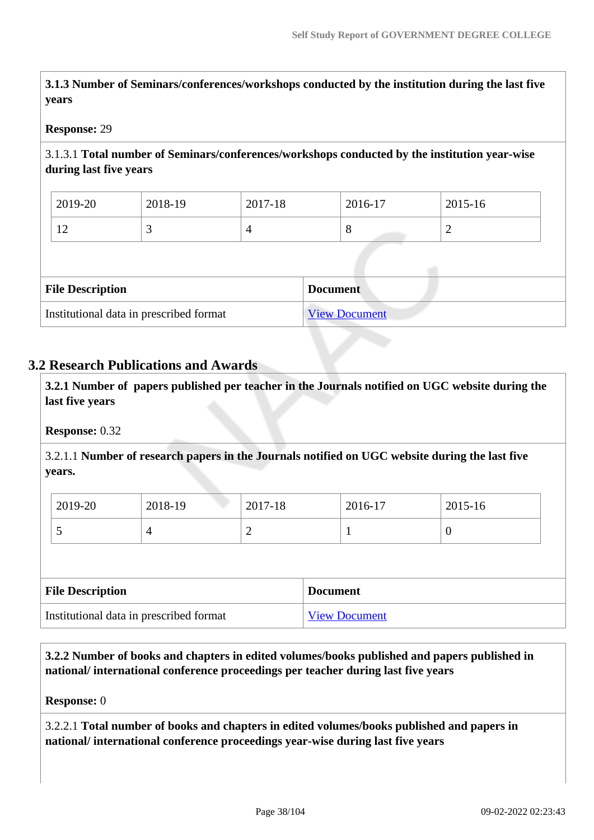**3.1.3 Number of Seminars/conferences/workshops conducted by the institution during the last five years**

#### **Response:** 29

# 3.1.3.1 **Total number of Seminars/conferences/workshops conducted by the institution year-wise during last five years**

| 2019-20     | 2018-19 | 2017-18 | 2016-17 | 2015-16 |
|-------------|---------|---------|---------|---------|
| $\sim$<br>∸ |         |         | $\circ$ | ∼       |

| <b>File Description</b>                 | <b>Document</b>      |
|-----------------------------------------|----------------------|
| Institutional data in prescribed format | <b>View Document</b> |

# **3.2 Research Publications and Awards**

 **3.2.1 Number of papers published per teacher in the Journals notified on UGC website during the last five years** 

**Response:** 0.32

3.2.1.1 **Number of research papers in the Journals notified on UGC website during the last five years.**

| 2019-20 | 2018-19 | 2017-18 | 2016-17  | 2015-16 |
|---------|---------|---------|----------|---------|
| ັ       |         | -       | <b>.</b> | ν       |

| <b>File Description</b>                 | <b>Document</b>      |
|-----------------------------------------|----------------------|
| Institutional data in prescribed format | <b>View Document</b> |

 **3.2.2 Number of books and chapters in edited volumes/books published and papers published in national/ international conference proceedings per teacher during last five years**

**Response:** 0

3.2.2.1 **Total number of books and chapters in edited volumes/books published and papers in national/ international conference proceedings year-wise during last five years**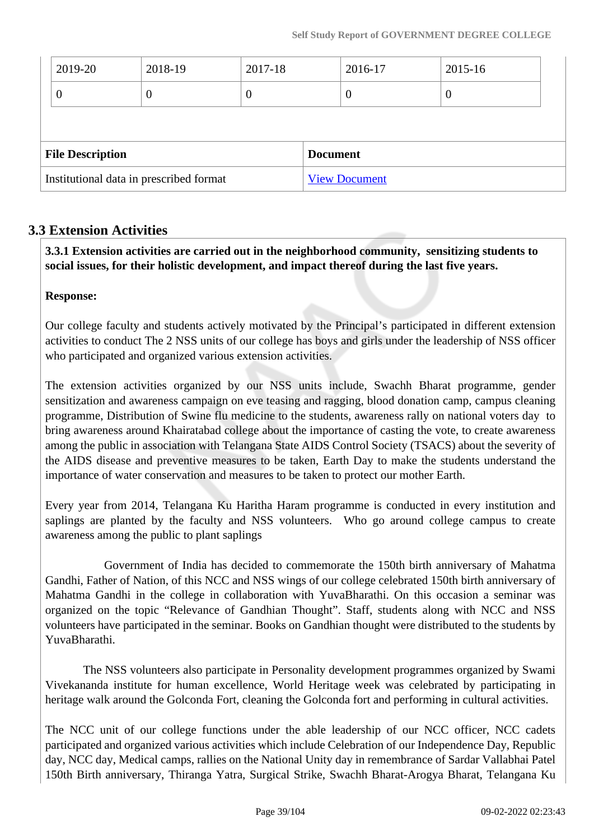| <b>File Description</b><br>Institutional data in prescribed format |  | <b>Document</b> | <b>View Document</b> |  |         |                |  |
|--------------------------------------------------------------------|--|-----------------|----------------------|--|---------|----------------|--|
|                                                                    |  |                 |                      |  |         |                |  |
| 0                                                                  |  | $\theta$        | 0                    |  | U       | $\overline{0}$ |  |
| 2019-20                                                            |  | 2018-19         | 2017-18              |  | 2016-17 | 2015-16        |  |

# **3.3 Extension Activities**

 **3.3.1 Extension activities are carried out in the neighborhood community, sensitizing students to social issues, for their holistic development, and impact thereof during the last five years.**

# **Response:**

Our college faculty and students actively motivated by the Principal's participated in different extension activities to conduct The 2 NSS units of our college has boys and girls under the leadership of NSS officer who participated and organized various extension activities.

The extension activities organized by our NSS units include, Swachh Bharat programme, gender sensitization and awareness campaign on eve teasing and ragging, blood donation camp, campus cleaning programme, Distribution of Swine flu medicine to the students, awareness rally on national voters day to bring awareness around Khairatabad college about the importance of casting the vote, to create awareness among the public in association with Telangana State AIDS Control Society (TSACS) about the severity of the AIDS disease and preventive measures to be taken, Earth Day to make the students understand the importance of water conservation and measures to be taken to protect our mother Earth.

Every year from 2014, Telangana Ku Haritha Haram programme is conducted in every institution and saplings are planted by the faculty and NSS volunteers. Who go around college campus to create awareness among the public to plant saplings

 Government of India has decided to commemorate the 150th birth anniversary of Mahatma Gandhi, Father of Nation, of this NCC and NSS wings of our college celebrated 150th birth anniversary of Mahatma Gandhi in the college in collaboration with YuvaBharathi. On this occasion a seminar was organized on the topic "Relevance of Gandhian Thought". Staff, students along with NCC and NSS volunteers have participated in the seminar. Books on Gandhian thought were distributed to the students by YuvaBharathi.

 The NSS volunteers also participate in Personality development programmes organized by Swami Vivekananda institute for human excellence, World Heritage week was celebrated by participating in heritage walk around the Golconda Fort, cleaning the Golconda fort and performing in cultural activities.

The NCC unit of our college functions under the able leadership of our NCC officer, NCC cadets participated and organized various activities which include Celebration of our Independence Day, Republic day, NCC day, Medical camps, rallies on the National Unity day in remembrance of Sardar Vallabhai Patel 150th Birth anniversary, Thiranga Yatra, Surgical Strike, Swachh Bharat-Arogya Bharat, Telangana Ku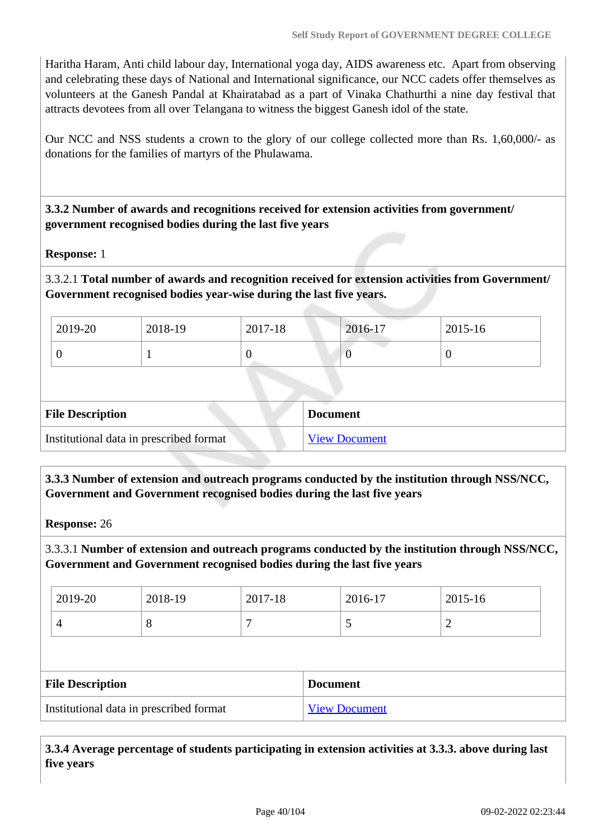Haritha Haram, Anti child labour day, International yoga day, AIDS awareness etc. Apart from observing and celebrating these days of National and International significance, our NCC cadets offer themselves as volunteers at the Ganesh Pandal at Khairatabad as a part of Vinaka Chathurthi a nine day festival that attracts devotees from all over Telangana to witness the biggest Ganesh idol of the state.

Our NCC and NSS students a crown to the glory of our college collected more than Rs. 1,60,000/- as donations for the families of martyrs of the Phulawama.

 **3.3.2 Number of awards and recognitions received for extension activities from government/ government recognised bodies during the last five years**

#### **Response:** 1

3.3.2.1 **Total number of awards and recognition received for extension activities from Government/ Government recognised bodies year-wise during the last five years.**

| $12019-20$ | 2018-19 | 2017-18 | 2016-17 | 2015-16 |
|------------|---------|---------|---------|---------|
|            |         |         |         | ◡       |

| <b>File Description</b>                 | <b>Document</b>      |
|-----------------------------------------|----------------------|
| Institutional data in prescribed format | <b>View Document</b> |

 **3.3.3 Number of extension and outreach programs conducted by the institution through NSS/NCC, Government and Government recognised bodies during the last five years**

**Response:** 26

3.3.3.1 **Number of extension and outreach programs conducted by the institution through NSS/NCC, Government and Government recognised bodies during the last five years**

| 2019-20 | 2018-19 | 2017-18 | 2016-17 | 2015-16 |
|---------|---------|---------|---------|---------|
|         | O       |         | ັ       | ∽       |

| <b>File Description</b>                 | <b>Document</b>      |
|-----------------------------------------|----------------------|
| Institutional data in prescribed format | <b>View Document</b> |

 **3.3.4 Average percentage of students participating in extension activities at 3.3.3. above during last five years**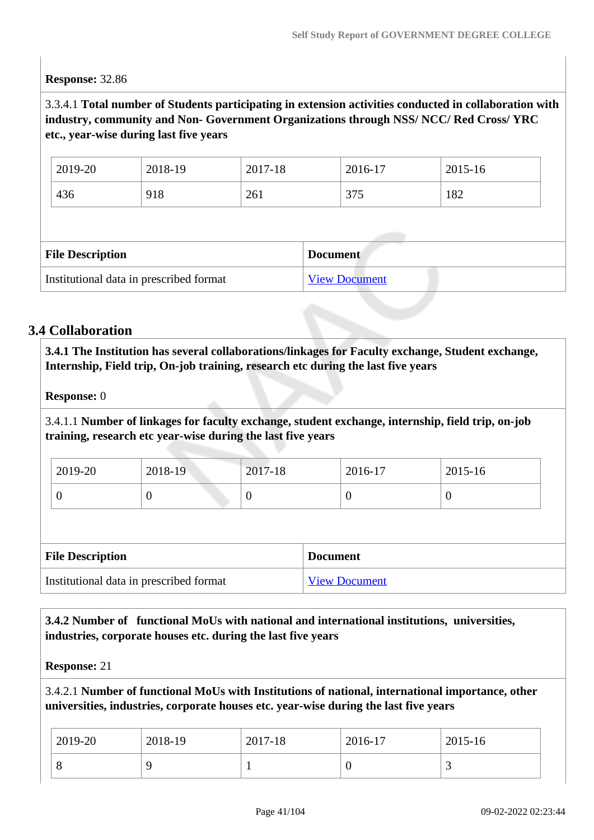**Response:** 32.86

# 3.3.4.1 **Total number of Students participating in extension activities conducted in collaboration with industry, community and Non- Government Organizations through NSS/ NCC/ Red Cross/ YRC etc., year-wise during last five years**

# **3.4 Collaboration**

 **3.4.1 The Institution has several collaborations/linkages for Faculty exchange, Student exchange, Internship, Field trip, On-job training, research etc during the last five years** 

#### **Response:** 0

3.4.1.1 **Number of linkages for faculty exchange, student exchange, internship, field trip, on-job training, research etc year-wise during the last five years**

| 2019-20 | 2018-19 | 2017-18 | 2016-17 | 2015-16 |
|---------|---------|---------|---------|---------|
|         |         |         | U       |         |

| <b>File Description</b>                 | <b>Document</b>      |
|-----------------------------------------|----------------------|
| Institutional data in prescribed format | <b>View Document</b> |

# **3.4.2 Number of functional MoUs with national and international institutions, universities, industries, corporate houses etc. during the last five years**

**Response:** 21

3.4.2.1 **Number of functional MoUs with Institutions of national, international importance, other universities, industries, corporate houses etc. year-wise during the last five years**

| 2019-20 | 2018-19 | 2017-18  | 2016-17 | 2015-16  |
|---------|---------|----------|---------|----------|
|         |         | <b>.</b> | ◡       | <u>ب</u> |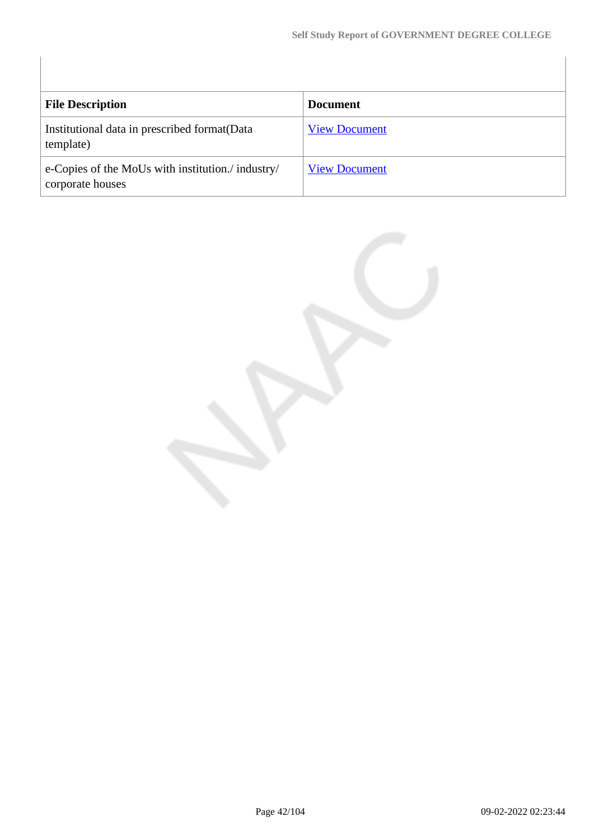| <b>File Description</b>                                               | <b>Document</b>      |
|-----------------------------------------------------------------------|----------------------|
| Institutional data in prescribed format (Data<br>template)            | <b>View Document</b> |
| e-Copies of the MoUs with institution./ industry/<br>corporate houses | <b>View Document</b> |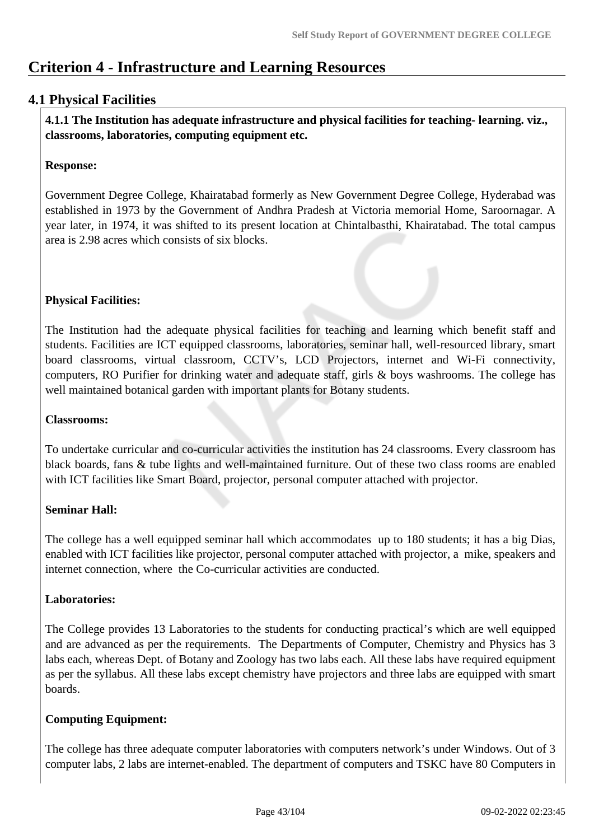# **Criterion 4 - Infrastructure and Learning Resources**

# **4.1 Physical Facilities**

 **4.1.1 The Institution has adequate infrastructure and physical facilities for teaching- learning. viz., classrooms, laboratories, computing equipment etc.** 

# **Response:**

Government Degree College, Khairatabad formerly as New Government Degree College, Hyderabad was established in 1973 by the Government of Andhra Pradesh at Victoria memorial Home, Saroornagar. A year later, in 1974, it was shifted to its present location at Chintalbasthi, Khairatabad. The total campus area is 2.98 acres which consists of six blocks.

# **Physical Facilities:**

The Institution had the adequate physical facilities for teaching and learning which benefit staff and students. Facilities are ICT equipped classrooms, laboratories, seminar hall, well-resourced library, smart board classrooms, virtual classroom, CCTV's, LCD Projectors, internet and Wi-Fi connectivity, computers, RO Purifier for drinking water and adequate staff, girls & boys washrooms. The college has well maintained botanical garden with important plants for Botany students.

#### **Classrooms:**

To undertake curricular and co-curricular activities the institution has 24 classrooms. Every classroom has black boards, fans & tube lights and well-maintained furniture. Out of these two class rooms are enabled with ICT facilities like Smart Board, projector, personal computer attached with projector.

# **Seminar Hall:**

The college has a well equipped seminar hall which accommodates up to 180 students; it has a big Dias, enabled with ICT facilities like projector, personal computer attached with projector, a mike, speakers and internet connection, where the Co-curricular activities are conducted.

# **Laboratories:**

The College provides 13 Laboratories to the students for conducting practical's which are well equipped and are advanced as per the requirements. The Departments of Computer, Chemistry and Physics has 3 labs each, whereas Dept. of Botany and Zoology has two labs each. All these labs have required equipment as per the syllabus. All these labs except chemistry have projectors and three labs are equipped with smart boards.

# **Computing Equipment:**

The college has three adequate computer laboratories with computers network's under Windows. Out of 3 computer labs, 2 labs are internet-enabled. The department of computers and TSKC have 80 Computers in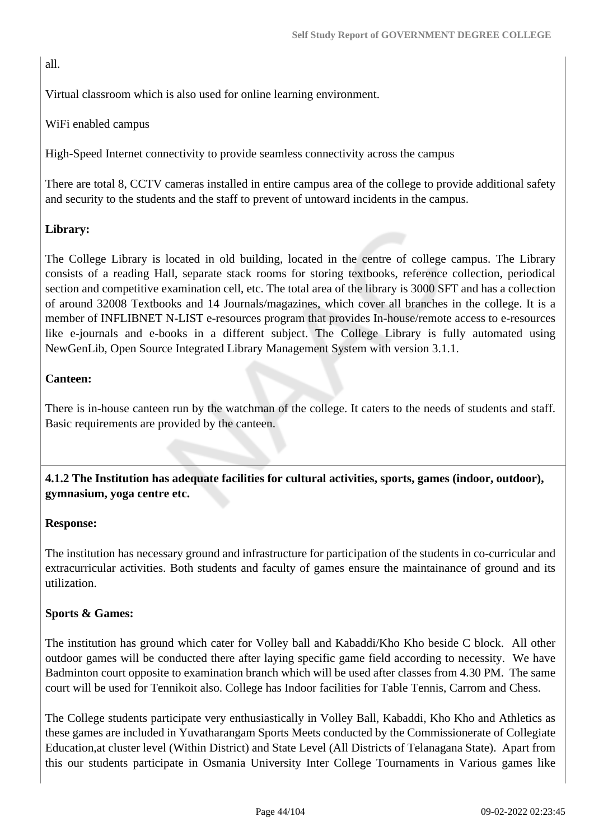# all.

Virtual classroom which is also used for online learning environment.

WiFi enabled campus

High-Speed Internet connectivity to provide seamless connectivity across the campus

There are total 8, CCTV cameras installed in entire campus area of the college to provide additional safety and security to the students and the staff to prevent of untoward incidents in the campus.

# **Library:**

The College Library is located in old building, located in the centre of college campus. The Library consists of a reading Hall, separate stack rooms for storing textbooks, reference collection, periodical section and competitive examination cell, etc. The total area of the library is 3000 SFT and has a collection of around 32008 Textbooks and 14 Journals/magazines, which cover all branches in the college. It is a member of INFLIBNET N-LIST e-resources program that provides In-house/remote access to e-resources like e-journals and e-books in a different subject. The College Library is fully automated using NewGenLib, Open Source Integrated Library Management System with version 3.1.1.

# **Canteen:**

There is in-house canteen run by the watchman of the college. It caters to the needs of students and staff. Basic requirements are provided by the canteen.

 **4.1.2 The Institution has adequate facilities for cultural activities, sports, games (indoor, outdoor), gymnasium, yoga centre etc.** 

# **Response:**

The institution has necessary ground and infrastructure for participation of the students in co-curricular and extracurricular activities. Both students and faculty of games ensure the maintainance of ground and its utilization.

# **Sports & Games:**

The institution has ground which cater for Volley ball and Kabaddi/Kho Kho beside C block. All other outdoor games will be conducted there after laying specific game field according to necessity. We have Badminton court opposite to examination branch which will be used after classes from 4.30 PM. The same court will be used for Tennikoit also. College has Indoor facilities for Table Tennis, Carrom and Chess.

The College students participate very enthusiastically in Volley Ball, Kabaddi, Kho Kho and Athletics as these games are included in Yuvatharangam Sports Meets conducted by the Commissionerate of Collegiate Education,at cluster level (Within District) and State Level (All Districts of Telanagana State). Apart from this our students participate in Osmania University Inter College Tournaments in Various games like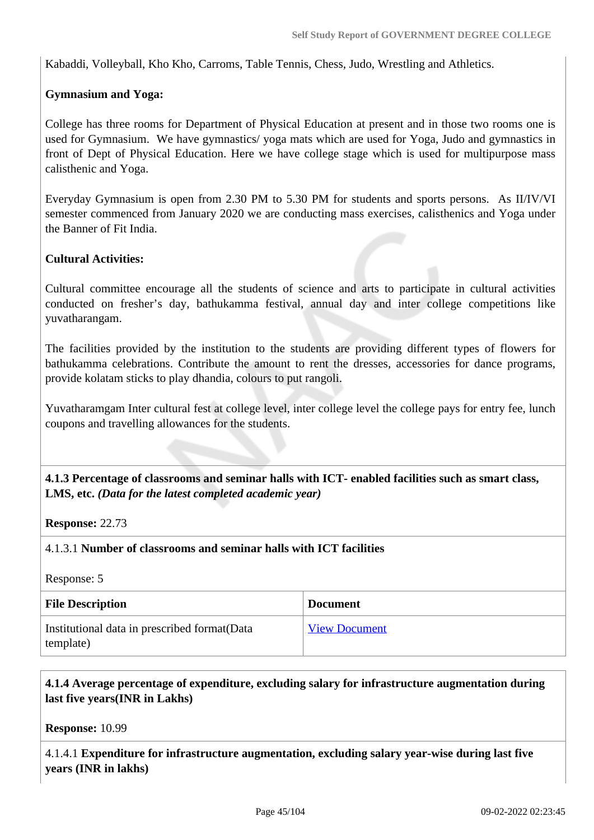Kabaddi, Volleyball, Kho Kho, Carroms, Table Tennis, Chess, Judo, Wrestling and Athletics.

# **Gymnasium and Yoga:**

College has three rooms for Department of Physical Education at present and in those two rooms one is used for Gymnasium. We have gymnastics/ yoga mats which are used for Yoga, Judo and gymnastics in front of Dept of Physical Education. Here we have college stage which is used for multipurpose mass calisthenic and Yoga.

Everyday Gymnasium is open from 2.30 PM to 5.30 PM for students and sports persons. As II/IV/VI semester commenced from January 2020 we are conducting mass exercises, calisthenics and Yoga under the Banner of Fit India.

# **Cultural Activities:**

Cultural committee encourage all the students of science and arts to participate in cultural activities conducted on fresher's day, bathukamma festival, annual day and inter college competitions like yuvatharangam.

The facilities provided by the institution to the students are providing different types of flowers for bathukamma celebrations. Contribute the amount to rent the dresses, accessories for dance programs, provide kolatam sticks to play dhandia, colours to put rangoli.

Yuvatharamgam Inter cultural fest at college level, inter college level the college pays for entry fee, lunch coupons and travelling allowances for the students.

 **4.1.3 Percentage of classrooms and seminar halls with ICT- enabled facilities such as smart class, LMS, etc.** *(Data for the latest completed academic year)*

**Response:** 22.73

#### 4.1.3.1 **Number of classrooms and seminar halls with ICT facilities**

Response: 5

| <b>File Description</b>                                    | <b>Document</b>      |
|------------------------------------------------------------|----------------------|
| Institutional data in prescribed format (Data<br>template) | <b>View Document</b> |

# **4.1.4 Average percentage of expenditure, excluding salary for infrastructure augmentation during last five years(INR in Lakhs)**

**Response:** 10.99

4.1.4.1 **Expenditure for infrastructure augmentation, excluding salary year-wise during last five years (INR in lakhs)**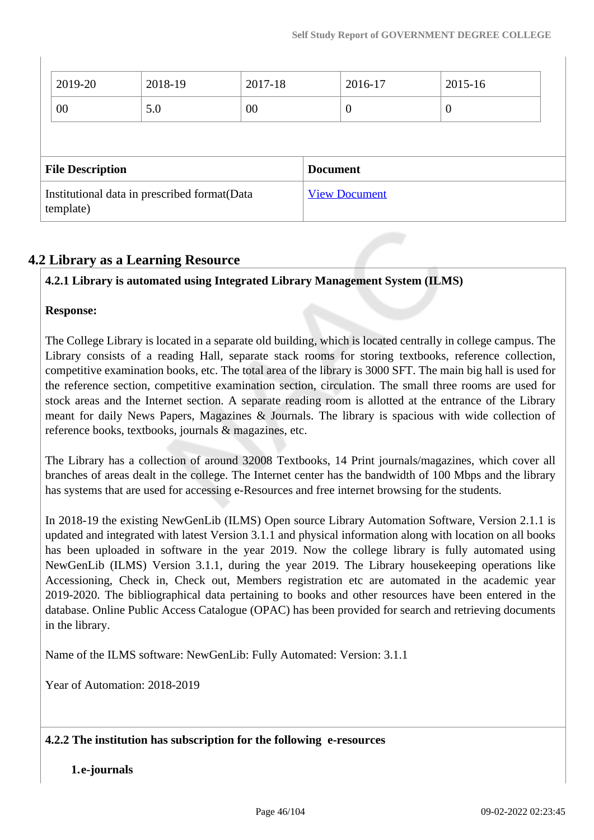| 2019-20                 | 2018-19 | 2017-18 |                 | 2016-17        | 2015-16          |  |
|-------------------------|---------|---------|-----------------|----------------|------------------|--|
| 00                      | 5.0     | 00      |                 | $\overline{0}$ | $\boldsymbol{0}$ |  |
|                         |         |         |                 |                |                  |  |
|                         |         |         |                 |                |                  |  |
| <b>File Description</b> |         |         | <b>Document</b> |                |                  |  |

# **4.2 Library as a Learning Resource**

# **4.2.1 Library is automated using Integrated Library Management System (ILMS)**

#### **Response:**

 $\overline{\phantom{a}}$ 

The College Library is located in a separate old building, which is located centrally in college campus. The Library consists of a reading Hall, separate stack rooms for storing textbooks, reference collection, competitive examination books, etc. The total area of the library is 3000 SFT. The main big hall is used for the reference section, competitive examination section, circulation. The small three rooms are used for stock areas and the Internet section. A separate reading room is allotted at the entrance of the Library meant for daily News Papers, Magazines & Journals. The library is spacious with wide collection of reference books, textbooks, journals & magazines, etc.

The Library has a collection of around 32008 Textbooks, 14 Print journals/magazines, which cover all branches of areas dealt in the college. The Internet center has the bandwidth of 100 Mbps and the library has systems that are used for accessing e-Resources and free internet browsing for the students.

In 2018-19 the existing NewGenLib (ILMS) Open source Library Automation Software, Version 2.1.1 is updated and integrated with latest Version 3.1.1 and physical information along with location on all books has been uploaded in software in the year 2019. Now the college library is fully automated using NewGenLib (ILMS) Version 3.1.1, during the year 2019. The Library housekeeping operations like Accessioning, Check in, Check out, Members registration etc are automated in the academic year 2019-2020. The bibliographical data pertaining to books and other resources have been entered in the database. Online Public Access Catalogue (OPAC) has been provided for search and retrieving documents in the library.

Name of the ILMS software: NewGenLib: Fully Automated: Version: 3.1.1

Year of Automation: 2018-2019

**4.2.2 The institution has subscription for the following e-resources**

**1.e-journals**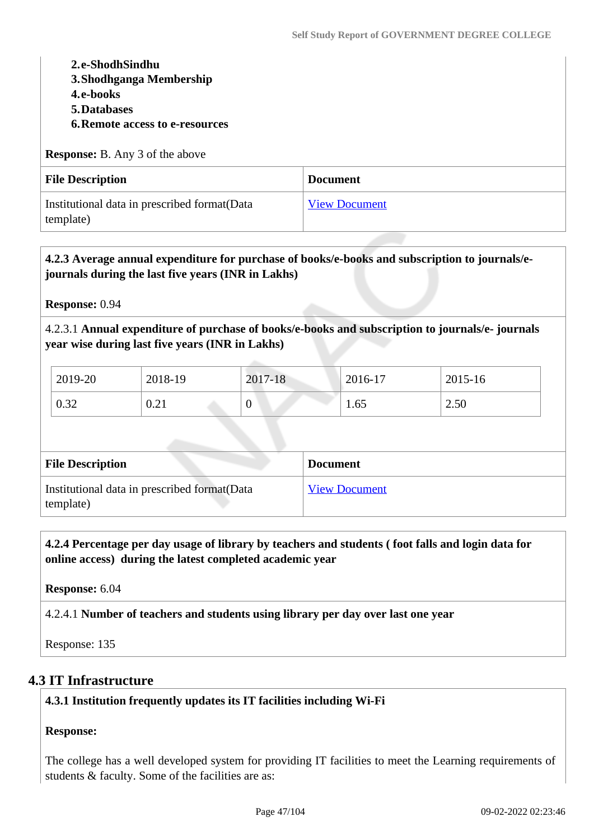# **2.e-ShodhSindhu**

# **3.Shodhganga Membership**

- **4.e-books**
- **5.Databases**
- **6.Remote access to e-resources**

**Response:** B. Any 3 of the above

| <b>File Description</b>                                    | <b>Document</b>      |
|------------------------------------------------------------|----------------------|
| Institutional data in prescribed format (Data<br>template) | <b>View Document</b> |

# **4.2.3 Average annual expenditure for purchase of books/e-books and subscription to journals/ejournals during the last five years (INR in Lakhs)**

**Response:** 0.94

4.2.3.1 **Annual expenditure of purchase of books/e-books and subscription to journals/e- journals year wise during last five years (INR in Lakhs)**

| 2019-20 | 2018-19 | 2017-18 | $2016 - 17$ | 2015-16 |
|---------|---------|---------|-------------|---------|
| 0.32    | 0.21    | υ       | 1.65        | 2.50    |

| <b>File Description</b>                                    | <b>Document</b>      |
|------------------------------------------------------------|----------------------|
| Institutional data in prescribed format (Data<br>template) | <b>View Document</b> |

 **4.2.4 Percentage per day usage of library by teachers and students ( foot falls and login data for online access) during the latest completed academic year**

**Response:** 6.04

4.2.4.1 **Number of teachers and students using library per day over last one year**

Response: 135

# **4.3 IT Infrastructure**

# **4.3.1 Institution frequently updates its IT facilities including Wi-Fi**

# **Response:**

The college has a well developed system for providing IT facilities to meet the Learning requirements of students & faculty. Some of the facilities are as: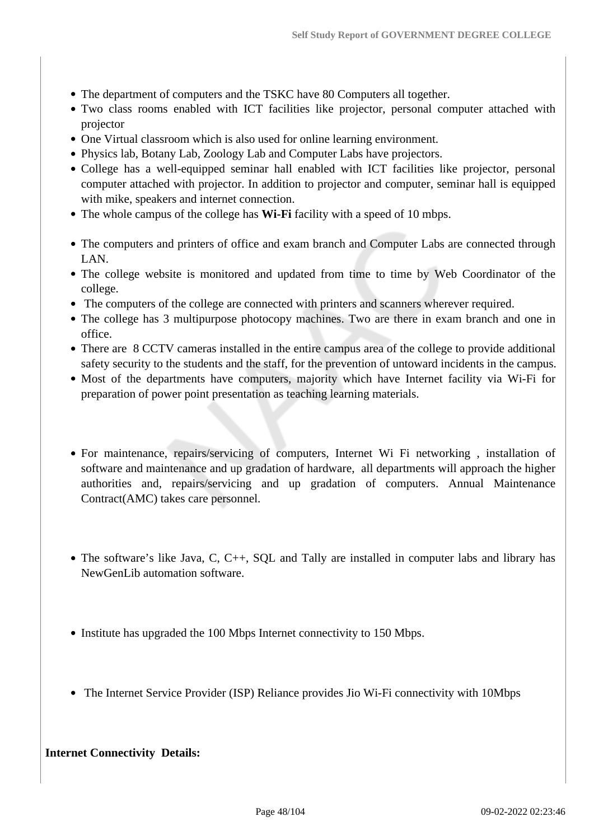- The department of computers and the TSKC have 80 Computers all together.
- Two class rooms enabled with ICT facilities like projector, personal computer attached with projector
- One Virtual classroom which is also used for online learning environment.
- Physics lab, Botany Lab, Zoology Lab and Computer Labs have projectors.
- College has a well-equipped seminar hall enabled with ICT facilities like projector, personal computer attached with projector. In addition to projector and computer, seminar hall is equipped with mike, speakers and internet connection.
- The whole campus of the college has **Wi-Fi** facility with a speed of 10 mbps.
- The computers and printers of office and exam branch and Computer Labs are connected through  $LAN$
- The college website is monitored and updated from time to time by Web Coordinator of the college.
- The computers of the college are connected with printers and scanners wherever required.
- The college has 3 multipurpose photocopy machines. Two are there in exam branch and one in office.
- There are 8 CCTV cameras installed in the entire campus area of the college to provide additional safety security to the students and the staff, for the prevention of untoward incidents in the campus.
- Most of the departments have computers, majority which have Internet facility via Wi-Fi for preparation of power point presentation as teaching learning materials.
- For maintenance, repairs/servicing of computers, Internet Wi Fi networking , installation of software and maintenance and up gradation of hardware, all departments will approach the higher authorities and, repairs/servicing and up gradation of computers. Annual Maintenance Contract(AMC) takes care personnel.
- The software's like Java, C, C++, SQL and Tally are installed in computer labs and library has NewGenLib automation software.
- Institute has upgraded the 100 Mbps Internet connectivity to 150 Mbps.
- The Internet Service Provider (ISP) Reliance provides Jio Wi-Fi connectivity with 10Mbps

# **Internet Connectivity Details:**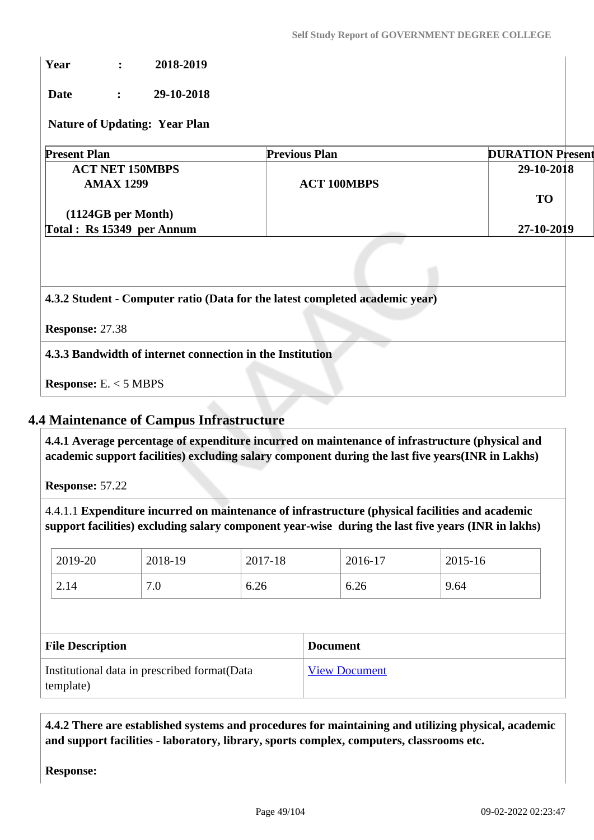**Year : 2018-2019**

 **Date : 29-10-2018**

 **Nature of Updating: Year Plan** 

| <b>Present Plan</b>       | <b>Previous Plan</b> | <b>DURATION Present</b> |
|---------------------------|----------------------|-------------------------|
| <b>ACT NET 150MBPS</b>    |                      | 29-10-2018              |
| <b>AMAX 1299</b>          | <b>ACT 100MBPS</b>   |                         |
|                           |                      | <b>TO</b>               |
| $(1124GB$ per Month)      |                      |                         |
| Total: Rs 15349 per Annum |                      | 27-10-2019              |

| 4.3.2 Student - Computer ratio (Data for the latest completed academic year) |  |
|------------------------------------------------------------------------------|--|
| <b>Response: 27.38</b>                                                       |  |
| 4.3.3 Bandwidth of internet connection in the Institution                    |  |
|                                                                              |  |
| <b>Response:</b> $E \, < 5$ MBPS                                             |  |

# **4.4 Maintenance of Campus Infrastructure**

 **4.4.1 Average percentage of expenditure incurred on maintenance of infrastructure (physical and academic support facilities) excluding salary component during the last five years(INR in Lakhs)**

**Response:** 57.22

4.4.1.1 **Expenditure incurred on maintenance of infrastructure (physical facilities and academic support facilities) excluding salary component year-wise during the last five years (INR in lakhs)**

| 2019-20 | 2018-19 | 2017-18 | 2016-17 | 2015-16 |
|---------|---------|---------|---------|---------|
| 2.14    | 7.0     | 6.26    | 6.26    | 9.64    |

| <b>File Description</b>                                    | <b>Document</b>      |
|------------------------------------------------------------|----------------------|
| Institutional data in prescribed format (Data<br>template) | <b>View Document</b> |

 **4.4.2 There are established systems and procedures for maintaining and utilizing physical, academic and support facilities - laboratory, library, sports complex, computers, classrooms etc.**

**Response:**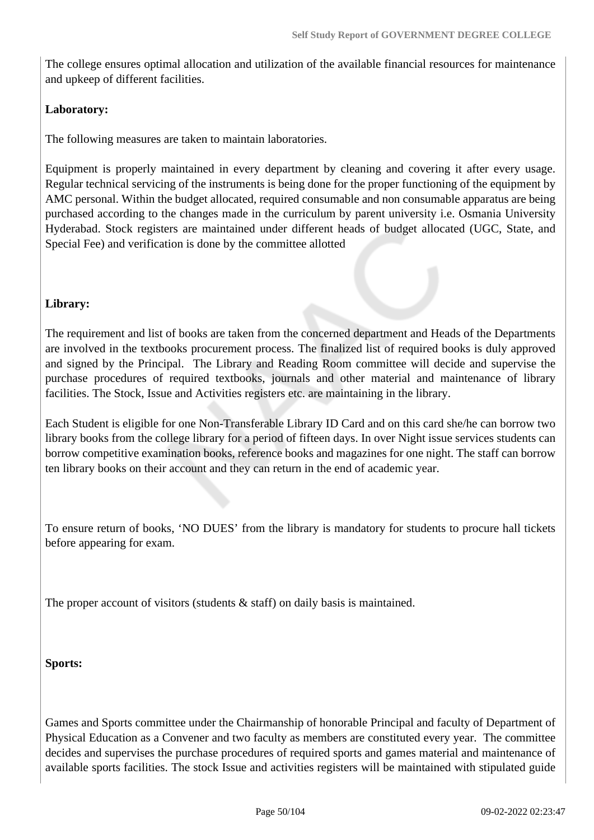The college ensures optimal allocation and utilization of the available financial resources for maintenance and upkeep of different facilities.

#### **Laboratory:**

The following measures are taken to maintain laboratories.

Equipment is properly maintained in every department by cleaning and covering it after every usage. Regular technical servicing of the instruments is being done for the proper functioning of the equipment by AMC personal. Within the budget allocated, required consumable and non consumable apparatus are being purchased according to the changes made in the curriculum by parent university i.e. Osmania University Hyderabad. Stock registers are maintained under different heads of budget allocated (UGC, State, and Special Fee) and verification is done by the committee allotted

# **Library:**

The requirement and list of books are taken from the concerned department and Heads of the Departments are involved in the textbooks procurement process. The finalized list of required books is duly approved and signed by the Principal. The Library and Reading Room committee will decide and supervise the purchase procedures of required textbooks, journals and other material and maintenance of library facilities. The Stock, Issue and Activities registers etc. are maintaining in the library.

Each Student is eligible for one Non-Transferable Library ID Card and on this card she/he can borrow two library books from the college library for a period of fifteen days. In over Night issue services students can borrow competitive examination books, reference books and magazines for one night. The staff can borrow ten library books on their account and they can return in the end of academic year.

To ensure return of books, 'NO DUES' from the library is mandatory for students to procure hall tickets before appearing for exam.

The proper account of visitors (students & staff) on daily basis is maintained.

#### **Sports:**

Games and Sports committee under the Chairmanship of honorable Principal and faculty of Department of Physical Education as a Convener and two faculty as members are constituted every year. The committee decides and supervises the purchase procedures of required sports and games material and maintenance of available sports facilities. The stock Issue and activities registers will be maintained with stipulated guide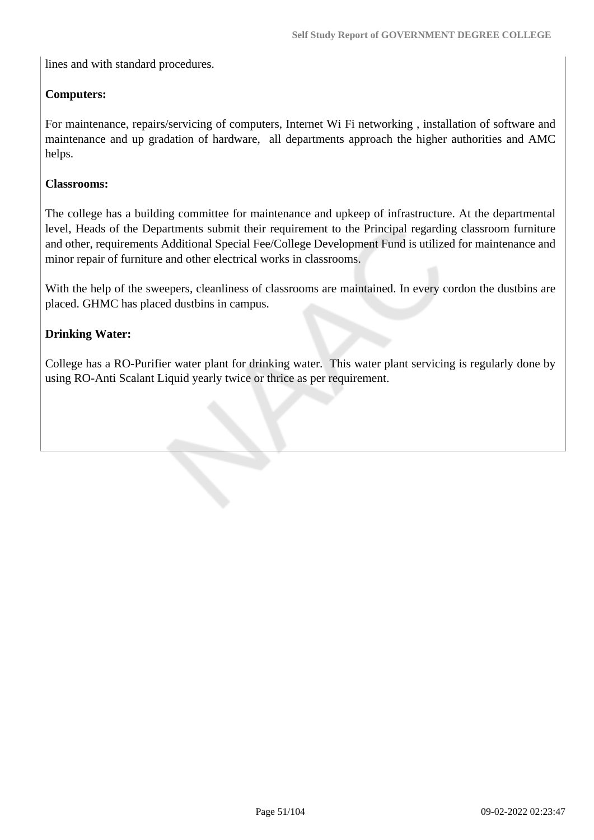lines and with standard procedures.

# **Computers:**

For maintenance, repairs/servicing of computers, Internet Wi Fi networking , installation of software and maintenance and up gradation of hardware, all departments approach the higher authorities and AMC helps.

#### **Classrooms:**

The college has a building committee for maintenance and upkeep of infrastructure. At the departmental level, Heads of the Departments submit their requirement to the Principal regarding classroom furniture and other, requirements Additional Special Fee/College Development Fund is utilized for maintenance and minor repair of furniture and other electrical works in classrooms.

With the help of the sweepers, cleanliness of classrooms are maintained. In every cordon the dustbins are placed. GHMC has placed dustbins in campus.

# **Drinking Water:**

College has a RO-Purifier water plant for drinking water. This water plant servicing is regularly done by using RO-Anti Scalant Liquid yearly twice or thrice as per requirement.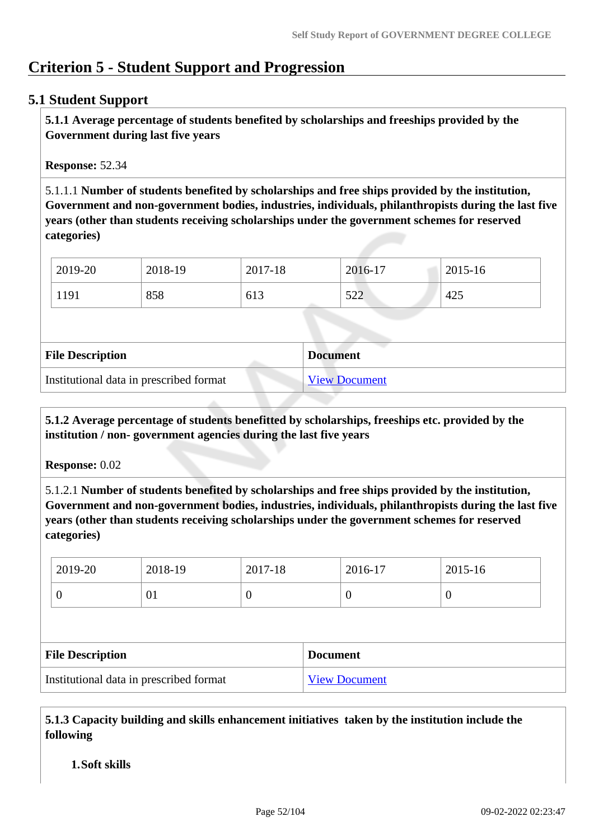# **Criterion 5 - Student Support and Progression**

# **5.1 Student Support**

 **5.1.1 Average percentage of students benefited by scholarships and freeships provided by the Government during last five years** 

**Response:** 52.34

5.1.1.1 **Number of students benefited by scholarships and free ships provided by the institution, Government and non-government bodies, industries, individuals, philanthropists during the last five years (other than students receiving scholarships under the government schemes for reserved categories)** 

| 2019-20 | 2018-19 | 2017-18 | 2016-17       | 2015-16 |
|---------|---------|---------|---------------|---------|
| 1191    | 858     | 613     | 522<br>ے بے ر | 425     |

| <b>File Description</b>                 | <b>Document</b>      |
|-----------------------------------------|----------------------|
| Institutional data in prescribed format | <b>View Document</b> |

 **5.1.2 Average percentage of students benefitted by scholarships, freeships etc. provided by the institution / non- government agencies during the last five years**

**Response:** 0.02

5.1.2.1 **Number of students benefited by scholarships and free ships provided by the institution, Government and non-government bodies, industries, individuals, philanthropists during the last five years (other than students receiving scholarships under the government schemes for reserved categories)** 

| 2019-20                 | 2018-19 | 2017-18  |                 | 2016-17        | 2015-16 |
|-------------------------|---------|----------|-----------------|----------------|---------|
| $\overline{0}$          | 01      | $\theta$ |                 | $\overline{0}$ | O       |
|                         |         |          |                 |                |         |
| <b>File Description</b> |         |          | <b>Document</b> |                |         |
|                         |         |          |                 |                |         |

 **5.1.3 Capacity building and skills enhancement initiatives taken by the institution include the following**

**1.Soft skills**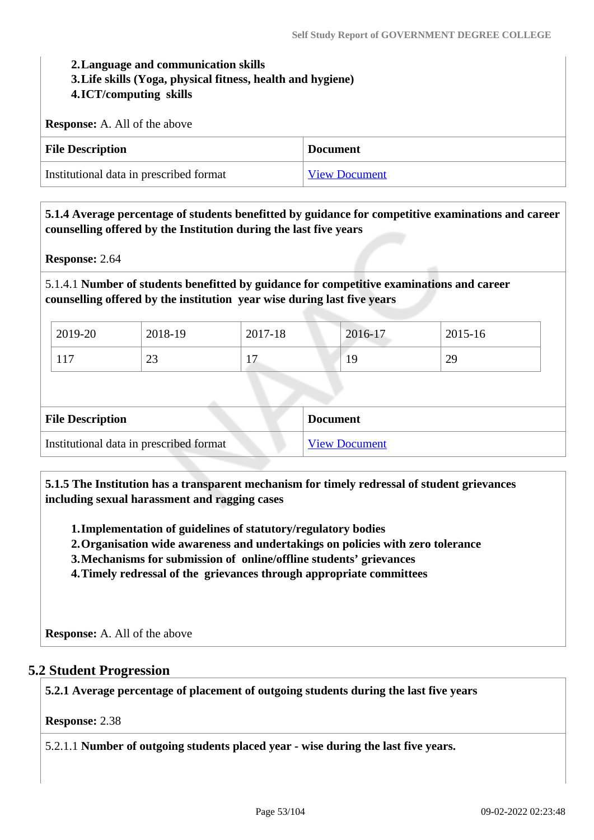# **2.Language and communication skills 3.Life skills (Yoga, physical fitness, health and hygiene) 4.ICT/computing skills**

**Response:** A. All of the above

| <b>File Description</b>                 | <b>Document</b>      |
|-----------------------------------------|----------------------|
| Institutional data in prescribed format | <b>View Document</b> |

 **5.1.4 Average percentage of students benefitted by guidance for competitive examinations and career counselling offered by the Institution during the last five years**

**Response:** 2.64

5.1.4.1 **Number of students benefitted by guidance for competitive examinations and career counselling offered by the institution year wise during last five years**

| 2019-20                                    | 2018-19 | 2017-18 | 2016-17              | 2015-16 |  |  |  |
|--------------------------------------------|---------|---------|----------------------|---------|--|--|--|
| 117                                        | 23      | 17      | 19                   | 29      |  |  |  |
|                                            |         |         |                      |         |  |  |  |
| <b>File Description</b><br><b>Document</b> |         |         |                      |         |  |  |  |
| Institutional data in prescribed format    |         |         | <b>View Document</b> |         |  |  |  |

 **5.1.5 The Institution has a transparent mechanism for timely redressal of student grievances including sexual harassment and ragging cases**

**1.Implementation of guidelines of statutory/regulatory bodies**

**2.Organisation wide awareness and undertakings on policies with zero tolerance**

**3.Mechanisms for submission of online/offline students' grievances**

**4.Timely redressal of the grievances through appropriate committees**

**Response:** A. All of the above

#### **5.2 Student Progression**

**5.2.1 Average percentage of placement of outgoing students during the last five years**

**Response:** 2.38

5.2.1.1 **Number of outgoing students placed year - wise during the last five years.**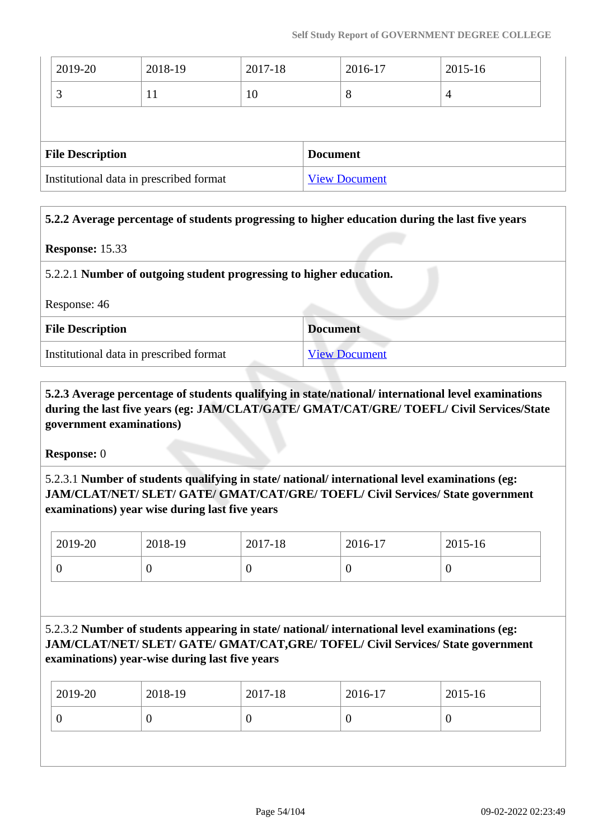| Institutional data in prescribed format |         |    | <b>View Document</b> |  |         |         |  |
|-----------------------------------------|---------|----|----------------------|--|---------|---------|--|
| <b>File Description</b>                 |         |    | <b>Document</b>      |  |         |         |  |
|                                         |         |    |                      |  |         |         |  |
| 3                                       | 11      | 10 |                      |  | 8       | 4       |  |
| 2019-20                                 | 2018-19 |    | 2017-18              |  | 2016-17 | 2015-16 |  |

# **5.2.2 Average percentage of students progressing to higher education during the last five years**

# **Response:** 15.33

# 5.2.2.1 **Number of outgoing student progressing to higher education.**

Response: 46

| <b>File Description</b>                 | <b>Document</b>      |
|-----------------------------------------|----------------------|
| Institutional data in prescribed format | <b>View Document</b> |

# **5.2.3 Average percentage of students qualifying in state/national/ international level examinations during the last five years (eg: JAM/CLAT/GATE/ GMAT/CAT/GRE/ TOEFL/ Civil Services/State government examinations)**

**Response:** 0

# 5.2.3.1 **Number of students qualifying in state/ national/ international level examinations (eg: JAM/CLAT/NET/ SLET/ GATE/ GMAT/CAT/GRE/ TOEFL/ Civil Services/ State government examinations) year wise during last five years**

| 2019-20 | 2018-19 | 2017-18 | 2016-17 | 2015-16 |
|---------|---------|---------|---------|---------|
|         |         | ν       | ν       | U       |

# 5.2.3.2 **Number of students appearing in state/ national/ international level examinations (eg: JAM/CLAT/NET/ SLET/ GATE/ GMAT/CAT,GRE/ TOFEL/ Civil Services/ State government examinations) year-wise during last five years**

| U<br>ν<br>ν |  |
|-------------|--|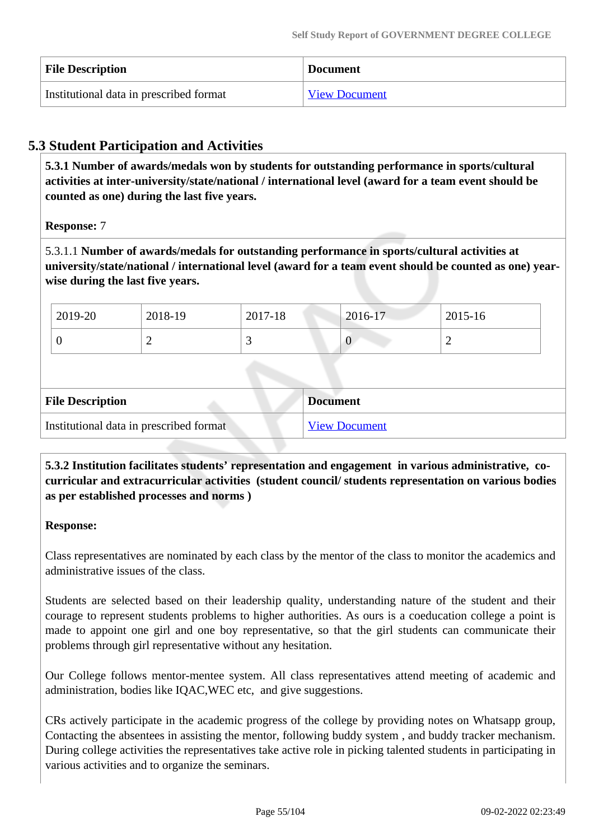| <b>File Description</b>                 | <b>Document</b>      |
|-----------------------------------------|----------------------|
| Institutional data in prescribed format | <b>View Document</b> |

# **5.3 Student Participation and Activities**

 **5.3.1 Number of awards/medals won by students for outstanding performance in sports/cultural activities at inter-university/state/national / international level (award for a team event should be counted as one) during the last five years.**

**Response:** 7

5.3.1.1 **Number of awards/medals for outstanding performance in sports/cultural activities at university/state/national / international level (award for a team event should be counted as one) yearwise during the last five years.**

| 2019-20                                 | 2018-19 | 2017-18 | 2016-17              | 2015-16 |
|-----------------------------------------|---------|---------|----------------------|---------|
| $\theta$                                |         |         | $\Omega$             | 2       |
|                                         |         |         |                      |         |
| <b>File Description</b>                 |         |         | <b>Document</b>      |         |
| Institutional data in prescribed format |         |         | <b>View Document</b> |         |

 **5.3.2 Institution facilitates students' representation and engagement in various administrative, cocurricular and extracurricular activities (student council/ students representation on various bodies as per established processes and norms )**

# **Response:**

Class representatives are nominated by each class by the mentor of the class to monitor the academics and administrative issues of the class.

Students are selected based on their leadership quality, understanding nature of the student and their courage to represent students problems to higher authorities. As ours is a coeducation college a point is made to appoint one girl and one boy representative, so that the girl students can communicate their problems through girl representative without any hesitation.

Our College follows mentor-mentee system. All class representatives attend meeting of academic and administration, bodies like IQAC,WEC etc, and give suggestions.

CRs actively participate in the academic progress of the college by providing notes on Whatsapp group, Contacting the absentees in assisting the mentor, following buddy system , and buddy tracker mechanism. During college activities the representatives take active role in picking talented students in participating in various activities and to organize the seminars.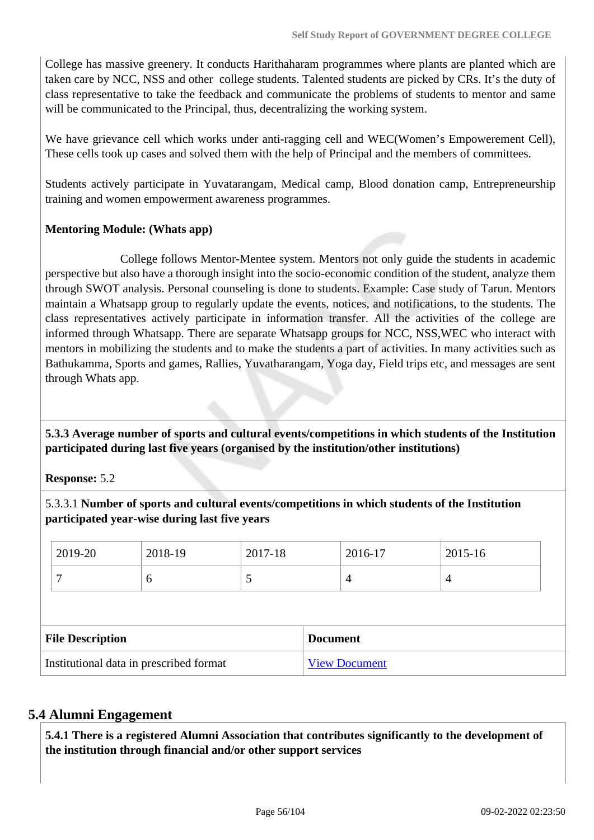College has massive greenery. It conducts Harithaharam programmes where plants are planted which are taken care by NCC, NSS and other college students. Talented students are picked by CRs. It's the duty of class representative to take the feedback and communicate the problems of students to mentor and same will be communicated to the Principal, thus, decentralizing the working system.

We have grievance cell which works under anti-ragging cell and WEC(Women's Empowerement Cell), These cells took up cases and solved them with the help of Principal and the members of committees.

Students actively participate in Yuvatarangam, Medical camp, Blood donation camp, Entrepreneurship training and women empowerment awareness programmes.

# **Mentoring Module: (Whats app)**

 College follows Mentor-Mentee system. Mentors not only guide the students in academic perspective but also have a thorough insight into the socio-economic condition of the student, analyze them through SWOT analysis. Personal counseling is done to students. Example: Case study of Tarun. Mentors maintain a Whatsapp group to regularly update the events, notices, and notifications, to the students. The class representatives actively participate in information transfer. All the activities of the college are informed through Whatsapp. There are separate Whatsapp groups for NCC, NSS,WEC who interact with mentors in mobilizing the students and to make the students a part of activities. In many activities such as Bathukamma, Sports and games, Rallies, Yuvatharangam, Yoga day, Field trips etc, and messages are sent through Whats app.

 **5.3.3 Average number of sports and cultural events/competitions in which students of the Institution participated during last five years (organised by the institution/other institutions)**

**Response:** 5.2

5.3.3.1 **Number of sports and cultural events/competitions in which students of the Institution participated year-wise during last five years**

|   | 2019-20                 | 2018-19 | 2017-18 |                 | 2016-17 | 2015-16 |
|---|-------------------------|---------|---------|-----------------|---------|---------|
| − |                         | 6       | ر       |                 | 4       | 4       |
|   |                         |         |         |                 |         |         |
|   |                         |         |         |                 |         |         |
|   | <b>File Description</b> |         |         | <b>Document</b> |         |         |

# **5.4 Alumni Engagement**

 **5.4.1 There is a registered Alumni Association that contributes significantly to the development of the institution through financial and/or other support services**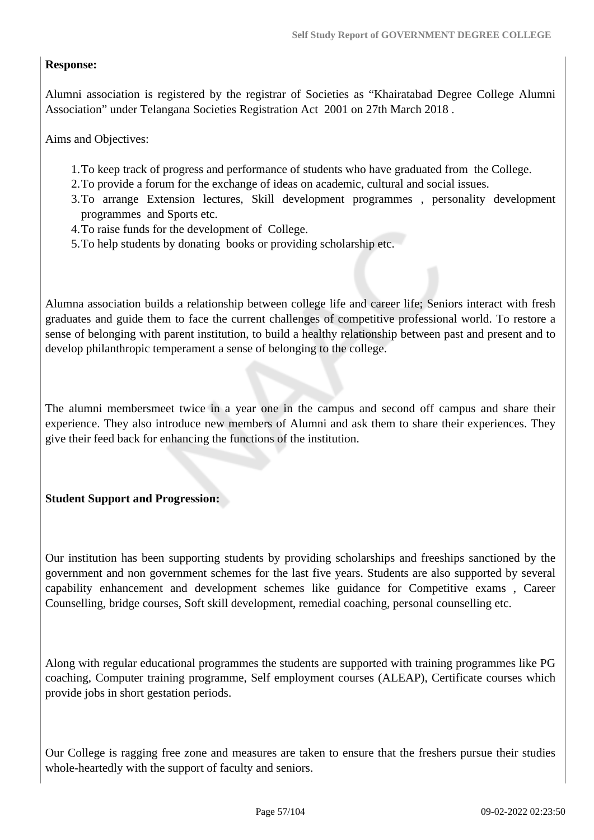# **Response:**

Alumni association is registered by the registrar of Societies as "Khairatabad Degree College Alumni Association" under Telangana Societies Registration Act 2001 on 27th March 2018 .

Aims and Objectives:

- 1.To keep track of progress and performance of students who have graduated from the College.
- 2.To provide a forum for the exchange of ideas on academic, cultural and social issues.
- 3.To arrange Extension lectures, Skill development programmes , personality development programmes and Sports etc.
- 4.To raise funds for the development of College.
- 5.To help students by donating books or providing scholarship etc.

Alumna association builds a relationship between college life and career life; Seniors interact with fresh graduates and guide them to face the current challenges of competitive professional world. To restore a sense of belonging with parent institution, to build a healthy relationship between past and present and to develop philanthropic temperament a sense of belonging to the college.

The alumni membersmeet twice in a year one in the campus and second off campus and share their experience. They also introduce new members of Alumni and ask them to share their experiences. They give their feed back for enhancing the functions of the institution.

# **Student Support and Progression:**

Our institution has been supporting students by providing scholarships and freeships sanctioned by the government and non government schemes for the last five years. Students are also supported by several capability enhancement and development schemes like guidance for Competitive exams , Career Counselling, bridge courses, Soft skill development, remedial coaching, personal counselling etc.

Along with regular educational programmes the students are supported with training programmes like PG coaching, Computer training programme, Self employment courses (ALEAP), Certificate courses which provide jobs in short gestation periods.

Our College is ragging free zone and measures are taken to ensure that the freshers pursue their studies whole-heartedly with the support of faculty and seniors.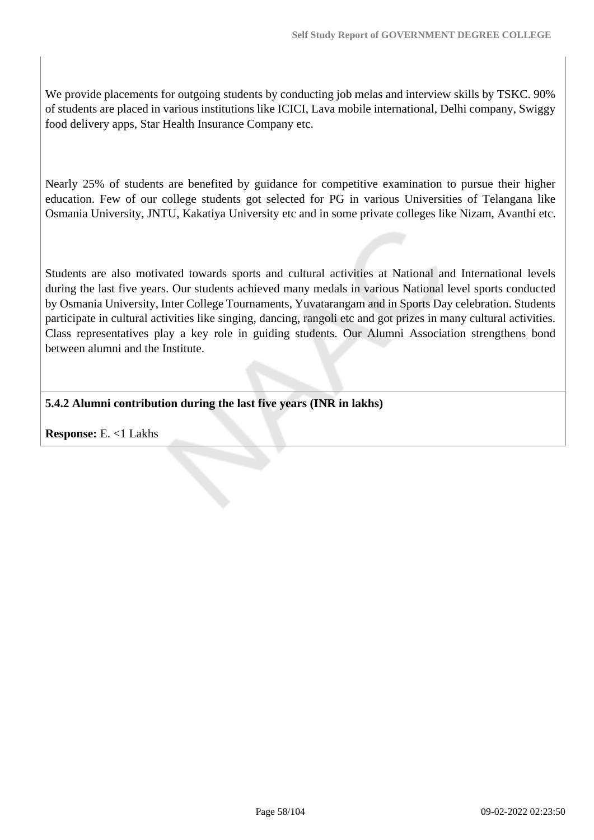We provide placements for outgoing students by conducting job melas and interview skills by TSKC. 90% of students are placed in various institutions like ICICI, Lava mobile international, Delhi company, Swiggy food delivery apps, Star Health Insurance Company etc.

Nearly 25% of students are benefited by guidance for competitive examination to pursue their higher education. Few of our college students got selected for PG in various Universities of Telangana like Osmania University, JNTU, Kakatiya University etc and in some private colleges like Nizam, Avanthi etc.

Students are also motivated towards sports and cultural activities at National and International levels during the last five years. Our students achieved many medals in various National level sports conducted by Osmania University, Inter College Tournaments, Yuvatarangam and in Sports Day celebration. Students participate in cultural activities like singing, dancing, rangoli etc and got prizes in many cultural activities. Class representatives play a key role in guiding students. Our Alumni Association strengthens bond between alumni and the Institute.

# **5.4.2 Alumni contribution during the last five years (INR in lakhs)**

**Response:** E. <1 Lakhs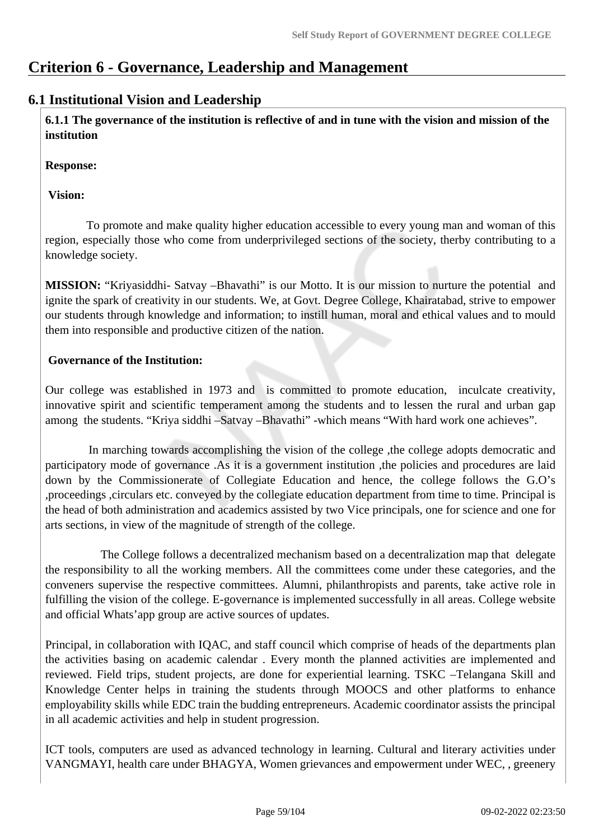# **Criterion 6 - Governance, Leadership and Management**

# **6.1 Institutional Vision and Leadership**

 **6.1.1 The governance of the institution is reflective of and in tune with the vision and mission of the institution**

**Response:** 

 **Vision:**

 To promote and make quality higher education accessible to every young man and woman of this region, especially those who come from underprivileged sections of the society, therby contributing to a knowledge society.

**MISSION:** "Kriyasiddhi- Satvay –Bhavathi" is our Motto. It is our mission to nurture the potential and ignite the spark of creativity in our students. We, at Govt. Degree College, Khairatabad, strive to empower our students through knowledge and information; to instill human, moral and ethical values and to mould them into responsible and productive citizen of the nation.

# **Governance of the Institution:**

Our college was established in 1973 and is committed to promote education, inculcate creativity, innovative spirit and scientific temperament among the students and to lessen the rural and urban gap among the students. "Kriya siddhi –Satvay –Bhavathi" -which means "With hard work one achieves".

 In marching towards accomplishing the vision of the college ,the college adopts democratic and participatory mode of governance .As it is a government institution ,the policies and procedures are laid down by the Commissionerate of Collegiate Education and hence, the college follows the G.O's ,proceedings ,circulars etc. conveyed by the collegiate education department from time to time. Principal is the head of both administration and academics assisted by two Vice principals, one for science and one for arts sections, in view of the magnitude of strength of the college.

 The College follows a decentralized mechanism based on a decentralization map that delegate the responsibility to all the working members. All the committees come under these categories, and the conveners supervise the respective committees. Alumni, philanthropists and parents, take active role in fulfilling the vision of the college. E-governance is implemented successfully in all areas. College website and official Whats'app group are active sources of updates.

Principal, in collaboration with IQAC, and staff council which comprise of heads of the departments plan the activities basing on academic calendar . Every month the planned activities are implemented and reviewed. Field trips, student projects, are done for experiential learning. TSKC –Telangana Skill and Knowledge Center helps in training the students through MOOCS and other platforms to enhance employability skills while EDC train the budding entrepreneurs. Academic coordinator assists the principal in all academic activities and help in student progression.

ICT tools, computers are used as advanced technology in learning. Cultural and literary activities under VANGMAYI, health care under BHAGYA, Women grievances and empowerment under WEC, , greenery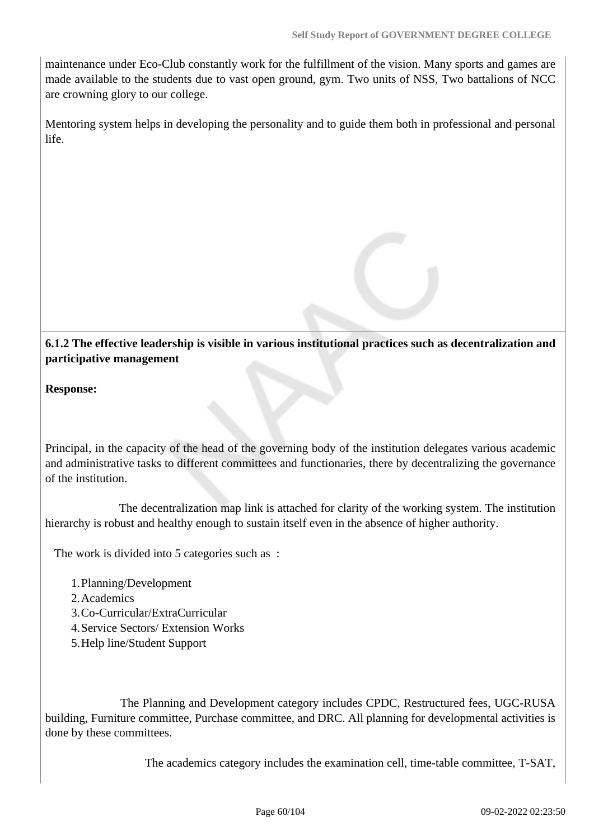maintenance under Eco-Club constantly work for the fulfillment of the vision. Many sports and games are made available to the students due to vast open ground, gym. Two units of NSS, Two battalions of NCC are crowning glory to our college.

Mentoring system helps in developing the personality and to guide them both in professional and personal life.

# **6.1.2 The effective leadership is visible in various institutional practices such as decentralization and participative management**

**Response:** 

Principal, in the capacity of the head of the governing body of the institution delegates various academic and administrative tasks to different committees and functionaries, there by decentralizing the governance of the institution.

 The decentralization map link is attached for clarity of the working system. The institution hierarchy is robust and healthy enough to sustain itself even in the absence of higher authority.

The work is divided into 5 categories such as :

- 1.Planning/Development
- 2.Academics
- 3.Co-Curricular/ExtraCurricular
- 4.Service Sectors/ Extension Works
- 5.Help line/Student Support

 The Planning and Development category includes CPDC, Restructured fees, UGC-RUSA building, Furniture committee, Purchase committee, and DRC. All planning for developmental activities is done by these committees.

The academics category includes the examination cell, time-table committee, T-SAT,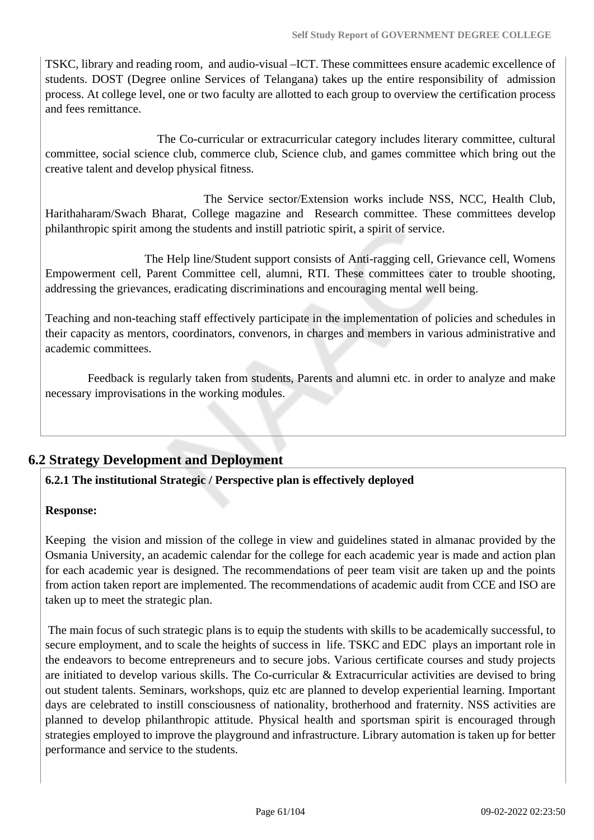TSKC, library and reading room, and audio-visual –ICT. These committees ensure academic excellence of students. DOST (Degree online Services of Telangana) takes up the entire responsibility of admission process. At college level, one or two faculty are allotted to each group to overview the certification process and fees remittance.

 The Co-curricular or extracurricular category includes literary committee, cultural committee, social science club, commerce club, Science club, and games committee which bring out the creative talent and develop physical fitness.

 The Service sector/Extension works include NSS, NCC, Health Club, Harithaharam/Swach Bharat, College magazine and Research committee. These committees develop philanthropic spirit among the students and instill patriotic spirit, a spirit of service.

 The Help line/Student support consists of Anti-ragging cell, Grievance cell, Womens Empowerment cell, Parent Committee cell, alumni, RTI. These committees cater to trouble shooting, addressing the grievances, eradicating discriminations and encouraging mental well being.

Teaching and non-teaching staff effectively participate in the implementation of policies and schedules in their capacity as mentors, coordinators, convenors, in charges and members in various administrative and academic committees.

 Feedback is regularly taken from students, Parents and alumni etc. in order to analyze and make necessary improvisations in the working modules.

# **6.2 Strategy Development and Deployment**

# **6.2.1 The institutional Strategic / Perspective plan is effectively deployed**

# **Response:**

Keeping the vision and mission of the college in view and guidelines stated in almanac provided by the Osmania University, an academic calendar for the college for each academic year is made and action plan for each academic year is designed. The recommendations of peer team visit are taken up and the points from action taken report are implemented. The recommendations of academic audit from CCE and ISO are taken up to meet the strategic plan.

 The main focus of such strategic plans is to equip the students with skills to be academically successful, to secure employment, and to scale the heights of success in life. TSKC and EDC plays an important role in the endeavors to become entrepreneurs and to secure jobs. Various certificate courses and study projects are initiated to develop various skills. The Co-curricular & Extracurricular activities are devised to bring out student talents. Seminars, workshops, quiz etc are planned to develop experiential learning. Important days are celebrated to instill consciousness of nationality, brotherhood and fraternity. NSS activities are planned to develop philanthropic attitude. Physical health and sportsman spirit is encouraged through strategies employed to improve the playground and infrastructure. Library automation is taken up for better performance and service to the students.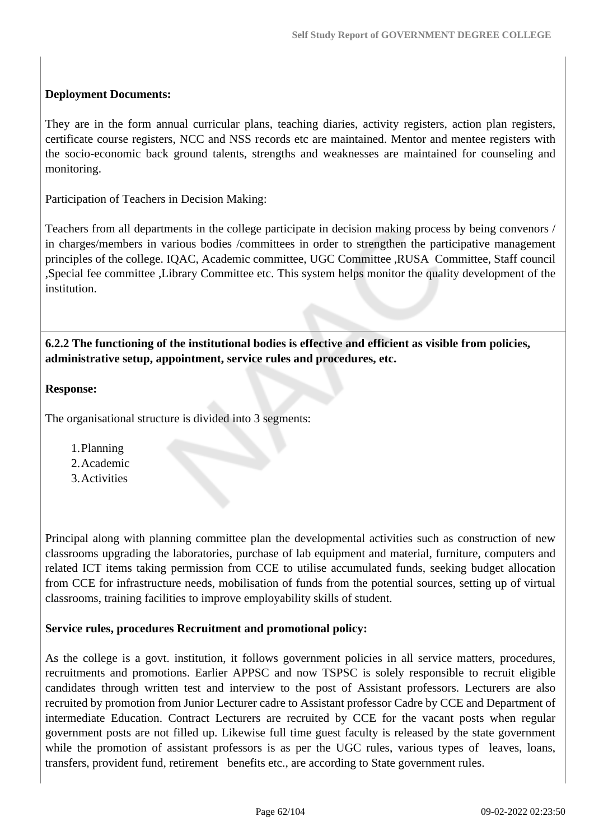# **Deployment Documents:**

They are in the form annual curricular plans, teaching diaries, activity registers, action plan registers, certificate course registers, NCC and NSS records etc are maintained. Mentor and mentee registers with the socio-economic back ground talents, strengths and weaknesses are maintained for counseling and monitoring.

Participation of Teachers in Decision Making:

Teachers from all departments in the college participate in decision making process by being convenors / in charges/members in various bodies /committees in order to strengthen the participative management principles of the college. IQAC, Academic committee, UGC Committee ,RUSA Committee, Staff council ,Special fee committee ,Library Committee etc. This system helps monitor the quality development of the institution.

 **6.2.2 The functioning of the institutional bodies is effective and efficient as visible from policies, administrative setup, appointment, service rules and procedures, etc.**

#### **Response:**

The organisational structure is divided into 3 segments:

- 1.Planning
- 2.Academic
- 3.Activities

Principal along with planning committee plan the developmental activities such as construction of new classrooms upgrading the laboratories, purchase of lab equipment and material, furniture, computers and related ICT items taking permission from CCE to utilise accumulated funds, seeking budget allocation from CCE for infrastructure needs, mobilisation of funds from the potential sources, setting up of virtual classrooms, training facilities to improve employability skills of student.

#### **Service rules, procedures Recruitment and promotional policy:**

As the college is a govt. institution, it follows government policies in all service matters, procedures, recruitments and promotions. Earlier APPSC and now TSPSC is solely responsible to recruit eligible candidates through written test and interview to the post of Assistant professors. Lecturers are also recruited by promotion from Junior Lecturer cadre to Assistant professor Cadre by CCE and Department of intermediate Education. Contract Lecturers are recruited by CCE for the vacant posts when regular government posts are not filled up. Likewise full time guest faculty is released by the state government while the promotion of assistant professors is as per the UGC rules, various types of leaves, loans, transfers, provident fund, retirement benefits etc., are according to State government rules.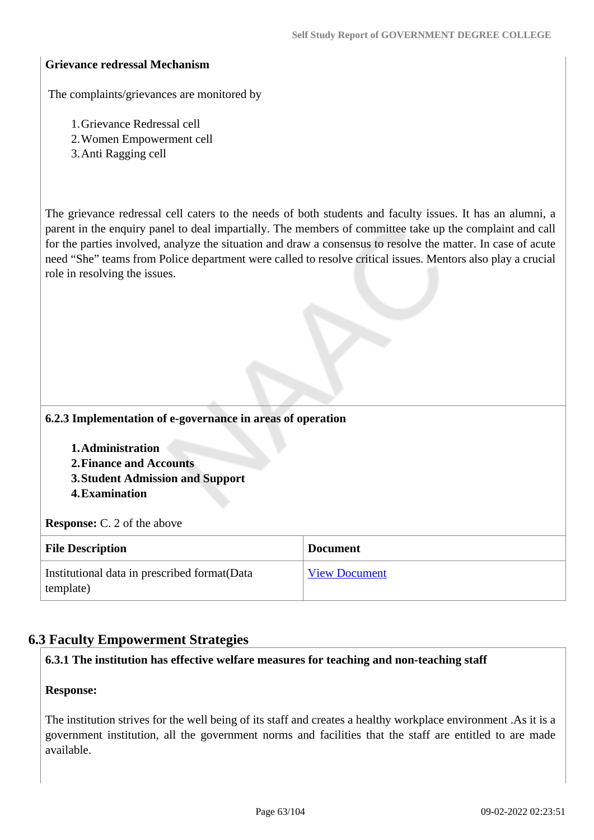#### **Grievance redressal Mechanism**

The complaints/grievances are monitored by

- 1.Grievance Redressal cell
- 2.Women Empowerment cell
- 3.Anti Ragging cell

The grievance redressal cell caters to the needs of both students and faculty issues. It has an alumni, a parent in the enquiry panel to deal impartially. The members of committee take up the complaint and call for the parties involved, analyze the situation and draw a consensus to resolve the matter. In case of acute need "She" teams from Police department were called to resolve critical issues. Mentors also play a crucial role in resolving the issues.

#### **6.2.3 Implementation of e-governance in areas of operation**

- **1.Administration**
- **2.Finance and Accounts**
- **3.Student Admission and Support**
- **4.Examination**

**Response:** C. 2 of the above

| <b>File Description</b>                                    | <b>Document</b>      |
|------------------------------------------------------------|----------------------|
| Institutional data in prescribed format (Data<br>template) | <b>View Document</b> |

# **6.3 Faculty Empowerment Strategies**

# **6.3.1 The institution has effective welfare measures for teaching and non-teaching staff**

#### **Response:**

The institution strives for the well being of its staff and creates a healthy workplace environment .As it is a government institution, all the government norms and facilities that the staff are entitled to are made available.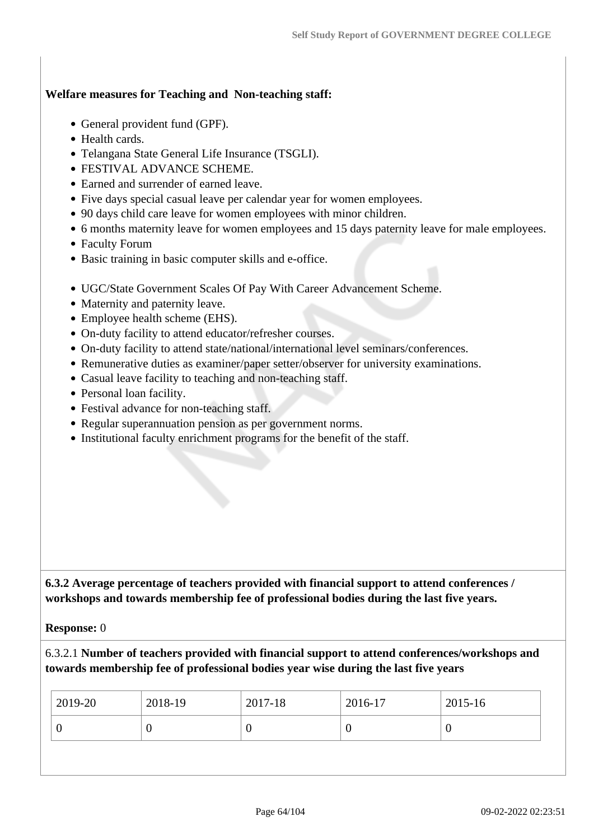# **Welfare measures for Teaching and Non-teaching staff:**

- General provident fund (GPF).
- Health cards.
- Telangana State General Life Insurance (TSGLI).
- FESTIVAL ADVANCE SCHEME.
- Earned and surrender of earned leave.
- Five days special casual leave per calendar year for women employees.
- 90 days child care leave for women employees with minor children.
- 6 months maternity leave for women employees and 15 days paternity leave for male employees.
- Faculty Forum
- Basic training in basic computer skills and e-office.
- UGC/State Government Scales Of Pay With Career Advancement Scheme.
- Maternity and paternity leave.
- Employee health scheme (EHS).
- On-duty facility to attend educator/refresher courses.
- On-duty facility to attend state/national/international level seminars/conferences.
- Remunerative duties as examiner/paper setter/observer for university examinations.
- Casual leave facility to teaching and non-teaching staff.
- Personal loan facility.
- Festival advance for non-teaching staff.
- Regular superannuation pension as per government norms.
- Institutional faculty enrichment programs for the benefit of the staff.

 **6.3.2 Average percentage of teachers provided with financial support to attend conferences / workshops and towards membership fee of professional bodies during the last five years.**

**Response:** 0

6.3.2.1 **Number of teachers provided with financial support to attend conferences/workshops and towards membership fee of professional bodies year wise during the last five years**

| 2019-20 | 2018-19 | $2017 - 18$ | 2016-17 | 2015-16 |
|---------|---------|-------------|---------|---------|
|         |         | ν           |         |         |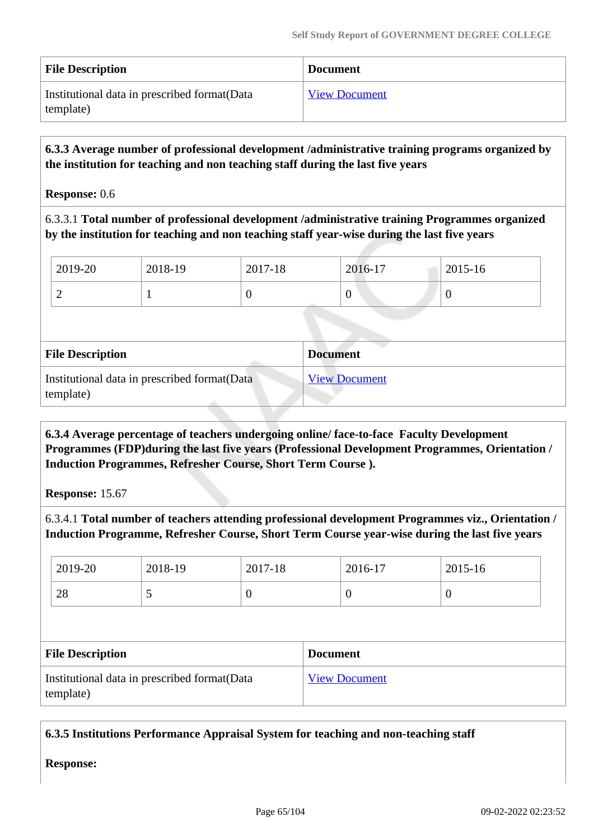| <b>File Description</b>                                    | <b>Document</b>      |
|------------------------------------------------------------|----------------------|
| Institutional data in prescribed format (Data<br>template) | <b>View Document</b> |

 **6.3.3 Average number of professional development /administrative training programs organized by the institution for teaching and non teaching staff during the last five years**

#### **Response:** 0.6

6.3.3.1 **Total number of professional development /administrative training Programmes organized by the institution for teaching and non teaching staff year-wise during the last five years**

| 2019-20 | 2018-19 | 2017-18 | 2016-17 | 2015-16 |
|---------|---------|---------|---------|---------|
| ∼       |         | ν       | v       |         |

| <b>File Description</b>                                    | <b>Document</b>      |
|------------------------------------------------------------|----------------------|
| Institutional data in prescribed format (Data<br>template) | <b>View Document</b> |

 **6.3.4 Average percentage of teachers undergoing online/ face-to-face Faculty Development Programmes (FDP)during the last five years (Professional Development Programmes, Orientation / Induction Programmes, Refresher Course, Short Term Course ).**

**Response:** 15.67

6.3.4.1 **Total number of teachers attending professional development Programmes viz., Orientation / Induction Programme, Refresher Course, Short Term Course year-wise during the last five years**

| 2019-20                                                   | 2018-19 | 2017-18  |                      | 2016-17  | 2015-16  |
|-----------------------------------------------------------|---------|----------|----------------------|----------|----------|
| 28                                                        | ς       | $\theta$ |                      | $\theta$ | $\theta$ |
|                                                           |         |          |                      |          |          |
| <b>File Description</b><br><b>Document</b>                |         |          |                      |          |          |
| Institutional data in prescribed format(Data<br>template) |         |          | <b>View Document</b> |          |          |

# **6.3.5 Institutions Performance Appraisal System for teaching and non-teaching staff**

**Response:**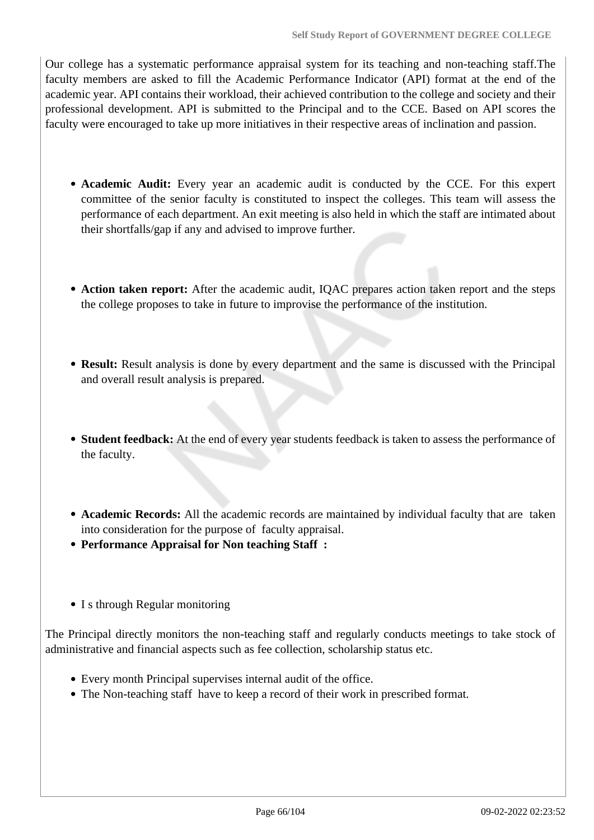Our college has a systematic performance appraisal system for its teaching and non-teaching staff.The faculty members are asked to fill the Academic Performance Indicator (API) format at the end of the academic year. API contains their workload, their achieved contribution to the college and society and their professional development. API is submitted to the Principal and to the CCE. Based on API scores the faculty were encouraged to take up more initiatives in their respective areas of inclination and passion.

- **Academic Audit:** Every year an academic audit is conducted by the CCE. For this expert committee of the senior faculty is constituted to inspect the colleges. This team will assess the performance of each department. An exit meeting is also held in which the staff are intimated about their shortfalls/gap if any and advised to improve further.
- **Action taken report:** After the academic audit, IQAC prepares action taken report and the steps the college proposes to take in future to improvise the performance of the institution.
- **Result:** Result analysis is done by every department and the same is discussed with the Principal and overall result analysis is prepared.
- **Student feedback:** At the end of every year students feedback is taken to assess the performance of the faculty.
- **Academic Records:** All the academic records are maintained by individual faculty that are taken into consideration for the purpose of faculty appraisal.
- **Performance Appraisal for Non teaching Staff :**
- I s through Regular monitoring

The Principal directly monitors the non-teaching staff and regularly conducts meetings to take stock of administrative and financial aspects such as fee collection, scholarship status etc.

- Every month Principal supervises internal audit of the office.
- The Non-teaching staff have to keep a record of their work in prescribed format.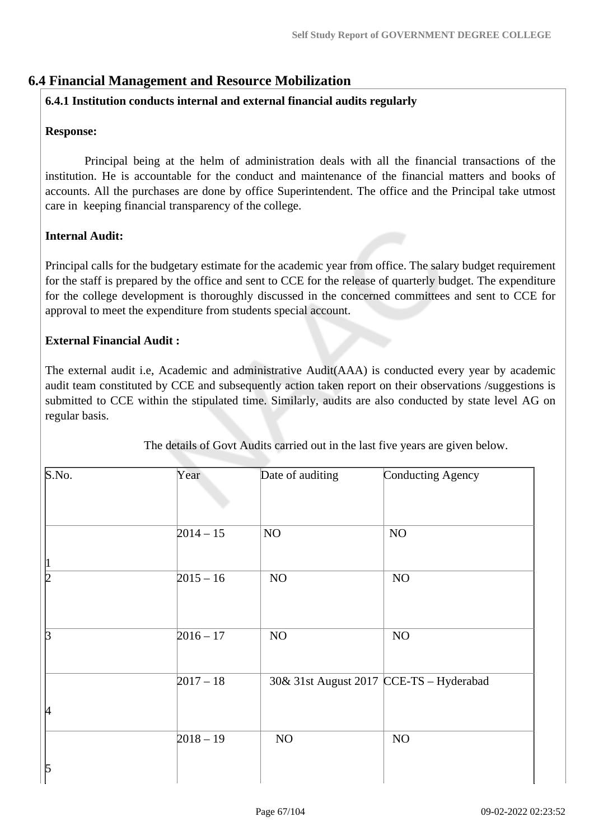# **6.4 Financial Management and Resource Mobilization**

#### **6.4.1 Institution conducts internal and external financial audits regularly**

#### **Response:**

 Principal being at the helm of administration deals with all the financial transactions of the institution. He is accountable for the conduct and maintenance of the financial matters and books of accounts. All the purchases are done by office Superintendent. The office and the Principal take utmost care in keeping financial transparency of the college.

# **Internal Audit:**

Principal calls for the budgetary estimate for the academic year from office. The salary budget requirement for the staff is prepared by the office and sent to CCE for the release of quarterly budget. The expenditure for the college development is thoroughly discussed in the concerned committees and sent to CCE for approval to meet the expenditure from students special account.

#### **External Financial Audit :**

The external audit i.e, Academic and administrative Audit(AAA) is conducted every year by academic audit team constituted by CCE and subsequently action taken report on their observations /suggestions is submitted to CCE within the stipulated time. Similarly, audits are also conducted by state level AG on regular basis.

| S.No. | Year        | Date of auditing | <b>Conducting Agency</b>                |
|-------|-------------|------------------|-----------------------------------------|
|       | $2014 - 15$ | $\rm NO$         | NO                                      |
|       |             |                  |                                         |
|       | $2015 - 16$ | NO               | NO                                      |
| k     | $2016 - 17$ | NO               | NO                                      |
|       | $2017 - 18$ |                  | 30& 31st August 2017 CCE-TS - Hyderabad |
| K     |             |                  |                                         |
|       | $2018 - 19$ | NO               | NO                                      |
| 15    |             |                  |                                         |

The details of Govt Audits carried out in the last five years are given below.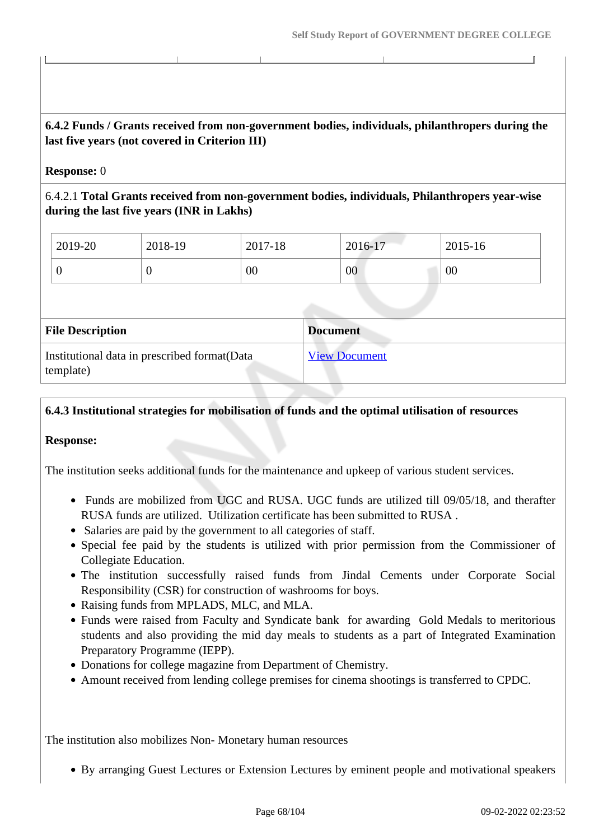# **6.4.2 Funds / Grants received from non-government bodies, individuals, philanthropers during the last five years (not covered in Criterion III)**

#### **Response:** 0

6.4.2.1 **Total Grants received from non-government bodies, individuals, Philanthropers year-wise during the last five years (INR in Lakhs)**

| 2019-20 | 2018-19 | 2017-18 | 2016-17 | 2015-16 |
|---------|---------|---------|---------|---------|
|         |         | 00      | 00      | 00      |

| <b>File Description</b>                                    | <b>Document</b>      |
|------------------------------------------------------------|----------------------|
| Institutional data in prescribed format (Data<br>template) | <b>View Document</b> |

# **6.4.3 Institutional strategies for mobilisation of funds and the optimal utilisation of resources**

#### **Response:**

The institution seeks additional funds for the maintenance and upkeep of various student services.

- Funds are mobilized from UGC and RUSA. UGC funds are utilized till 09/05/18, and therafter RUSA funds are utilized. Utilization certificate has been submitted to RUSA .
- Salaries are paid by the government to all categories of staff.
- Special fee paid by the students is utilized with prior permission from the Commissioner of Collegiate Education.
- The institution successfully raised funds from Jindal Cements under Corporate Social Responsibility (CSR) for construction of washrooms for boys.
- Raising funds from MPLADS, MLC, and MLA.
- Funds were raised from Faculty and Syndicate bank for awarding Gold Medals to meritorious students and also providing the mid day meals to students as a part of Integrated Examination Preparatory Programme (IEPP).
- Donations for college magazine from Department of Chemistry.
- Amount received from lending college premises for cinema shootings is transferred to CPDC.

The institution also mobilizes Non- Monetary human resources

By arranging Guest Lectures or Extension Lectures by eminent people and motivational speakers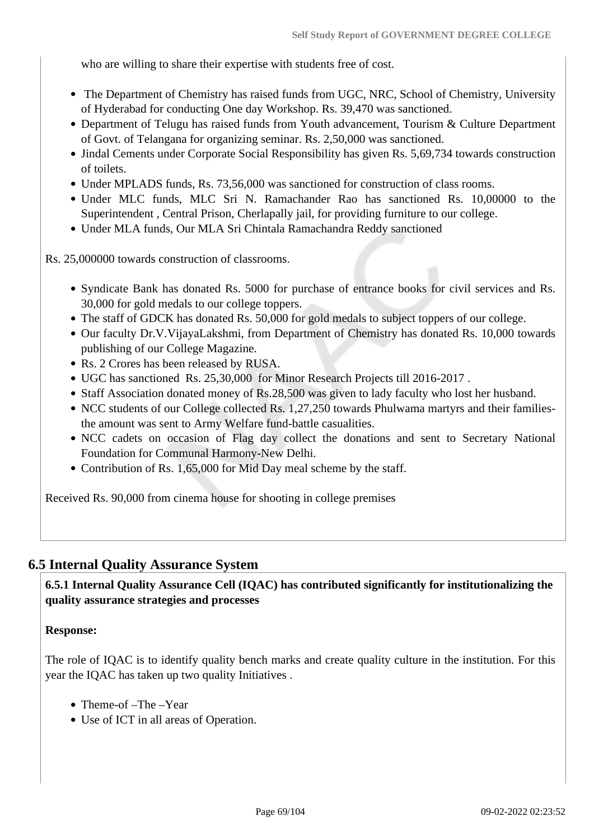who are willing to share their expertise with students free of cost.

- The Department of Chemistry has raised funds from UGC, NRC, School of Chemistry, University of Hyderabad for conducting One day Workshop. Rs. 39,470 was sanctioned.
- Department of Telugu has raised funds from Youth advancement, Tourism & Culture Department of Govt. of Telangana for organizing seminar. Rs. 2,50,000 was sanctioned.
- Jindal Cements under Corporate Social Responsibility has given Rs. 5,69,734 towards construction of toilets.
- Under MPLADS funds, Rs. 73,56,000 was sanctioned for construction of class rooms.
- Under MLC funds, MLC Sri N. Ramachander Rao has sanctioned Rs. 10,00000 to the Superintendent , Central Prison, Cherlapally jail, for providing furniture to our college.
- Under MLA funds, Our MLA Sri Chintala Ramachandra Reddy sanctioned

Rs. 25,000000 towards construction of classrooms.

- Syndicate Bank has donated Rs. 5000 for purchase of entrance books for civil services and Rs. 30,000 for gold medals to our college toppers.
- The staff of GDCK has donated Rs. 50,000 for gold medals to subject toppers of our college.
- Our faculty Dr.V.VijayaLakshmi, from Department of Chemistry has donated Rs. 10,000 towards publishing of our College Magazine.
- Rs. 2 Crores has been released by RUSA.
- UGC has sanctioned Rs. 25,30,000 for Minor Research Projects till 2016-2017 .
- Staff Association donated money of Rs.28,500 was given to lady faculty who lost her husband.
- NCC students of our College collected Rs. 1,27,250 towards Phulwama martyrs and their familiesthe amount was sent to Army Welfare fund-battle casualities.
- NCC cadets on occasion of Flag day collect the donations and sent to Secretary National Foundation for Communal Harmony-New Delhi.
- Contribution of Rs. 1,65,000 for Mid Day meal scheme by the staff.

Received Rs. 90,000 from cinema house for shooting in college premises

# **6.5 Internal Quality Assurance System**

 **6.5.1 Internal Quality Assurance Cell (IQAC) has contributed significantly for institutionalizing the quality assurance strategies and processes**

#### **Response:**

The role of IQAC is to identify quality bench marks and create quality culture in the institution. For this year the IQAC has taken up two quality Initiatives .

- Theme-of –The –Year
- Use of ICT in all areas of Operation.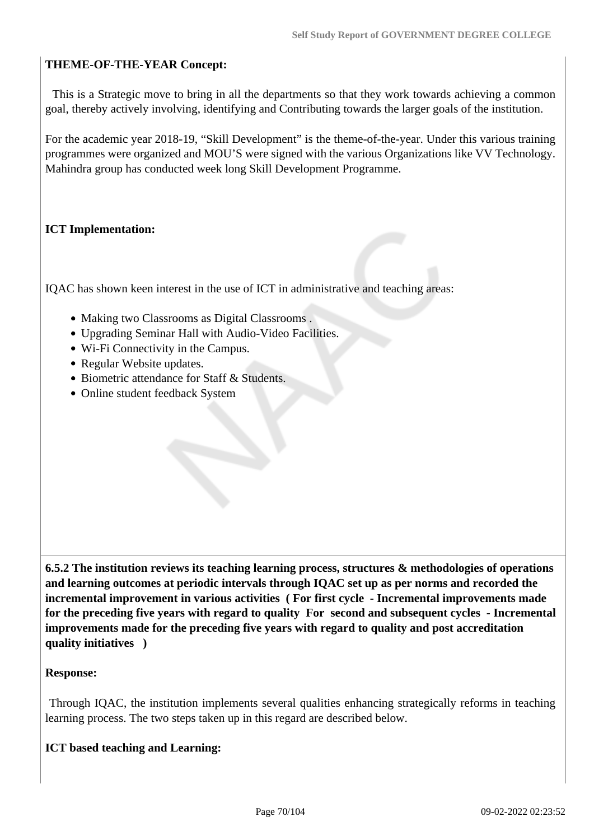# **THEME-OF-THE-YEAR Concept:**

 This is a Strategic move to bring in all the departments so that they work towards achieving a common goal, thereby actively involving, identifying and Contributing towards the larger goals of the institution.

For the academic year 2018-19, "Skill Development" is the theme-of-the-year. Under this various training programmes were organized and MOU'S were signed with the various Organizations like VV Technology. Mahindra group has conducted week long Skill Development Programme.

# **ICT Implementation:**

IQAC has shown keen interest in the use of ICT in administrative and teaching areas:

- Making two Classrooms as Digital Classrooms.
- Upgrading Seminar Hall with Audio-Video Facilities.
- Wi-Fi Connectivity in the Campus.
- Regular Website updates.
- Biometric attendance for Staff & Students.
- Online student feedback System

 **6.5.2 The institution reviews its teaching learning process, structures & methodologies of operations and learning outcomes at periodic intervals through IQAC set up as per norms and recorded the incremental improvement in various activities ( For first cycle - Incremental improvements made for the preceding five years with regard to quality For second and subsequent cycles - Incremental improvements made for the preceding five years with regard to quality and post accreditation quality initiatives )** 

#### **Response:**

 Through IQAC, the institution implements several qualities enhancing strategically reforms in teaching learning process. The two steps taken up in this regard are described below.

#### **ICT based teaching and Learning:**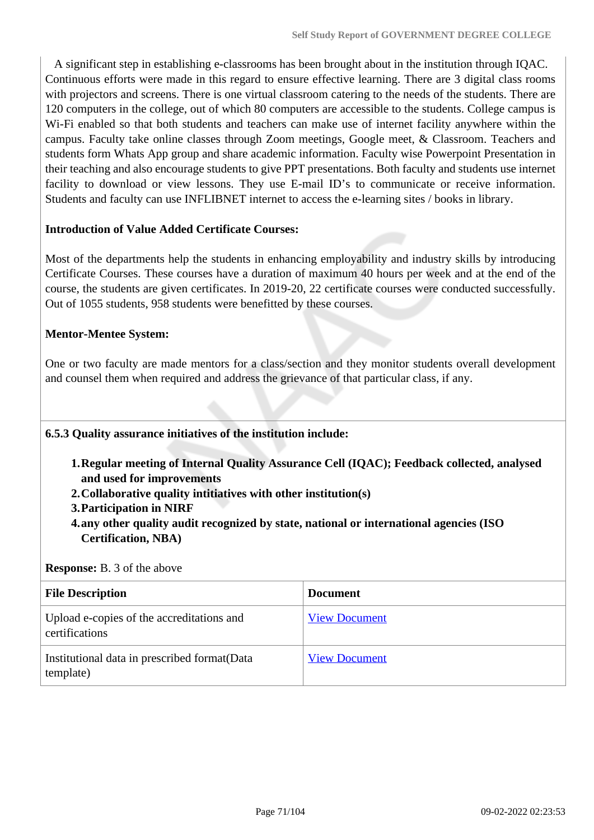A significant step in establishing e-classrooms has been brought about in the institution through IQAC. Continuous efforts were made in this regard to ensure effective learning. There are 3 digital class rooms with projectors and screens. There is one virtual classroom catering to the needs of the students. There are 120 computers in the college, out of which 80 computers are accessible to the students. College campus is Wi-Fi enabled so that both students and teachers can make use of internet facility anywhere within the campus. Faculty take online classes through Zoom meetings, Google meet, & Classroom. Teachers and students form Whats App group and share academic information. Faculty wise Powerpoint Presentation in their teaching and also encourage students to give PPT presentations. Both faculty and students use internet facility to download or view lessons. They use E-mail ID's to communicate or receive information. Students and faculty can use INFLIBNET internet to access the e-learning sites / books in library.

# **Introduction of Value Added Certificate Courses:**

Most of the departments help the students in enhancing employability and industry skills by introducing Certificate Courses. These courses have a duration of maximum 40 hours per week and at the end of the course, the students are given certificates. In 2019-20, 22 certificate courses were conducted successfully. Out of 1055 students, 958 students were benefitted by these courses.

#### **Mentor-Mentee System:**

One or two faculty are made mentors for a class/section and they monitor students overall development and counsel them when required and address the grievance of that particular class, if any.

#### **6.5.3 Quality assurance initiatives of the institution include:**

- **1.Regular meeting of Internal Quality Assurance Cell (IQAC); Feedback collected, analysed and used for improvements**
- **2.Collaborative quality intitiatives with other institution(s)**
- **3.Participation in NIRF**
- **4.any other quality audit recognized by state, national or international agencies (ISO Certification, NBA)**

#### **Response:** B. 3 of the above

| <b>File Description</b>                                     | <b>Document</b>      |
|-------------------------------------------------------------|----------------------|
| Upload e-copies of the accreditations and<br>certifications | <b>View Document</b> |
| Institutional data in prescribed format (Data<br>template)  | <b>View Document</b> |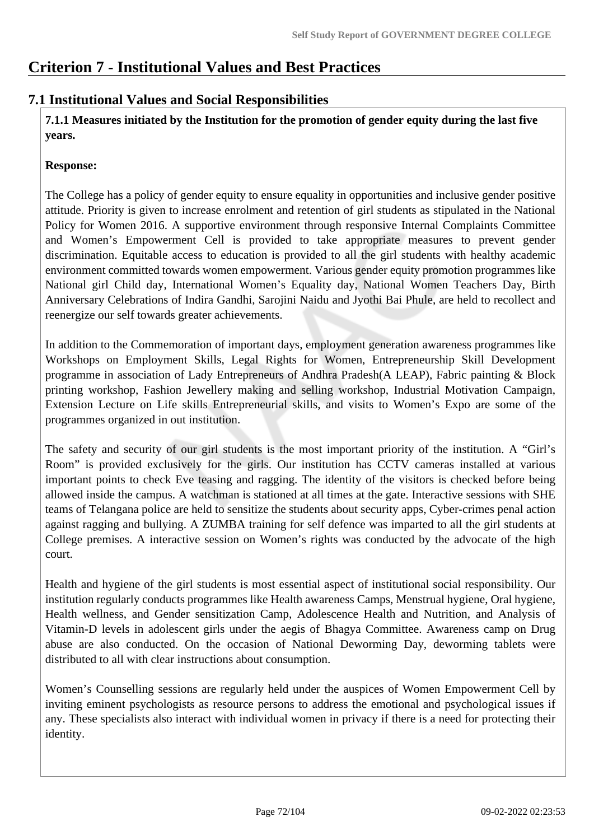# **Criterion 7 - Institutional Values and Best Practices**

# **7.1 Institutional Values and Social Responsibilities**

 **7.1.1 Measures initiated by the Institution for the promotion of gender equity during the last five years.**

# **Response:**

The College has a policy of gender equity to ensure equality in opportunities and inclusive gender positive attitude. Priority is given to increase enrolment and retention of girl students as stipulated in the National Policy for Women 2016. A supportive environment through responsive Internal Complaints Committee and Women's Empowerment Cell is provided to take appropriate measures to prevent gender discrimination. Equitable access to education is provided to all the girl students with healthy academic environment committed towards women empowerment. Various gender equity promotion programmes like National girl Child day, International Women's Equality day, National Women Teachers Day, Birth Anniversary Celebrations of Indira Gandhi, Sarojini Naidu and Jyothi Bai Phule, are held to recollect and reenergize our self towards greater achievements.

In addition to the Commemoration of important days, employment generation awareness programmes like Workshops on Employment Skills, Legal Rights for Women, Entrepreneurship Skill Development programme in association of Lady Entrepreneurs of Andhra Pradesh(A LEAP), Fabric painting & Block printing workshop, Fashion Jewellery making and selling workshop, Industrial Motivation Campaign, Extension Lecture on Life skills Entrepreneurial skills, and visits to Women's Expo are some of the programmes organized in out institution.

The safety and security of our girl students is the most important priority of the institution. A "Girl's Room" is provided exclusively for the girls. Our institution has CCTV cameras installed at various important points to check Eve teasing and ragging. The identity of the visitors is checked before being allowed inside the campus. A watchman is stationed at all times at the gate. Interactive sessions with SHE teams of Telangana police are held to sensitize the students about security apps, Cyber-crimes penal action against ragging and bullying. A ZUMBA training for self defence was imparted to all the girl students at College premises. A interactive session on Women's rights was conducted by the advocate of the high court.

Health and hygiene of the girl students is most essential aspect of institutional social responsibility. Our institution regularly conducts programmes like Health awareness Camps, Menstrual hygiene, Oral hygiene, Health wellness, and Gender sensitization Camp, Adolescence Health and Nutrition, and Analysis of Vitamin-D levels in adolescent girls under the aegis of Bhagya Committee. Awareness camp on Drug abuse are also conducted. On the occasion of National Deworming Day, deworming tablets were distributed to all with clear instructions about consumption.

Women's Counselling sessions are regularly held under the auspices of Women Empowerment Cell by inviting eminent psychologists as resource persons to address the emotional and psychological issues if any. These specialists also interact with individual women in privacy if there is a need for protecting their identity.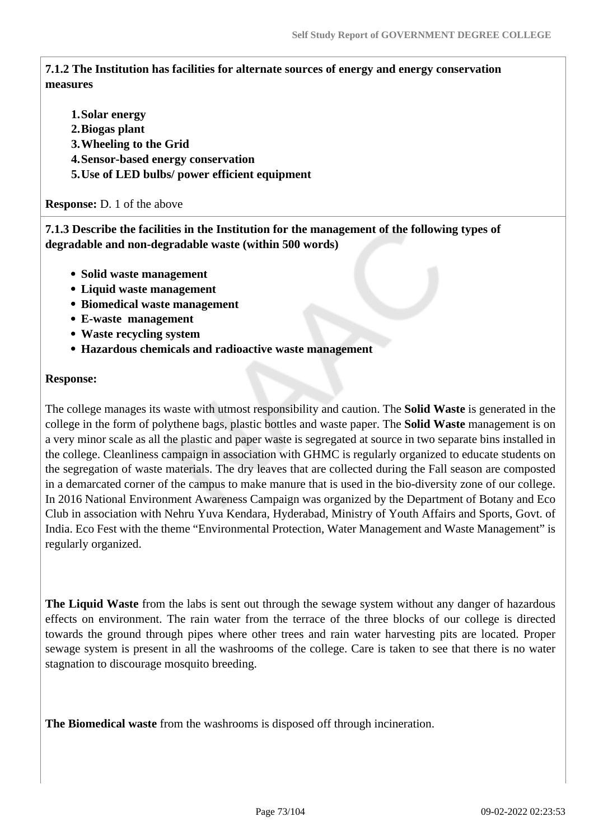**7.1.2 The Institution has facilities for alternate sources of energy and energy conservation measures** 

**1.Solar energy 2.Biogas plant 3.Wheeling to the Grid 4.Sensor-based energy conservation 5.Use of LED bulbs/ power efficient equipment** 

#### **Response:** D. 1 of the above

 **7.1.3 Describe the facilities in the Institution for the management of the following types of degradable and non-degradable waste (within 500 words)**

- **Solid waste management**
- **Liquid waste management**
- **Biomedical waste management**
- **E-waste management**
- **Waste recycling system**
- **Hazardous chemicals and radioactive waste management**

#### **Response:**

The college manages its waste with utmost responsibility and caution. The **Solid Waste** is generated in the college in the form of polythene bags, plastic bottles and waste paper. The **Solid Waste** management is on a very minor scale as all the plastic and paper waste is segregated at source in two separate bins installed in the college. Cleanliness campaign in association with GHMC is regularly organized to educate students on the segregation of waste materials. The dry leaves that are collected during the Fall season are composted in a demarcated corner of the campus to make manure that is used in the bio-diversity zone of our college. In 2016 National Environment Awareness Campaign was organized by the Department of Botany and Eco Club in association with Nehru Yuva Kendara, Hyderabad, Ministry of Youth Affairs and Sports, Govt. of India. Eco Fest with the theme "Environmental Protection, Water Management and Waste Management" is regularly organized.

**The Liquid Waste** from the labs is sent out through the sewage system without any danger of hazardous effects on environment. The rain water from the terrace of the three blocks of our college is directed towards the ground through pipes where other trees and rain water harvesting pits are located. Proper sewage system is present in all the washrooms of the college. Care is taken to see that there is no water stagnation to discourage mosquito breeding.

**The Biomedical waste** from the washrooms is disposed off through incineration.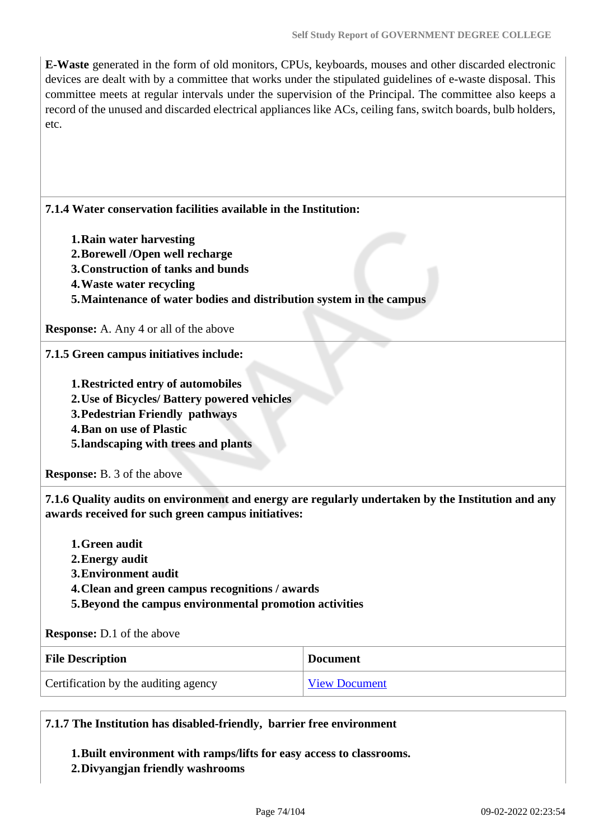**E-Waste** generated in the form of old monitors, CPUs, keyboards, mouses and other discarded electronic devices are dealt with by a committee that works under the stipulated guidelines of e-waste disposal. This committee meets at regular intervals under the supervision of the Principal. The committee also keeps a record of the unused and discarded electrical appliances like ACs, ceiling fans, switch boards, bulb holders, etc.

#### **7.1.4 Water conservation facilities available in the Institution:**

- **1.Rain water harvesting**
- **2.Borewell /Open well recharge**
- **3.Construction of tanks and bunds**
- **4.Waste water recycling**
- **5.Maintenance of water bodies and distribution system in the campus**

**Response:** A. Any 4 or all of the above

**7.1.5 Green campus initiatives include:** 

- **1.Restricted entry of automobiles**
- **2.Use of Bicycles/ Battery powered vehicles**
- **3.Pedestrian Friendly pathways**
- **4.Ban on use of Plastic**
- **5.landscaping with trees and plants**

**Response:** B. 3 of the above

 **7.1.6 Quality audits on environment and energy are regularly undertaken by the Institution and any awards received for such green campus initiatives:**

- **1.Green audit**
- **2.Energy audit**
- **3.Environment audit**
- **4.Clean and green campus recognitions / awards**

**5.Beyond the campus environmental promotion activities** 

**Response:** D.1 of the above

| <b>File Description</b>              | <b>Document</b>      |
|--------------------------------------|----------------------|
| Certification by the auditing agency | <b>View Document</b> |

**7.1.7 The Institution has disabled-friendly, barrier free environment** 

**1.Built environment with ramps/lifts for easy access to classrooms.**

**2.Divyangjan friendly washrooms**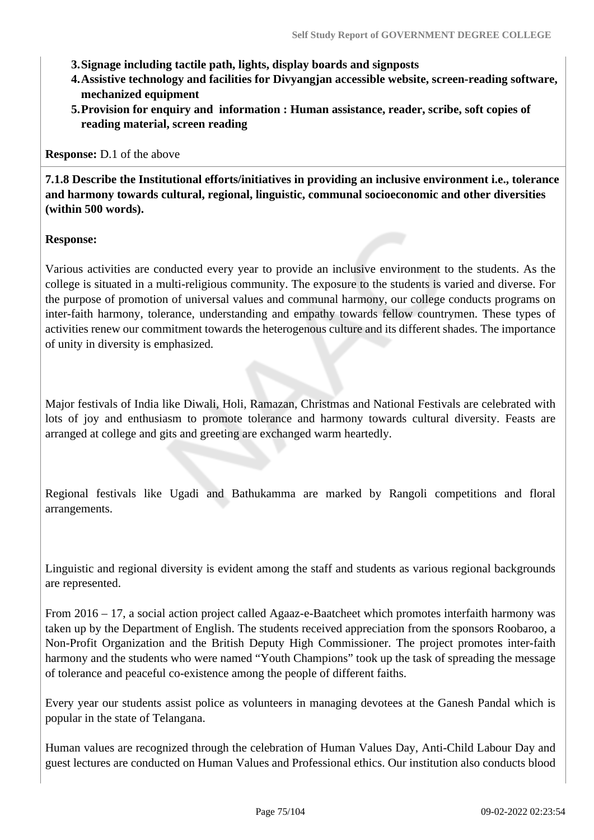- **3.Signage including tactile path, lights, display boards and signposts**
- **4.Assistive technology and facilities for Divyangjan accessible website, screen-reading software, mechanized equipment**
- **5.Provision for enquiry and information : Human assistance, reader, scribe, soft copies of reading material, screen reading**

**Response:** D.1 of the above

 **7.1.8 Describe the Institutional efforts/initiatives in providing an inclusive environment i.e., tolerance and harmony towards cultural, regional, linguistic, communal socioeconomic and other diversities (within 500 words).**

#### **Response:**

Various activities are conducted every year to provide an inclusive environment to the students. As the college is situated in a multi-religious community. The exposure to the students is varied and diverse. For the purpose of promotion of universal values and communal harmony, our college conducts programs on inter-faith harmony, tolerance, understanding and empathy towards fellow countrymen. These types of activities renew our commitment towards the heterogenous culture and its different shades. The importance of unity in diversity is emphasized.

Major festivals of India like Diwali, Holi, Ramazan, Christmas and National Festivals are celebrated with lots of joy and enthusiasm to promote tolerance and harmony towards cultural diversity. Feasts are arranged at college and gits and greeting are exchanged warm heartedly.

Regional festivals like Ugadi and Bathukamma are marked by Rangoli competitions and floral arrangements.

Linguistic and regional diversity is evident among the staff and students as various regional backgrounds are represented.

From 2016 – 17, a social action project called Agaaz-e-Baatcheet which promotes interfaith harmony was taken up by the Department of English. The students received appreciation from the sponsors Roobaroo, a Non-Profit Organization and the British Deputy High Commissioner. The project promotes inter-faith harmony and the students who were named "Youth Champions" took up the task of spreading the message of tolerance and peaceful co-existence among the people of different faiths.

Every year our students assist police as volunteers in managing devotees at the Ganesh Pandal which is popular in the state of Telangana.

Human values are recognized through the celebration of Human Values Day, Anti-Child Labour Day and guest lectures are conducted on Human Values and Professional ethics. Our institution also conducts blood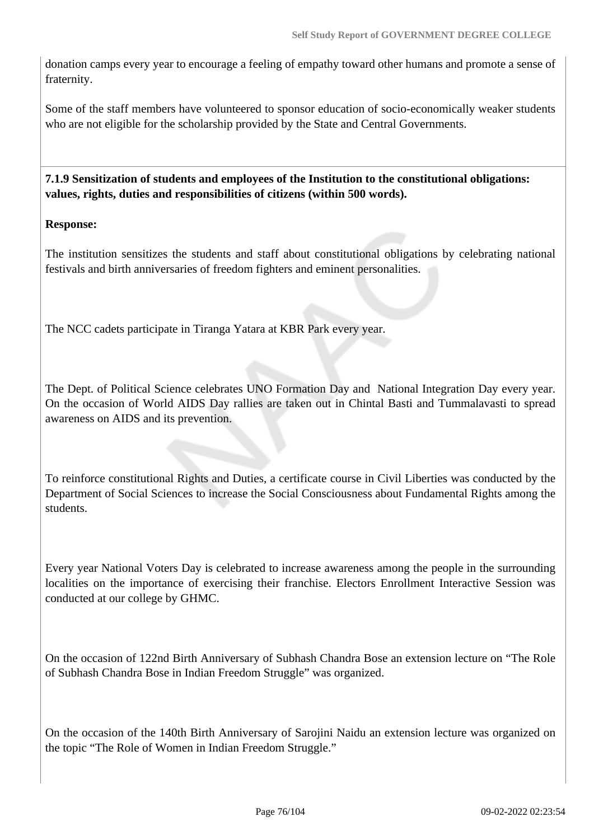donation camps every year to encourage a feeling of empathy toward other humans and promote a sense of fraternity.

Some of the staff members have volunteered to sponsor education of socio-economically weaker students who are not eligible for the scholarship provided by the State and Central Governments.

 **7.1.9 Sensitization of students and employees of the Institution to the constitutional obligations: values, rights, duties and responsibilities of citizens (within 500 words).**

#### **Response:**

The institution sensitizes the students and staff about constitutional obligations by celebrating national festivals and birth anniversaries of freedom fighters and eminent personalities.

The NCC cadets participate in Tiranga Yatara at KBR Park every year.

The Dept. of Political Science celebrates UNO Formation Day and National Integration Day every year. On the occasion of World AIDS Day rallies are taken out in Chintal Basti and Tummalavasti to spread awareness on AIDS and its prevention.

To reinforce constitutional Rights and Duties, a certificate course in Civil Liberties was conducted by the Department of Social Sciences to increase the Social Consciousness about Fundamental Rights among the students.

Every year National Voters Day is celebrated to increase awareness among the people in the surrounding localities on the importance of exercising their franchise. Electors Enrollment Interactive Session was conducted at our college by GHMC.

On the occasion of 122nd Birth Anniversary of Subhash Chandra Bose an extension lecture on "The Role of Subhash Chandra Bose in Indian Freedom Struggle" was organized.

On the occasion of the 140th Birth Anniversary of Sarojini Naidu an extension lecture was organized on the topic "The Role of Women in Indian Freedom Struggle."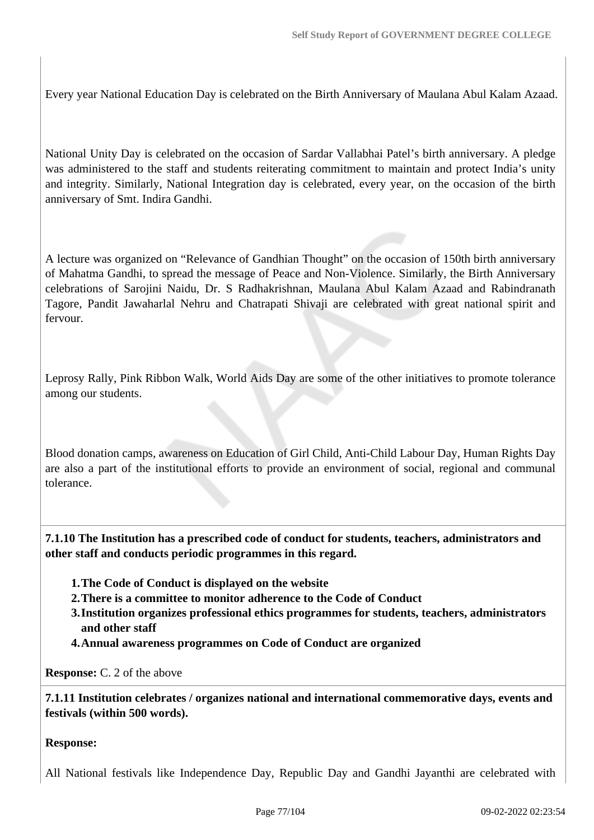Every year National Education Day is celebrated on the Birth Anniversary of Maulana Abul Kalam Azaad.

National Unity Day is celebrated on the occasion of Sardar Vallabhai Patel's birth anniversary. A pledge was administered to the staff and students reiterating commitment to maintain and protect India's unity and integrity. Similarly, National Integration day is celebrated, every year, on the occasion of the birth anniversary of Smt. Indira Gandhi.

A lecture was organized on "Relevance of Gandhian Thought" on the occasion of 150th birth anniversary of Mahatma Gandhi, to spread the message of Peace and Non-Violence. Similarly, the Birth Anniversary celebrations of Sarojini Naidu, Dr. S Radhakrishnan, Maulana Abul Kalam Azaad and Rabindranath Tagore, Pandit Jawaharlal Nehru and Chatrapati Shivaji are celebrated with great national spirit and fervour.

Leprosy Rally, Pink Ribbon Walk, World Aids Day are some of the other initiatives to promote tolerance among our students.

Blood donation camps, awareness on Education of Girl Child, Anti-Child Labour Day, Human Rights Day are also a part of the institutional efforts to provide an environment of social, regional and communal tolerance.

 **7.1.10 The Institution has a prescribed code of conduct for students, teachers, administrators and other staff and conducts periodic programmes in this regard.** 

- **1.The Code of Conduct is displayed on the website**
- **2.There is a committee to monitor adherence to the Code of Conduct**
- **3.Institution organizes professional ethics programmes for students, teachers, administrators and other staff**
- **4.Annual awareness programmes on Code of Conduct are organized**

**Response:** C. 2 of the above

 **7.1.11 Institution celebrates / organizes national and international commemorative days, events and festivals (within 500 words).**

#### **Response:**

All National festivals like Independence Day, Republic Day and Gandhi Jayanthi are celebrated with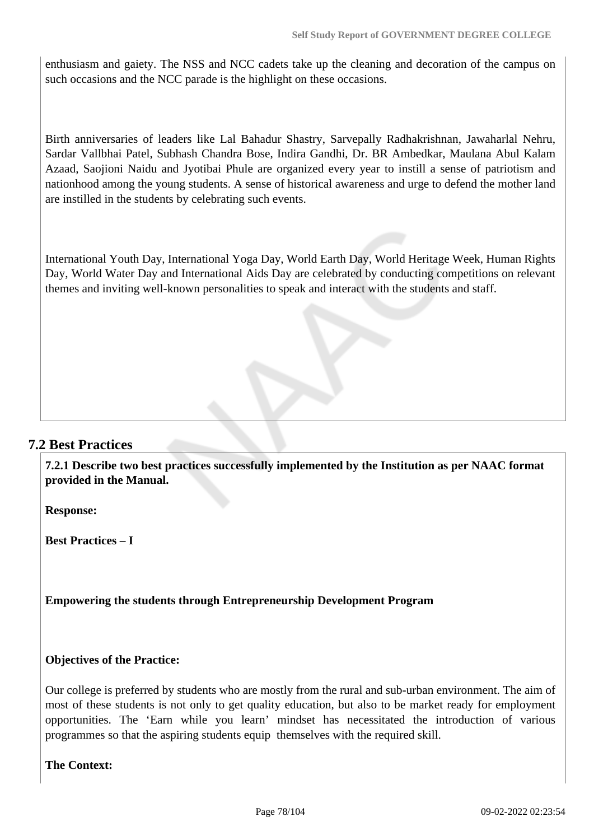enthusiasm and gaiety. The NSS and NCC cadets take up the cleaning and decoration of the campus on such occasions and the NCC parade is the highlight on these occasions.

Birth anniversaries of leaders like Lal Bahadur Shastry, Sarvepally Radhakrishnan, Jawaharlal Nehru, Sardar Vallbhai Patel, Subhash Chandra Bose, Indira Gandhi, Dr. BR Ambedkar, Maulana Abul Kalam Azaad, Saojioni Naidu and Jyotibai Phule are organized every year to instill a sense of patriotism and nationhood among the young students. A sense of historical awareness and urge to defend the mother land are instilled in the students by celebrating such events.

International Youth Day, International Yoga Day, World Earth Day, World Heritage Week, Human Rights Day, World Water Day and International Aids Day are celebrated by conducting competitions on relevant themes and inviting well-known personalities to speak and interact with the students and staff.

### **7.2 Best Practices**

 **7.2.1 Describe two best practices successfully implemented by the Institution as per NAAC format provided in the Manual.**

**Response:** 

**Best Practices – I**

#### **Empowering the students through Entrepreneurship Development Program**

#### **Objectives of the Practice:**

Our college is preferred by students who are mostly from the rural and sub-urban environment. The aim of most of these students is not only to get quality education, but also to be market ready for employment opportunities. The 'Earn while you learn' mindset has necessitated the introduction of various programmes so that the aspiring students equip themselves with the required skill.

**The Context:**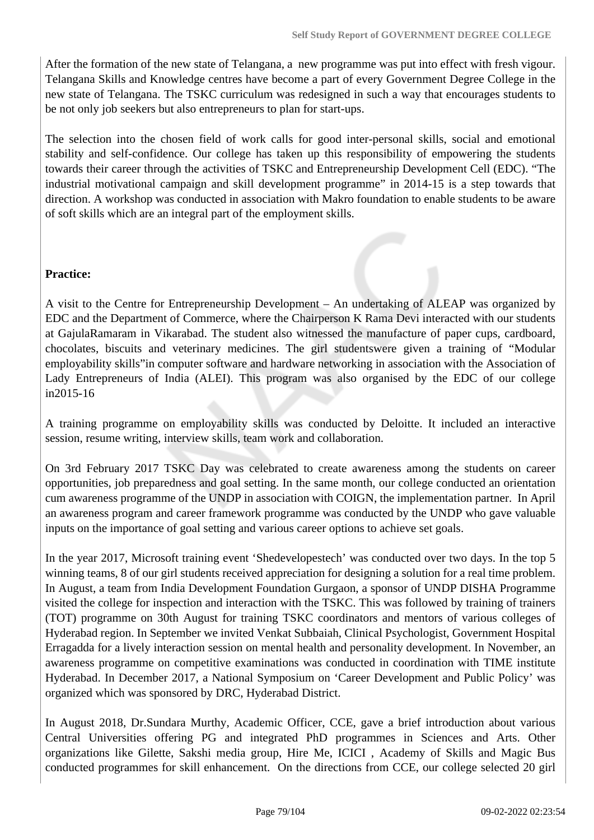After the formation of the new state of Telangana, a new programme was put into effect with fresh vigour. Telangana Skills and Knowledge centres have become a part of every Government Degree College in the new state of Telangana. The TSKC curriculum was redesigned in such a way that encourages students to be not only job seekers but also entrepreneurs to plan for start-ups.

The selection into the chosen field of work calls for good inter-personal skills, social and emotional stability and self-confidence. Our college has taken up this responsibility of empowering the students towards their career through the activities of TSKC and Entrepreneurship Development Cell (EDC). "The industrial motivational campaign and skill development programme" in 2014-15 is a step towards that direction. A workshop was conducted in association with Makro foundation to enable students to be aware of soft skills which are an integral part of the employment skills.

#### **Practice:**

A visit to the Centre for Entrepreneurship Development – An undertaking of ALEAP was organized by EDC and the Department of Commerce, where the Chairperson K Rama Devi interacted with our students at GajulaRamaram in Vikarabad. The student also witnessed the manufacture of paper cups, cardboard, chocolates, biscuits and veterinary medicines. The girl studentswere given a training of "Modular employability skills"in computer software and hardware networking in association with the Association of Lady Entrepreneurs of India (ALEI). This program was also organised by the EDC of our college in2015-16

A training programme on employability skills was conducted by Deloitte. It included an interactive session, resume writing, interview skills, team work and collaboration.

On 3rd February 2017 TSKC Day was celebrated to create awareness among the students on career opportunities, job preparedness and goal setting. In the same month, our college conducted an orientation cum awareness programme of the UNDP in association with COIGN, the implementation partner. In April an awareness program and career framework programme was conducted by the UNDP who gave valuable inputs on the importance of goal setting and various career options to achieve set goals.

In the year 2017, Microsoft training event 'Shedevelopestech' was conducted over two days. In the top 5 winning teams, 8 of our girl students received appreciation for designing a solution for a real time problem. In August, a team from India Development Foundation Gurgaon, a sponsor of UNDP DISHA Programme visited the college for inspection and interaction with the TSKC. This was followed by training of trainers (TOT) programme on 30th August for training TSKC coordinators and mentors of various colleges of Hyderabad region. In September we invited Venkat Subbaiah, Clinical Psychologist, Government Hospital Erragadda for a lively interaction session on mental health and personality development. In November, an awareness programme on competitive examinations was conducted in coordination with TIME institute Hyderabad. In December 2017, a National Symposium on 'Career Development and Public Policy' was organized which was sponsored by DRC, Hyderabad District.

In August 2018, Dr.Sundara Murthy, Academic Officer, CCE, gave a brief introduction about various Central Universities offering PG and integrated PhD programmes in Sciences and Arts. Other organizations like Gilette, Sakshi media group, Hire Me, ICICI , Academy of Skills and Magic Bus conducted programmes for skill enhancement. On the directions from CCE, our college selected 20 girl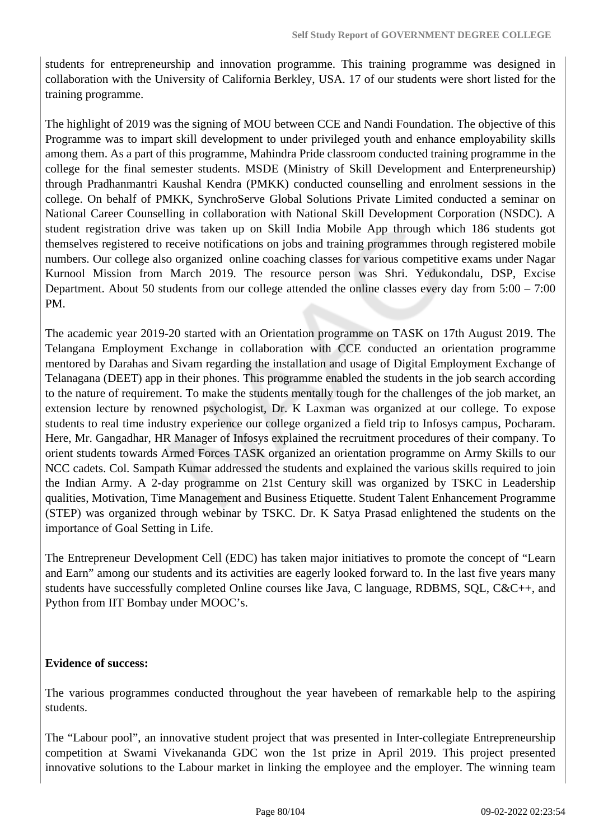students for entrepreneurship and innovation programme. This training programme was designed in collaboration with the University of California Berkley, USA. 17 of our students were short listed for the training programme.

The highlight of 2019 was the signing of MOU between CCE and Nandi Foundation. The objective of this Programme was to impart skill development to under privileged youth and enhance employability skills among them. As a part of this programme, Mahindra Pride classroom conducted training programme in the college for the final semester students. MSDE (Ministry of Skill Development and Enterpreneurship) through Pradhanmantri Kaushal Kendra (PMKK) conducted counselling and enrolment sessions in the college. On behalf of PMKK, SynchroServe Global Solutions Private Limited conducted a seminar on National Career Counselling in collaboration with National Skill Development Corporation (NSDC). A student registration drive was taken up on Skill India Mobile App through which 186 students got themselves registered to receive notifications on jobs and training programmes through registered mobile numbers. Our college also organized online coaching classes for various competitive exams under Nagar Kurnool Mission from March 2019. The resource person was Shri. Yedukondalu, DSP, Excise Department. About 50 students from our college attended the online classes every day from 5:00 – 7:00 PM.

The academic year 2019-20 started with an Orientation programme on TASK on 17th August 2019. The Telangana Employment Exchange in collaboration with CCE conducted an orientation programme mentored by Darahas and Sivam regarding the installation and usage of Digital Employment Exchange of Telanagana (DEET) app in their phones. This programme enabled the students in the job search according to the nature of requirement. To make the students mentally tough for the challenges of the job market, an extension lecture by renowned psychologist, Dr. K Laxman was organized at our college. To expose students to real time industry experience our college organized a field trip to Infosys campus, Pocharam. Here, Mr. Gangadhar, HR Manager of Infosys explained the recruitment procedures of their company. To orient students towards Armed Forces TASK organized an orientation programme on Army Skills to our NCC cadets. Col. Sampath Kumar addressed the students and explained the various skills required to join the Indian Army. A 2-day programme on 21st Century skill was organized by TSKC in Leadership qualities, Motivation, Time Management and Business Etiquette. Student Talent Enhancement Programme (STEP) was organized through webinar by TSKC. Dr. K Satya Prasad enlightened the students on the importance of Goal Setting in Life.

The Entrepreneur Development Cell (EDC) has taken major initiatives to promote the concept of "Learn and Earn" among our students and its activities are eagerly looked forward to. In the last five years many students have successfully completed Online courses like Java, C language, RDBMS, SQL, C&C++, and Python from IIT Bombay under MOOC's.

#### **Evidence of success:**

The various programmes conducted throughout the year havebeen of remarkable help to the aspiring students.

The "Labour pool", an innovative student project that was presented in Inter-collegiate Entrepreneurship competition at Swami Vivekananda GDC won the 1st prize in April 2019. This project presented innovative solutions to the Labour market in linking the employee and the employer. The winning team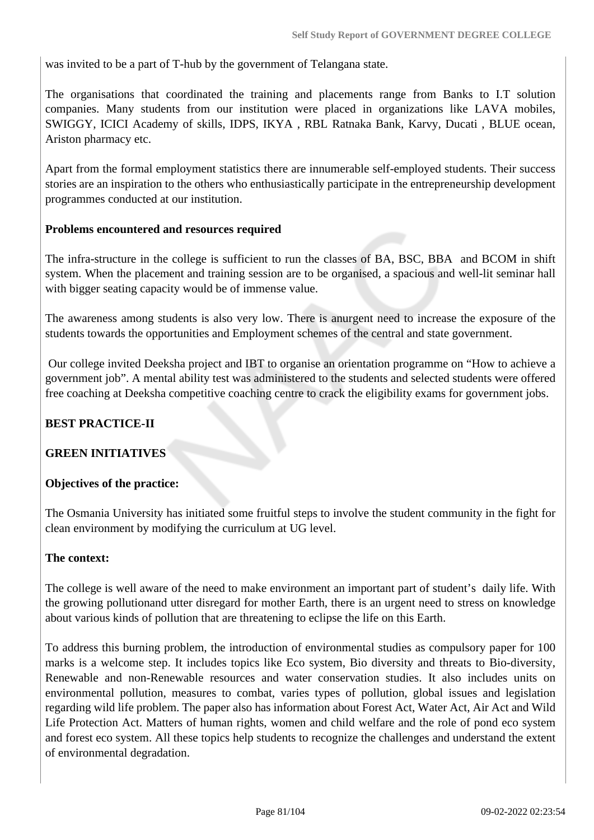was invited to be a part of T-hub by the government of Telangana state.

The organisations that coordinated the training and placements range from Banks to I.T solution companies. Many students from our institution were placed in organizations like LAVA mobiles, SWIGGY, ICICI Academy of skills, IDPS, IKYA , RBL Ratnaka Bank, Karvy, Ducati , BLUE ocean, Ariston pharmacy etc.

Apart from the formal employment statistics there are innumerable self-employed students. Their success stories are an inspiration to the others who enthusiastically participate in the entrepreneurship development programmes conducted at our institution.

#### **Problems encountered and resources required**

The infra-structure in the college is sufficient to run the classes of BA, BSC, BBA and BCOM in shift system. When the placement and training session are to be organised, a spacious and well-lit seminar hall with bigger seating capacity would be of immense value.

The awareness among students is also very low. There is anurgent need to increase the exposure of the students towards the opportunities and Employment schemes of the central and state government.

 Our college invited Deeksha project and IBT to organise an orientation programme on "How to achieve a government job". A mental ability test was administered to the students and selected students were offered free coaching at Deeksha competitive coaching centre to crack the eligibility exams for government jobs.

#### **BEST PRACTICE-II**

#### **GREEN INITIATIVES**

#### **Objectives of the practice:**

The Osmania University has initiated some fruitful steps to involve the student community in the fight for clean environment by modifying the curriculum at UG level.

#### **The context:**

The college is well aware of the need to make environment an important part of student's daily life. With the growing pollutionand utter disregard for mother Earth, there is an urgent need to stress on knowledge about various kinds of pollution that are threatening to eclipse the life on this Earth.

To address this burning problem, the introduction of environmental studies as compulsory paper for 100 marks is a welcome step. It includes topics like Eco system, Bio diversity and threats to Bio-diversity, Renewable and non-Renewable resources and water conservation studies. It also includes units on environmental pollution, measures to combat, varies types of pollution, global issues and legislation regarding wild life problem. The paper also has information about Forest Act, Water Act, Air Act and Wild Life Protection Act. Matters of human rights, women and child welfare and the role of pond eco system and forest eco system. All these topics help students to recognize the challenges and understand the extent of environmental degradation.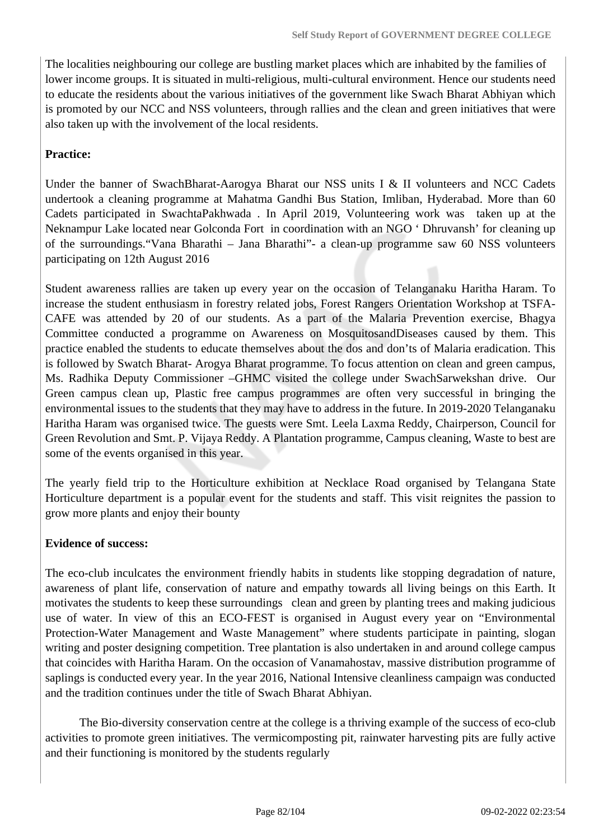The localities neighbouring our college are bustling market places which are inhabited by the families of lower income groups. It is situated in multi-religious, multi-cultural environment. Hence our students need to educate the residents about the various initiatives of the government like Swach Bharat Abhiyan which is promoted by our NCC and NSS volunteers, through rallies and the clean and green initiatives that were also taken up with the involvement of the local residents.

#### **Practice:**

Under the banner of SwachBharat-Aarogya Bharat our NSS units I & II volunteers and NCC Cadets undertook a cleaning programme at Mahatma Gandhi Bus Station, Imliban, Hyderabad. More than 60 Cadets participated in SwachtaPakhwada . In April 2019, Volunteering work was taken up at the Neknampur Lake located near Golconda Fort in coordination with an NGO ' Dhruvansh' for cleaning up of the surroundings."Vana Bharathi – Jana Bharathi"- a clean-up programme saw 60 NSS volunteers participating on 12th August 2016

Student awareness rallies are taken up every year on the occasion of Telanganaku Haritha Haram. To increase the student enthusiasm in forestry related jobs, Forest Rangers Orientation Workshop at TSFA-CAFE was attended by 20 of our students. As a part of the Malaria Prevention exercise, Bhagya Committee conducted a programme on Awareness on MosquitosandDiseases caused by them. This practice enabled the students to educate themselves about the dos and don'ts of Malaria eradication. This is followed by Swatch Bharat- Arogya Bharat programme. To focus attention on clean and green campus, Ms. Radhika Deputy Commissioner –GHMC visited the college under SwachSarwekshan drive. Our Green campus clean up, Plastic free campus programmes are often very successful in bringing the environmental issues to the students that they may have to address in the future. In 2019-2020 Telanganaku Haritha Haram was organised twice. The guests were Smt. Leela Laxma Reddy, Chairperson, Council for Green Revolution and Smt. P. Vijaya Reddy. A Plantation programme, Campus cleaning, Waste to best are some of the events organised in this year.

The yearly field trip to the Horticulture exhibition at Necklace Road organised by Telangana State Horticulture department is a popular event for the students and staff. This visit reignites the passion to grow more plants and enjoy their bounty

#### **Evidence of success:**

The eco-club inculcates the environment friendly habits in students like stopping degradation of nature, awareness of plant life, conservation of nature and empathy towards all living beings on this Earth. It motivates the students to keep these surroundings clean and green by planting trees and making judicious use of water. In view of this an ECO-FEST is organised in August every year on "Environmental Protection-Water Management and Waste Management" where students participate in painting, slogan writing and poster designing competition. Tree plantation is also undertaken in and around college campus that coincides with Haritha Haram. On the occasion of Vanamahostav, massive distribution programme of saplings is conducted every year. In the year 2016, National Intensive cleanliness campaign was conducted and the tradition continues under the title of Swach Bharat Abhiyan.

 The Bio-diversity conservation centre at the college is a thriving example of the success of eco-club activities to promote green initiatives. The vermicomposting pit, rainwater harvesting pits are fully active and their functioning is monitored by the students regularly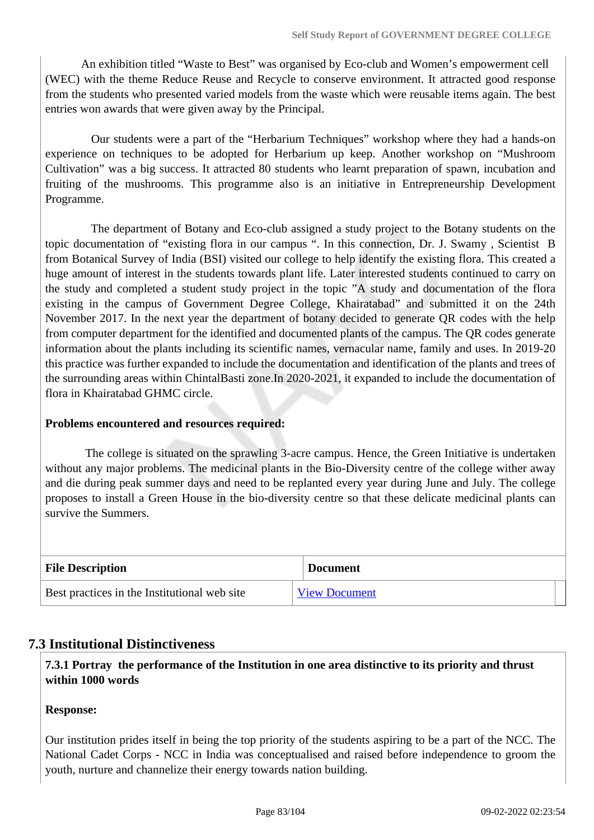An exhibition titled "Waste to Best" was organised by Eco-club and Women's empowerment cell (WEC) with the theme Reduce Reuse and Recycle to conserve environment. It attracted good response from the students who presented varied models from the waste which were reusable items again. The best entries won awards that were given away by the Principal.

 Our students were a part of the "Herbarium Techniques" workshop where they had a hands-on experience on techniques to be adopted for Herbarium up keep. Another workshop on "Mushroom Cultivation" was a big success. It attracted 80 students who learnt preparation of spawn, incubation and fruiting of the mushrooms. This programme also is an initiative in Entrepreneurship Development Programme.

 The department of Botany and Eco-club assigned a study project to the Botany students on the topic documentation of "existing flora in our campus ". In this connection, Dr. J. Swamy , Scientist B from Botanical Survey of India (BSI) visited our college to help identify the existing flora. This created a huge amount of interest in the students towards plant life. Later interested students continued to carry on the study and completed a student study project in the topic "A study and documentation of the flora existing in the campus of Government Degree College, Khairatabad" and submitted it on the 24th November 2017. In the next year the department of botany decided to generate QR codes with the help from computer department for the identified and documented plants of the campus. The QR codes generate information about the plants including its scientific names, vernacular name, family and uses. In 2019-20 this practice was further expanded to include the documentation and identification of the plants and trees of the surrounding areas within ChintalBasti zone.In 2020-2021, it expanded to include the documentation of flora in Khairatabad GHMC circle.

#### **Problems encountered and resources required:**

 The college is situated on the sprawling 3-acre campus. Hence, the Green Initiative is undertaken without any major problems. The medicinal plants in the Bio-Diversity centre of the college wither away and die during peak summer days and need to be replanted every year during June and July. The college proposes to install a Green House in the bio-diversity centre so that these delicate medicinal plants can survive the Summers.

| <b>File Description</b>                      | <b>Document</b>      |
|----------------------------------------------|----------------------|
| Best practices in the Institutional web site | <b>View Document</b> |

### **7.3 Institutional Distinctiveness**

 **7.3.1 Portray the performance of the Institution in one area distinctive to its priority and thrust within 1000 words**

#### **Response:**

Our institution prides itself in being the top priority of the students aspiring to be a part of the NCC. The National Cadet Corps - NCC in India was conceptualised and raised before independence to groom the youth, nurture and channelize their energy towards nation building.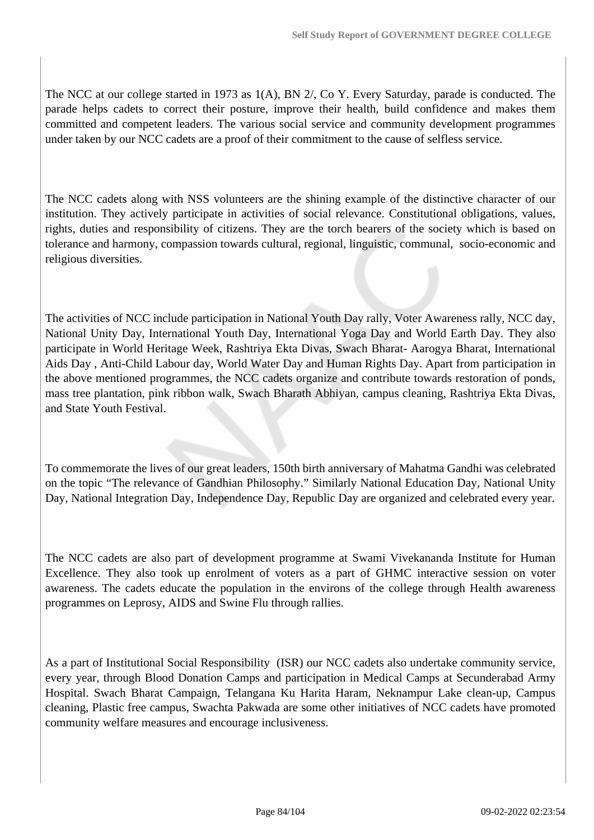The NCC at our college started in 1973 as 1(A), BN 2/, Co Y. Every Saturday, parade is conducted. The parade helps cadets to correct their posture, improve their health, build confidence and makes them committed and competent leaders. The various social service and community development programmes under taken by our NCC cadets are a proof of their commitment to the cause of selfless service.

The NCC cadets along with NSS volunteers are the shining example of the distinctive character of our institution. They actively participate in activities of social relevance. Constitutional obligations, values, rights, duties and responsibility of citizens. They are the torch bearers of the society which is based on tolerance and harmony, compassion towards cultural, regional, linguistic, communal, socio-economic and religious diversities.

The activities of NCC include participation in National Youth Day rally, Voter Awareness rally, NCC day, National Unity Day, International Youth Day, International Yoga Day and World Earth Day. They also participate in World Heritage Week, Rashtriya Ekta Divas, Swach Bharat- Aarogya Bharat, International Aids Day , Anti-Child Labour day, World Water Day and Human Rights Day. Apart from participation in the above mentioned programmes, the NCC cadets organize and contribute towards restoration of ponds, mass tree plantation, pink ribbon walk, Swach Bharath Abhiyan, campus cleaning, Rashtriya Ekta Divas, and State Youth Festival.

To commemorate the lives of our great leaders, 150th birth anniversary of Mahatma Gandhi was celebrated on the topic "The relevance of Gandhian Philosophy." Similarly National Education Day, National Unity Day, National Integration Day, Independence Day, Republic Day are organized and celebrated every year.

The NCC cadets are also part of development programme at Swami Vivekananda Institute for Human Excellence. They also took up enrolment of voters as a part of GHMC interactive session on voter awareness. The cadets educate the population in the environs of the college through Health awareness programmes on Leprosy, AIDS and Swine Flu through rallies.

As a part of Institutional Social Responsibility (ISR) our NCC cadets also undertake community service, every year, through Blood Donation Camps and participation in Medical Camps at Secunderabad Army Hospital. Swach Bharat Campaign, Telangana Ku Harita Haram, Neknampur Lake clean-up, Campus cleaning, Plastic free campus, Swachta Pakwada are some other initiatives of NCC cadets have promoted community welfare measures and encourage inclusiveness.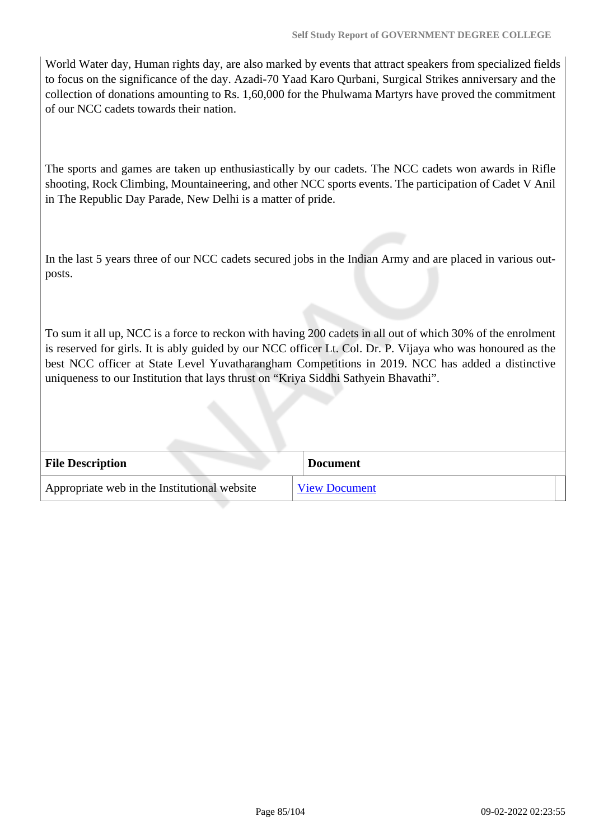World Water day, Human rights day, are also marked by events that attract speakers from specialized fields to focus on the significance of the day. Azadi-70 Yaad Karo Qurbani, Surgical Strikes anniversary and the collection of donations amounting to Rs. 1,60,000 for the Phulwama Martyrs have proved the commitment of our NCC cadets towards their nation.

The sports and games are taken up enthusiastically by our cadets. The NCC cadets won awards in Rifle shooting, Rock Climbing, Mountaineering, and other NCC sports events. The participation of Cadet V Anil in The Republic Day Parade, New Delhi is a matter of pride.

In the last 5 years three of our NCC cadets secured jobs in the Indian Army and are placed in various outposts.

To sum it all up, NCC is a force to reckon with having 200 cadets in all out of which 30% of the enrolment is reserved for girls. It is ably guided by our NCC officer Lt. Col. Dr. P. Vijaya who was honoured as the best NCC officer at State Level Yuvatharangham Competitions in 2019. NCC has added a distinctive uniqueness to our Institution that lays thrust on "Kriya Siddhi Sathyein Bhavathi".

| <b>File Description</b>                      | <b>Document</b>      |
|----------------------------------------------|----------------------|
| Appropriate web in the Institutional website | <b>View Document</b> |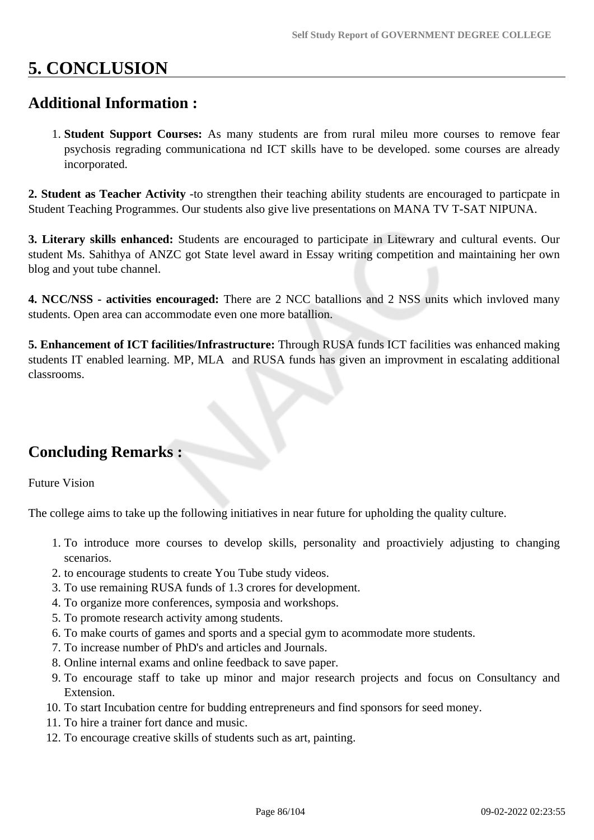# **5. CONCLUSION**

## **Additional Information :**

1. **Student Support Courses:** As many students are from rural mileu more courses to remove fear psychosis regrading communicationa nd ICT skills have to be developed. some courses are already incorporated.

**2. Student as Teacher Activity** -to strengthen their teaching ability students are encouraged to particpate in Student Teaching Programmes. Our students also give live presentations on MANA TV T-SAT NIPUNA.

**3. Literary skills enhanced:** Students are encouraged to participate in Litewrary and cultural events. Our student Ms. Sahithya of ANZC got State level award in Essay writing competition and maintaining her own blog and yout tube channel.

**4. NCC/NSS - activities encouraged:** There are 2 NCC batallions and 2 NSS units which invloved many students. Open area can accommodate even one more batallion.

**5. Enhancement of ICT facilities/Infrastructure:** Through RUSA funds ICT facilities was enhanced making students IT enabled learning. MP, MLA and RUSA funds has given an improvment in escalating additional classrooms.

# **Concluding Remarks :**

Future Vision

The college aims to take up the following initiatives in near future for upholding the quality culture.

- 1. To introduce more courses to develop skills, personality and proactiviely adjusting to changing scenarios.
- 2. to encourage students to create You Tube study videos.
- 3. To use remaining RUSA funds of 1.3 crores for development.
- 4. To organize more conferences, symposia and workshops.
- 5. To promote research activity among students.
- 6. To make courts of games and sports and a special gym to acommodate more students.
- 7. To increase number of PhD's and articles and Journals.
- 8. Online internal exams and online feedback to save paper.
- 9. To encourage staff to take up minor and major research projects and focus on Consultancy and Extension.
- 10. To start Incubation centre for budding entrepreneurs and find sponsors for seed money.
- 11. To hire a trainer fort dance and music.
- 12. To encourage creative skills of students such as art, painting.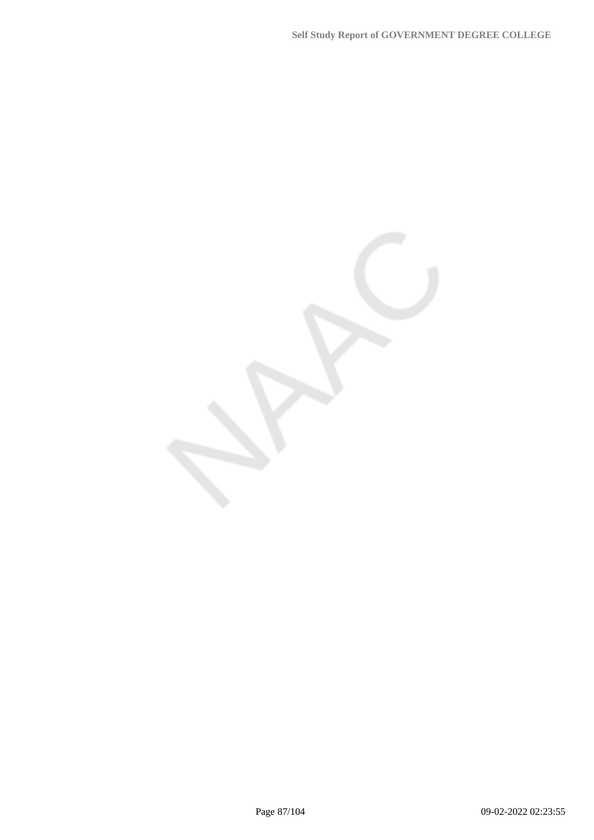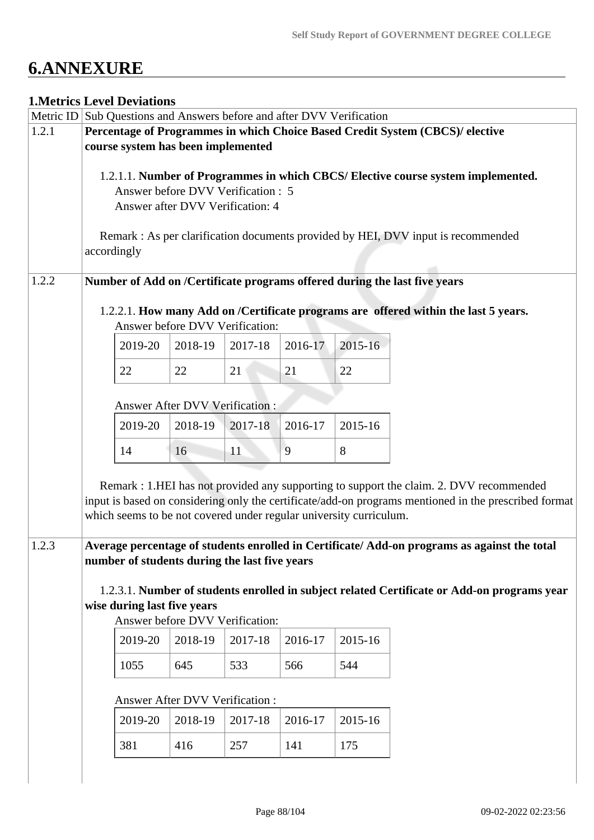# **6.ANNEXURE**

## **1.Metrics Level Deviations**

| 1.2.1 | Metric ID Sub Questions and Answers before and after DVV Verification<br>Percentage of Programmes in which Choice Based Credit System (CBCS)/ elective<br>course system has been implemented                                                    |                                                                                                                     |                                |                                            |         |         |                                                                                                                                                                                                                                                                                                 |  |  |  |  |
|-------|-------------------------------------------------------------------------------------------------------------------------------------------------------------------------------------------------------------------------------------------------|---------------------------------------------------------------------------------------------------------------------|--------------------------------|--------------------------------------------|---------|---------|-------------------------------------------------------------------------------------------------------------------------------------------------------------------------------------------------------------------------------------------------------------------------------------------------|--|--|--|--|
|       |                                                                                                                                                                                                                                                 |                                                                                                                     |                                |                                            |         |         |                                                                                                                                                                                                                                                                                                 |  |  |  |  |
|       | 1.2.1.1. Number of Programmes in which CBCS/ Elective course system implemented.<br>Answer before DVV Verification : 5<br>Answer after DVV Verification: 4<br>Remark : As per clarification documents provided by HEI, DVV input is recommended |                                                                                                                     |                                |                                            |         |         |                                                                                                                                                                                                                                                                                                 |  |  |  |  |
|       | accordingly                                                                                                                                                                                                                                     |                                                                                                                     |                                |                                            |         |         |                                                                                                                                                                                                                                                                                                 |  |  |  |  |
| 1.2.2 |                                                                                                                                                                                                                                                 |                                                                                                                     |                                |                                            |         |         | Number of Add on /Certificate programs offered during the last five years                                                                                                                                                                                                                       |  |  |  |  |
|       |                                                                                                                                                                                                                                                 | 2019-20                                                                                                             | 2018-19                        | Answer before DVV Verification:<br>2017-18 | 2016-17 | 2015-16 | 1.2.2.1. How many Add on /Certificate programs are offered within the last 5 years.                                                                                                                                                                                                             |  |  |  |  |
|       |                                                                                                                                                                                                                                                 |                                                                                                                     |                                |                                            |         |         |                                                                                                                                                                                                                                                                                                 |  |  |  |  |
|       |                                                                                                                                                                                                                                                 | 22                                                                                                                  | 22                             | 21                                         | 21      | 22      |                                                                                                                                                                                                                                                                                                 |  |  |  |  |
|       | <b>Answer After DVV Verification:</b>                                                                                                                                                                                                           |                                                                                                                     |                                |                                            |         |         |                                                                                                                                                                                                                                                                                                 |  |  |  |  |
|       |                                                                                                                                                                                                                                                 | 2019-20                                                                                                             | 2018-19                        | $2017 - 18$                                | 2016-17 | 2015-16 |                                                                                                                                                                                                                                                                                                 |  |  |  |  |
|       |                                                                                                                                                                                                                                                 | 14                                                                                                                  | 16                             | 11                                         | 9       | 8       |                                                                                                                                                                                                                                                                                                 |  |  |  |  |
| 1.2.3 |                                                                                                                                                                                                                                                 | which seems to be not covered under regular university curriculum.<br>number of students during the last five years |                                |                                            |         |         | Remark : 1.HEI has not provided any supporting to support the claim. 2. DVV recommended<br>input is based on considering only the certificate/add-on programs mentioned in the prescribed format<br>Average percentage of students enrolled in Certificate/Add-on programs as against the total |  |  |  |  |
|       |                                                                                                                                                                                                                                                 | wise during last five years                                                                                         |                                | Answer before DVV Verification:            |         |         | 1.2.3.1. Number of students enrolled in subject related Certificate or Add-on programs year                                                                                                                                                                                                     |  |  |  |  |
|       |                                                                                                                                                                                                                                                 | 2019-20                                                                                                             | 2018-19                        | 2017-18                                    | 2016-17 | 2015-16 |                                                                                                                                                                                                                                                                                                 |  |  |  |  |
|       |                                                                                                                                                                                                                                                 | 1055                                                                                                                | 645                            | 533                                        | 566     | 544     |                                                                                                                                                                                                                                                                                                 |  |  |  |  |
|       |                                                                                                                                                                                                                                                 |                                                                                                                     | Answer After DVV Verification: |                                            |         |         |                                                                                                                                                                                                                                                                                                 |  |  |  |  |
|       |                                                                                                                                                                                                                                                 | 2019-20                                                                                                             | 2018-19                        | 2017-18                                    | 2016-17 | 2015-16 |                                                                                                                                                                                                                                                                                                 |  |  |  |  |
|       |                                                                                                                                                                                                                                                 | 381                                                                                                                 | 416                            | 257                                        | 141     | 175     |                                                                                                                                                                                                                                                                                                 |  |  |  |  |
|       |                                                                                                                                                                                                                                                 |                                                                                                                     |                                |                                            |         |         |                                                                                                                                                                                                                                                                                                 |  |  |  |  |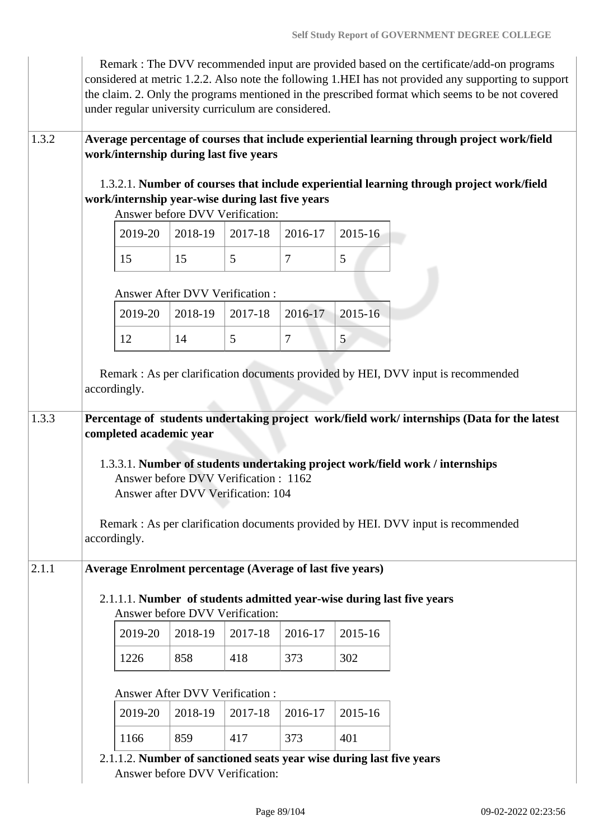|                | under regular university curriculum are considered.                                                                         |                                 |                                                                            |         |         | Remark : The DVV recommended input are provided based on the certificate/add-on programs<br>considered at metric 1.2.2. Also note the following 1.HEI has not provided any supporting to support<br>the claim. 2. Only the programs mentioned in the prescribed format which seems to be not covered                                                   |
|----------------|-----------------------------------------------------------------------------------------------------------------------------|---------------------------------|----------------------------------------------------------------------------|---------|---------|--------------------------------------------------------------------------------------------------------------------------------------------------------------------------------------------------------------------------------------------------------------------------------------------------------------------------------------------------------|
| 1.3.2          | work/internship during last five years<br>work/internship year-wise during last five years                                  |                                 | Answer before DVV Verification:                                            |         |         | Average percentage of courses that include experiential learning through project work/field<br>1.3.2.1. Number of courses that include experiential learning through project work/field                                                                                                                                                                |
|                | 2019-20                                                                                                                     | 2018-19                         | 2017-18                                                                    | 2016-17 | 2015-16 |                                                                                                                                                                                                                                                                                                                                                        |
|                | 15                                                                                                                          | 15                              | 5                                                                          | $\tau$  | 5       |                                                                                                                                                                                                                                                                                                                                                        |
|                |                                                                                                                             | Answer After DVV Verification : |                                                                            |         |         |                                                                                                                                                                                                                                                                                                                                                        |
|                | 2019-20                                                                                                                     | 2018-19                         | 2017-18                                                                    | 2016-17 | 2015-16 |                                                                                                                                                                                                                                                                                                                                                        |
|                | 12                                                                                                                          | 14                              | 5                                                                          | 7       | 5       |                                                                                                                                                                                                                                                                                                                                                        |
| 1.3.3<br>2.1.1 | accordingly.<br>completed academic year<br>accordingly.<br><b>Average Enrolment percentage (Average of last five years)</b> |                                 | Answer before DVV Verification: 1162<br>Answer after DVV Verification: 104 |         |         | Remark : As per clarification documents provided by HEI, DVV input is recommended<br>Percentage of students undertaking project work/field work/ internships (Data for the latest<br>1.3.3.1. Number of students undertaking project work/field work / internships<br>Remark: As per clarification documents provided by HEI. DVV input is recommended |
|                |                                                                                                                             |                                 | Answer before DVV Verification:                                            |         |         | 2.1.1.1. Number of students admitted year-wise during last five years                                                                                                                                                                                                                                                                                  |
|                | 2019-20                                                                                                                     | 2018-19                         | 2017-18                                                                    | 2016-17 | 2015-16 |                                                                                                                                                                                                                                                                                                                                                        |
|                | 1226                                                                                                                        | 858                             | 418                                                                        | 373     | 302     |                                                                                                                                                                                                                                                                                                                                                        |
|                |                                                                                                                             | Answer After DVV Verification:  |                                                                            |         |         |                                                                                                                                                                                                                                                                                                                                                        |
|                | 2019-20                                                                                                                     | 2018-19                         | 2017-18                                                                    | 2016-17 | 2015-16 |                                                                                                                                                                                                                                                                                                                                                        |
|                | 1166                                                                                                                        | 859                             | 417                                                                        | 373     | 401     |                                                                                                                                                                                                                                                                                                                                                        |
|                | 2.1.1.2. Number of sanctioned seats year wise during last five years                                                        |                                 | Answer before DVV Verification:                                            |         |         |                                                                                                                                                                                                                                                                                                                                                        |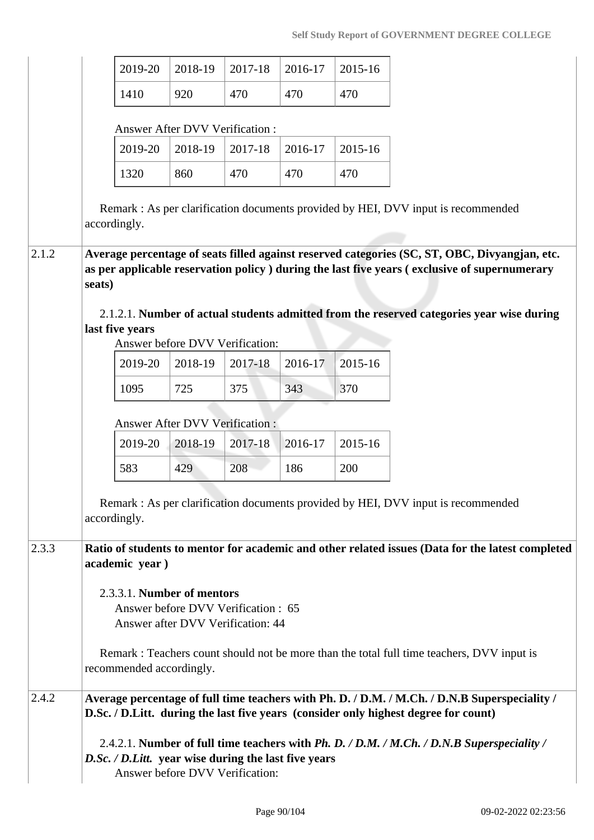|       |              | 2019-20                               | 2018-19                                                                                                | 2017-18 | 2016-17                                              | 2015-16 |                                                                                     |                                                                                                                                                                                                                                                                                             |  |  |  |
|-------|--------------|---------------------------------------|--------------------------------------------------------------------------------------------------------|---------|------------------------------------------------------|---------|-------------------------------------------------------------------------------------|---------------------------------------------------------------------------------------------------------------------------------------------------------------------------------------------------------------------------------------------------------------------------------------------|--|--|--|
|       |              | 1410                                  | 920                                                                                                    | 470     | 470                                                  | 470     |                                                                                     |                                                                                                                                                                                                                                                                                             |  |  |  |
|       |              |                                       | Answer After DVV Verification:                                                                         |         |                                                      |         |                                                                                     |                                                                                                                                                                                                                                                                                             |  |  |  |
|       |              | 2019-20                               | 2018-19                                                                                                | 2017-18 | 2016-17                                              | 2015-16 |                                                                                     |                                                                                                                                                                                                                                                                                             |  |  |  |
|       |              | 1320                                  | 860                                                                                                    | 470     | 470                                                  | 470     |                                                                                     |                                                                                                                                                                                                                                                                                             |  |  |  |
|       |              |                                       |                                                                                                        |         |                                                      |         |                                                                                     |                                                                                                                                                                                                                                                                                             |  |  |  |
|       | accordingly. |                                       |                                                                                                        |         |                                                      |         |                                                                                     | Remark: As per clarification documents provided by HEI, DVV input is recommended                                                                                                                                                                                                            |  |  |  |
| 2.1.2 | seats)       | last five years                       |                                                                                                        |         |                                                      |         |                                                                                     | Average percentage of seats filled against reserved categories (SC, ST, OBC, Divyangjan, etc.<br>as per applicable reservation policy ) during the last five years (exclusive of supernumerary<br>2.1.2.1. Number of actual students admitted from the reserved categories year wise during |  |  |  |
|       |              |                                       | Answer before DVV Verification:                                                                        |         |                                                      |         |                                                                                     |                                                                                                                                                                                                                                                                                             |  |  |  |
|       |              | 2019-20                               | 2018-19                                                                                                | 2017-18 | 2016-17                                              | 2015-16 |                                                                                     |                                                                                                                                                                                                                                                                                             |  |  |  |
|       |              | 1095                                  | 725                                                                                                    | 375     | 343                                                  | 370     |                                                                                     |                                                                                                                                                                                                                                                                                             |  |  |  |
|       |              | <b>Answer After DVV Verification:</b> |                                                                                                        |         |                                                      |         |                                                                                     |                                                                                                                                                                                                                                                                                             |  |  |  |
|       |              | 2019-20                               | 2018-19                                                                                                | 2017-18 | 2016-17                                              | 2015-16 |                                                                                     |                                                                                                                                                                                                                                                                                             |  |  |  |
|       |              | 583                                   | 429                                                                                                    | 208     | 186                                                  | 200     |                                                                                     |                                                                                                                                                                                                                                                                                             |  |  |  |
|       | accordingly. |                                       |                                                                                                        |         |                                                      |         |                                                                                     | Remark : As per clarification documents provided by HEI, DVV input is recommended                                                                                                                                                                                                           |  |  |  |
| 2.3.3 |              | academic year)                        |                                                                                                        |         |                                                      |         |                                                                                     | Ratio of students to mentor for academic and other related issues (Data for the latest completed                                                                                                                                                                                            |  |  |  |
|       |              |                                       | 2.3.3.1. Number of mentors<br>Answer before DVV Verification : 65<br>Answer after DVV Verification: 44 |         |                                                      |         |                                                                                     |                                                                                                                                                                                                                                                                                             |  |  |  |
|       |              | recommended accordingly.              |                                                                                                        |         |                                                      |         |                                                                                     | Remark : Teachers count should not be more than the total full time teachers, DVV input is                                                                                                                                                                                                  |  |  |  |
| 2.4.2 |              |                                       |                                                                                                        |         |                                                      |         | D.Sc. / D.Litt. during the last five years (consider only highest degree for count) | Average percentage of full time teachers with Ph. D. / D.M. / M.Ch. / D.N.B Superspeciality /                                                                                                                                                                                               |  |  |  |
|       |              |                                       | Answer before DVV Verification:                                                                        |         | D.Sc. / D.Litt. year wise during the last five years |         |                                                                                     | 2.4.2.1. Number of full time teachers with <i>Ph. D. / D.M. / M.Ch. / D.N.B Superspeciality</i> /                                                                                                                                                                                           |  |  |  |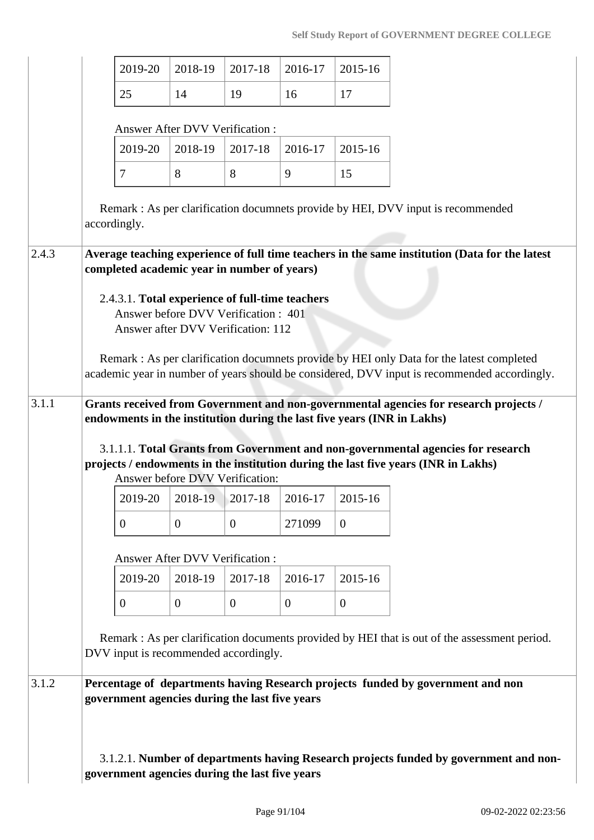|       |                                                                                                                                                                                                                                                                                      | 2019-20        | 2018-19                                                                                                                                                                     | 2017-18          | 2016-17                                                                                                                                                                                                                                                                                     | 2015-16      |  |  |  |  |
|-------|--------------------------------------------------------------------------------------------------------------------------------------------------------------------------------------------------------------------------------------------------------------------------------------|----------------|-----------------------------------------------------------------------------------------------------------------------------------------------------------------------------|------------------|---------------------------------------------------------------------------------------------------------------------------------------------------------------------------------------------------------------------------------------------------------------------------------------------|--------------|--|--|--|--|
|       |                                                                                                                                                                                                                                                                                      | 25             | 14                                                                                                                                                                          | 19               | 16                                                                                                                                                                                                                                                                                          | 17           |  |  |  |  |
|       |                                                                                                                                                                                                                                                                                      |                | Answer After DVV Verification :                                                                                                                                             |                  |                                                                                                                                                                                                                                                                                             |              |  |  |  |  |
|       |                                                                                                                                                                                                                                                                                      | 2019-20        | 2018-19                                                                                                                                                                     | 2017-18          | 2016-17                                                                                                                                                                                                                                                                                     | 2015-16      |  |  |  |  |
|       |                                                                                                                                                                                                                                                                                      | 7              | 8                                                                                                                                                                           | 8                | 9                                                                                                                                                                                                                                                                                           | 15           |  |  |  |  |
|       |                                                                                                                                                                                                                                                                                      | accordingly.   |                                                                                                                                                                             |                  | Remark : As per clarification documnets provide by HEI, DVV input is recommended                                                                                                                                                                                                            |              |  |  |  |  |
| 2.4.3 |                                                                                                                                                                                                                                                                                      |                | completed academic year in number of years)<br>2.4.3.1. Total experience of full-time teachers<br>Answer before DVV Verification: 401<br>Answer after DVV Verification: 112 |                  | Average teaching experience of full time teachers in the same institution (Data for the latest<br>Remark : As per clarification documnets provide by HEI only Data for the latest completed<br>academic year in number of years should be considered, DVV input is recommended accordingly. |              |  |  |  |  |
|       | endowments in the institution during the last five years (INR in Lakhs)<br>3.1.1.1. Total Grants from Government and non-governmental agencies for research<br>projects / endowments in the institution during the last five years (INR in Lakhs)<br>Answer before DVV Verification: |                |                                                                                                                                                                             |                  |                                                                                                                                                                                                                                                                                             |              |  |  |  |  |
|       |                                                                                                                                                                                                                                                                                      | 2019-20        | 2018-19                                                                                                                                                                     | $2017 - 18$      | 2016-17                                                                                                                                                                                                                                                                                     | 2015-16      |  |  |  |  |
|       |                                                                                                                                                                                                                                                                                      | $\overline{0}$ | $\mathbf{0}$                                                                                                                                                                | $\boldsymbol{0}$ | 271099                                                                                                                                                                                                                                                                                      | $\theta$     |  |  |  |  |
|       |                                                                                                                                                                                                                                                                                      |                |                                                                                                                                                                             |                  |                                                                                                                                                                                                                                                                                             |              |  |  |  |  |
|       |                                                                                                                                                                                                                                                                                      | 2019-20        | <b>Answer After DVV Verification:</b><br>2018-19                                                                                                                            | 2017-18          | 2016-17                                                                                                                                                                                                                                                                                     | 2015-16      |  |  |  |  |
|       |                                                                                                                                                                                                                                                                                      | $\overline{0}$ | $\overline{0}$                                                                                                                                                              | $\mathbf{0}$     | $\overline{0}$                                                                                                                                                                                                                                                                              | $\mathbf{0}$ |  |  |  |  |
| 3.1.2 |                                                                                                                                                                                                                                                                                      |                | DVV input is recommended accordingly.<br>government agencies during the last five years                                                                                     |                  | Remark : As per clarification documents provided by HEI that is out of the assessment period.<br>Percentage of departments having Research projects funded by government and non                                                                                                            |              |  |  |  |  |
|       |                                                                                                                                                                                                                                                                                      |                | government agencies during the last five years                                                                                                                              |                  | 3.1.2.1. Number of departments having Research projects funded by government and non-                                                                                                                                                                                                       |              |  |  |  |  |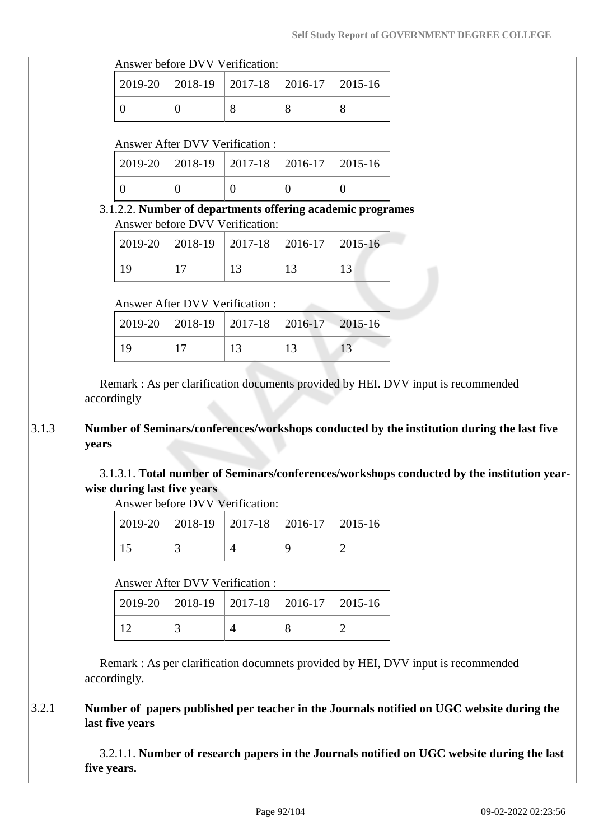| $\theta$<br>$\Omega$ | 2019-20<br>2019-20 | 2018-19<br>$\overline{0}$<br>Answer After DVV Verification:    | 2017-18<br>8   | 2016-17<br>8                                                                               | 2015-16<br>8                                                                              |
|----------------------|--------------------|----------------------------------------------------------------|----------------|--------------------------------------------------------------------------------------------|-------------------------------------------------------------------------------------------|
|                      |                    |                                                                |                |                                                                                            |                                                                                           |
|                      |                    |                                                                |                |                                                                                            |                                                                                           |
|                      |                    |                                                                |                |                                                                                            |                                                                                           |
|                      |                    | 2018-19                                                        | 2017-18        | 2016-17                                                                                    | 2015-16                                                                                   |
|                      |                    | $\overline{0}$                                                 | $\overline{0}$ | $\overline{0}$                                                                             | $\mathbf{0}$                                                                              |
|                      |                    | Answer before DVV Verification:                                |                | 3.1.2.2. Number of departments offering academic programes                                 |                                                                                           |
|                      | 2019-20            | 2018-19                                                        | 2017-18        | 2016-17                                                                                    | 2015-16                                                                                   |
| 19                   |                    | 17                                                             | 13             | 13                                                                                         | 13                                                                                        |
|                      |                    | <b>Answer After DVV Verification:</b>                          |                |                                                                                            |                                                                                           |
|                      | 2019-20            | 2018-19                                                        | 2017-18        | 2016-17                                                                                    | 2015-16                                                                                   |
| 19                   |                    | 17                                                             | 13             | 13                                                                                         | 13                                                                                        |
|                      |                    | wise during last five years<br>Answer before DVV Verification: |                | 3.1.3.1. Total number of Seminars/conferences/workshops conducted by the institution year- |                                                                                           |
|                      | 2019-20            | 2018-19                                                        | 2017-18        | 2016-17                                                                                    | 2015-16                                                                                   |
| 15                   |                    | 3                                                              | $\overline{4}$ | 9                                                                                          | $\overline{2}$                                                                            |
|                      |                    | Answer After DVV Verification :                                |                |                                                                                            |                                                                                           |
|                      | 2019-20            | 2018-19                                                        | 2017-18        | 2016-17                                                                                    | 2015-16                                                                                   |
| 12                   |                    | 3                                                              | $\overline{4}$ | 8                                                                                          | $\overline{2}$                                                                            |
| accordingly.         |                    |                                                                |                | Remark : As per clarification documnets provided by HEI, DVV input is recommended          |                                                                                           |
|                      |                    |                                                                |                |                                                                                            | Number of papers published per teacher in the Journals notified on UGC website during the |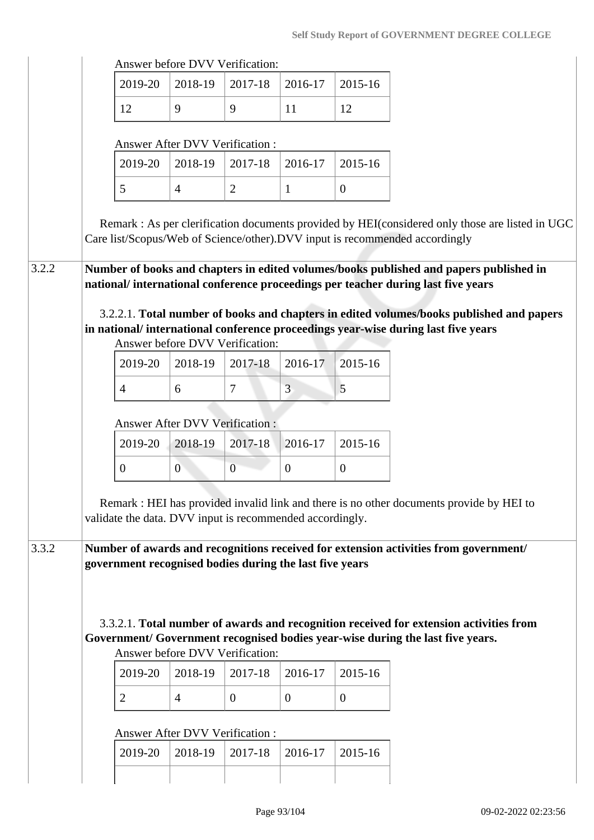|                                                                                                                                                                                                                                                                                                                                                                                                                                                                                     |                                                  | Answer before DVV Verification: |                |                |
|-------------------------------------------------------------------------------------------------------------------------------------------------------------------------------------------------------------------------------------------------------------------------------------------------------------------------------------------------------------------------------------------------------------------------------------------------------------------------------------|--------------------------------------------------|---------------------------------|----------------|----------------|
| 2019-20                                                                                                                                                                                                                                                                                                                                                                                                                                                                             | 2018-19                                          | 2017-18                         | 2016-17        | 2015-16        |
| 12                                                                                                                                                                                                                                                                                                                                                                                                                                                                                  | 9                                                | 9                               | 11             | 12             |
|                                                                                                                                                                                                                                                                                                                                                                                                                                                                                     | Answer After DVV Verification :                  |                                 |                |                |
| 2019-20                                                                                                                                                                                                                                                                                                                                                                                                                                                                             | 2018-19                                          | 2017-18                         | 2016-17        | 2015-16        |
| 5                                                                                                                                                                                                                                                                                                                                                                                                                                                                                   | $\overline{4}$                                   | $\overline{2}$                  | $\mathbf{1}$   | $\overline{0}$ |
| Care list/Scopus/Web of Science/other).DVV input is recommended accordingly<br>Number of books and chapters in edited volumes/books published and papers published in<br>national/international conference proceedings per teacher during last five years<br>3.2.2.1. Total number of books and chapters in edited volumes/books published and papers                                                                                                                               |                                                  |                                 |                |                |
| in national/international conference proceedings year-wise during last five years                                                                                                                                                                                                                                                                                                                                                                                                   | Answer before DVV Verification:                  |                                 |                |                |
| 2019-20                                                                                                                                                                                                                                                                                                                                                                                                                                                                             | 2018-19                                          | 2017-18                         | 2016-17        | 2015-16        |
| $\overline{4}$                                                                                                                                                                                                                                                                                                                                                                                                                                                                      | 6                                                | $\overline{7}$                  | 3              | 5              |
|                                                                                                                                                                                                                                                                                                                                                                                                                                                                                     | Answer After DVV Verification :                  |                                 |                |                |
| 2019-20                                                                                                                                                                                                                                                                                                                                                                                                                                                                             | 2018-19                                          | 2017-18                         | 2016-17        | 2015-16        |
| $\overline{0}$                                                                                                                                                                                                                                                                                                                                                                                                                                                                      | $\overline{0}$                                   | $\overline{0}$                  | $\theta$       | $\overline{0}$ |
|                                                                                                                                                                                                                                                                                                                                                                                                                                                                                     |                                                  |                                 |                |                |
| Remark : HEI has provided invalid link and there is no other documents provide by HEI to<br>validate the data. DVV input is recommended accordingly.<br>Number of awards and recognitions received for extension activities from government/<br>government recognised bodies during the last five years<br>3.3.2.1. Total number of awards and recognition received for extension activities from<br>Government/ Government recognised bodies year-wise during the last five years. | Answer before DVV Verification:                  |                                 |                |                |
| 2019-20                                                                                                                                                                                                                                                                                                                                                                                                                                                                             | 2018-19                                          | 2017-18                         | 2016-17        | 2015-16        |
| $\overline{2}$                                                                                                                                                                                                                                                                                                                                                                                                                                                                      | $\overline{4}$                                   | $\overline{0}$                  | $\overline{0}$ | $\overline{0}$ |
|                                                                                                                                                                                                                                                                                                                                                                                                                                                                                     |                                                  |                                 |                |                |
| 2019-20                                                                                                                                                                                                                                                                                                                                                                                                                                                                             | <b>Answer After DVV Verification:</b><br>2018-19 | 2017-18                         | 2016-17        | 2015-16        |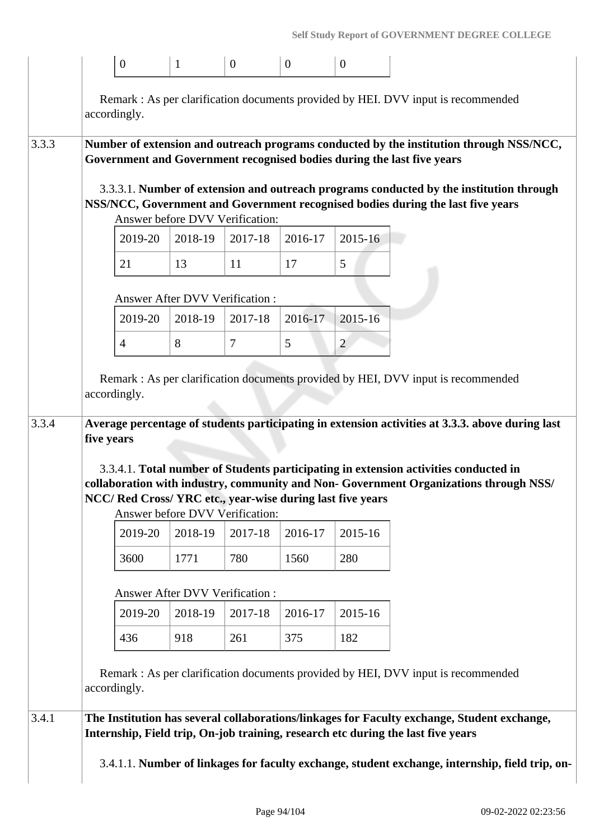|       | $\boldsymbol{0}$                                                                                                                                                                                                                                                               |                                                                                                                                                                                                                     | $\mathbf{1}$                          | $\overline{0}$                  | $\overline{0}$ | $\overline{0}$ |                                                                                                                                                                                                                                                                                                                                                 |  |  |  |
|-------|--------------------------------------------------------------------------------------------------------------------------------------------------------------------------------------------------------------------------------------------------------------------------------|---------------------------------------------------------------------------------------------------------------------------------------------------------------------------------------------------------------------|---------------------------------------|---------------------------------|----------------|----------------|-------------------------------------------------------------------------------------------------------------------------------------------------------------------------------------------------------------------------------------------------------------------------------------------------------------------------------------------------|--|--|--|
|       | accordingly.                                                                                                                                                                                                                                                                   |                                                                                                                                                                                                                     |                                       |                                 |                |                | Remark : As per clarification documents provided by HEI. DVV input is recommended                                                                                                                                                                                                                                                               |  |  |  |
| 3.3.3 |                                                                                                                                                                                                                                                                                |                                                                                                                                                                                                                     |                                       | Answer before DVV Verification: |                |                | Number of extension and outreach programs conducted by the institution through NSS/NCC,<br>Government and Government recognised bodies during the last five years<br>3.3.3.1. Number of extension and outreach programs conducted by the institution through<br>NSS/NCC, Government and Government recognised bodies during the last five years |  |  |  |
|       |                                                                                                                                                                                                                                                                                | 2019-20                                                                                                                                                                                                             | 2018-19                               | 2017-18                         | 2016-17        | 2015-16        |                                                                                                                                                                                                                                                                                                                                                 |  |  |  |
|       | 21                                                                                                                                                                                                                                                                             |                                                                                                                                                                                                                     | 13                                    | 11                              | 17             | 5              |                                                                                                                                                                                                                                                                                                                                                 |  |  |  |
|       |                                                                                                                                                                                                                                                                                |                                                                                                                                                                                                                     | Answer After DVV Verification :       |                                 |                |                |                                                                                                                                                                                                                                                                                                                                                 |  |  |  |
|       |                                                                                                                                                                                                                                                                                | 2019-20                                                                                                                                                                                                             | 2018-19                               | 2017-18                         | 2016-17        | 2015-16        |                                                                                                                                                                                                                                                                                                                                                 |  |  |  |
|       | $\overline{4}$                                                                                                                                                                                                                                                                 |                                                                                                                                                                                                                     | 8                                     | $\tau$                          | 5              | $\overline{2}$ |                                                                                                                                                                                                                                                                                                                                                 |  |  |  |
| 3.3.4 |                                                                                                                                                                                                                                                                                | Remark : As per clarification documents provided by HEI, DVV input is recommended<br>accordingly.<br>Average percentage of students participating in extension activities at 3.3.3. above during last<br>five years |                                       |                                 |                |                |                                                                                                                                                                                                                                                                                                                                                 |  |  |  |
|       | 3.3.4.1. Total number of Students participating in extension activities conducted in<br>collaboration with industry, community and Non- Government Organizations through NSS/<br>NCC/ Red Cross/ YRC etc., year-wise during last five years<br>Answer before DVV Verification: |                                                                                                                                                                                                                     |                                       |                                 |                |                |                                                                                                                                                                                                                                                                                                                                                 |  |  |  |
|       |                                                                                                                                                                                                                                                                                | 2019-20                                                                                                                                                                                                             | 2018-19                               | 2017-18                         | 2016-17        | 2015-16        |                                                                                                                                                                                                                                                                                                                                                 |  |  |  |
|       |                                                                                                                                                                                                                                                                                | 3600                                                                                                                                                                                                                | 1771                                  | 780                             | 1560           | 280            |                                                                                                                                                                                                                                                                                                                                                 |  |  |  |
|       |                                                                                                                                                                                                                                                                                |                                                                                                                                                                                                                     | <b>Answer After DVV Verification:</b> |                                 |                |                |                                                                                                                                                                                                                                                                                                                                                 |  |  |  |
|       |                                                                                                                                                                                                                                                                                | 2019-20                                                                                                                                                                                                             | 2018-19                               | 2017-18                         | 2016-17        | 2015-16        |                                                                                                                                                                                                                                                                                                                                                 |  |  |  |
|       |                                                                                                                                                                                                                                                                                | 436                                                                                                                                                                                                                 | 918                                   | 261                             | 375            | 182            |                                                                                                                                                                                                                                                                                                                                                 |  |  |  |
|       | accordingly.                                                                                                                                                                                                                                                                   |                                                                                                                                                                                                                     |                                       |                                 |                |                | Remark : As per clarification documents provided by HEI, DVV input is recommended                                                                                                                                                                                                                                                               |  |  |  |
| 3.4.1 |                                                                                                                                                                                                                                                                                |                                                                                                                                                                                                                     |                                       |                                 |                |                | The Institution has several collaborations/linkages for Faculty exchange, Student exchange,<br>Internship, Field trip, On-job training, research etc during the last five years                                                                                                                                                                 |  |  |  |
|       |                                                                                                                                                                                                                                                                                |                                                                                                                                                                                                                     |                                       |                                 |                |                | 3.4.1.1. Number of linkages for faculty exchange, student exchange, internship, field trip, on-                                                                                                                                                                                                                                                 |  |  |  |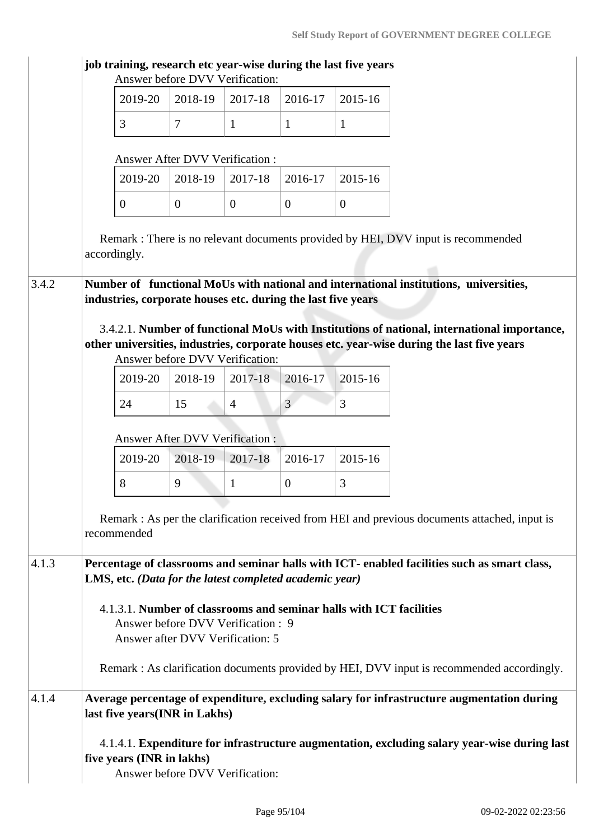|       | job training, research etc year-wise during the last five years | Answer before DVV Verification:                                        |                |                |                |                                                                                                                                                                                           |  |  |  |  |
|-------|-----------------------------------------------------------------|------------------------------------------------------------------------|----------------|----------------|----------------|-------------------------------------------------------------------------------------------------------------------------------------------------------------------------------------------|--|--|--|--|
|       | 2019-20                                                         | 2018-19                                                                | 2017-18        | 2016-17        | 2015-16        |                                                                                                                                                                                           |  |  |  |  |
|       | 3                                                               | $\overline{7}$                                                         | $\mathbf{1}$   | 1              | $\mathbf{1}$   |                                                                                                                                                                                           |  |  |  |  |
|       |                                                                 | <b>Answer After DVV Verification:</b>                                  |                |                |                |                                                                                                                                                                                           |  |  |  |  |
|       | 2019-20                                                         | 2018-19                                                                | 2017-18        | 2016-17        | 2015-16        |                                                                                                                                                                                           |  |  |  |  |
|       | $\overline{0}$                                                  | $\overline{0}$                                                         | $\overline{0}$ | $\overline{0}$ | $\mathbf{0}$   |                                                                                                                                                                                           |  |  |  |  |
|       | accordingly.                                                    |                                                                        |                |                |                | Remark : There is no relevant documents provided by HEI, DVV input is recommended                                                                                                         |  |  |  |  |
| 3.4.2 |                                                                 |                                                                        |                |                |                | Number of functional MoUs with national and international institutions, universities,                                                                                                     |  |  |  |  |
|       | industries, corporate houses etc. during the last five years    |                                                                        |                |                |                |                                                                                                                                                                                           |  |  |  |  |
|       |                                                                 |                                                                        |                |                |                | 3.4.2.1. Number of functional MoUs with Institutions of national, international importance,<br>other universities, industries, corporate houses etc. year-wise during the last five years |  |  |  |  |
|       |                                                                 | Answer before DVV Verification:                                        |                |                |                |                                                                                                                                                                                           |  |  |  |  |
|       | 2019-20                                                         | 2018-19                                                                | 2017-18        | 2016-17        | 2015-16        |                                                                                                                                                                                           |  |  |  |  |
|       | 24                                                              | 15                                                                     | 4              | $\mathfrak{Z}$ | $\overline{3}$ |                                                                                                                                                                                           |  |  |  |  |
|       | Answer After DVV Verification:                                  |                                                                        |                |                |                |                                                                                                                                                                                           |  |  |  |  |
|       | 2019-20                                                         | 2018-19                                                                | 2017-18        | 2016-17        | 2015-16        |                                                                                                                                                                                           |  |  |  |  |
|       | 8                                                               | 9                                                                      | $\mathbf{1}$   | $\mathbf{0}$   | 3              |                                                                                                                                                                                           |  |  |  |  |
|       |                                                                 |                                                                        |                |                |                | Remark : As per the clarification received from HEI and previous documents attached, input is                                                                                             |  |  |  |  |
|       | recommended                                                     |                                                                        |                |                |                |                                                                                                                                                                                           |  |  |  |  |
| 4.1.3 |                                                                 |                                                                        |                |                |                | Percentage of classrooms and seminar halls with ICT- enabled facilities such as smart class,                                                                                              |  |  |  |  |
|       | LMS, etc. (Data for the latest completed academic year)         |                                                                        |                |                |                |                                                                                                                                                                                           |  |  |  |  |
|       |                                                                 | Answer before DVV Verification : 9<br>Answer after DVV Verification: 5 |                |                |                | 4.1.3.1. Number of classrooms and seminar halls with ICT facilities                                                                                                                       |  |  |  |  |
|       |                                                                 |                                                                        |                |                |                | Remark : As clarification documents provided by HEI, DVV input is recommended accordingly.                                                                                                |  |  |  |  |
| 4.1.4 | last five years(INR in Lakhs)                                   |                                                                        |                |                |                | Average percentage of expenditure, excluding salary for infrastructure augmentation during                                                                                                |  |  |  |  |
|       | five years (INR in lakhs)                                       | Answer before DVV Verification:                                        |                |                |                | 4.1.4.1. Expenditure for infrastructure augmentation, excluding salary year-wise during last                                                                                              |  |  |  |  |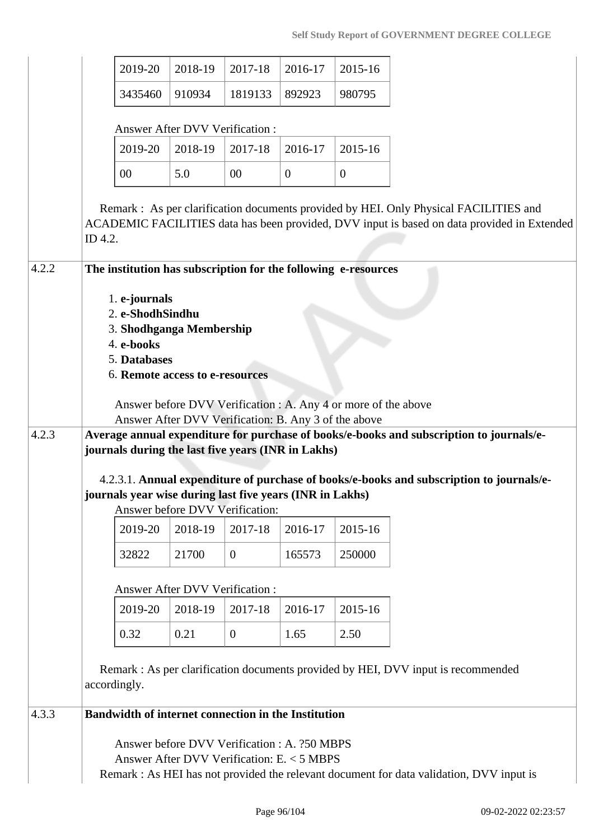|       |              | 2019-20                                                                                                                                          | 2018-19                                                     | 2017-18                         | 2016-17                                                                                                        | 2015-16                                                                                  |  |  |                                                                                                                                                                                      |  |
|-------|--------------|--------------------------------------------------------------------------------------------------------------------------------------------------|-------------------------------------------------------------|---------------------------------|----------------------------------------------------------------------------------------------------------------|------------------------------------------------------------------------------------------|--|--|--------------------------------------------------------------------------------------------------------------------------------------------------------------------------------------|--|
|       |              | 3435460                                                                                                                                          | 910934                                                      | 1819133                         | 892923                                                                                                         | 980795                                                                                   |  |  |                                                                                                                                                                                      |  |
|       |              |                                                                                                                                                  | Answer After DVV Verification:                              |                                 |                                                                                                                |                                                                                          |  |  |                                                                                                                                                                                      |  |
|       |              | 2019-20                                                                                                                                          | 2018-19                                                     | 2017-18                         | 2016-17                                                                                                        | 2015-16                                                                                  |  |  |                                                                                                                                                                                      |  |
|       | 00           |                                                                                                                                                  | 5.0                                                         | 00                              | $\overline{0}$                                                                                                 | $\overline{0}$                                                                           |  |  |                                                                                                                                                                                      |  |
|       | ID 4.2.      |                                                                                                                                                  |                                                             |                                 |                                                                                                                |                                                                                          |  |  | Remark : As per clarification documents provided by HEI. Only Physical FACILITIES and<br>ACADEMIC FACILITIES data has been provided, DVV input is based on data provided in Extended |  |
| 4.2.2 |              |                                                                                                                                                  |                                                             |                                 |                                                                                                                | The institution has subscription for the following e-resources                           |  |  |                                                                                                                                                                                      |  |
|       | 4. e-books   | 1. e-journals<br>2. e-ShodhSindhu<br>5. Databases                                                                                                | 3. Shodhganga Membership<br>6. Remote access to e-resources |                                 |                                                                                                                | Answer before DVV Verification : A. Any 4 or more of the above                           |  |  |                                                                                                                                                                                      |  |
| 4.2.3 |              | Answer After DVV Verification: B. Any 3 of the above<br>Average annual expenditure for purchase of books/e-books and subscription to journals/e- |                                                             |                                 |                                                                                                                |                                                                                          |  |  |                                                                                                                                                                                      |  |
|       |              |                                                                                                                                                  |                                                             | Answer before DVV Verification: | journals during the last five years (INR in Lakhs)<br>journals year wise during last five years (INR in Lakhs) |                                                                                          |  |  | 4.2.3.1. Annual expenditure of purchase of books/e-books and subscription to journals/e-                                                                                             |  |
|       |              | 2019-20                                                                                                                                          | 2018-19                                                     | 2017-18                         | 2016-17                                                                                                        | 2015-16                                                                                  |  |  |                                                                                                                                                                                      |  |
|       | 32822        |                                                                                                                                                  | 21700                                                       | $\overline{0}$                  | 165573                                                                                                         | 250000                                                                                   |  |  |                                                                                                                                                                                      |  |
|       |              |                                                                                                                                                  | <b>Answer After DVV Verification:</b>                       |                                 |                                                                                                                |                                                                                          |  |  |                                                                                                                                                                                      |  |
|       |              | 2019-20                                                                                                                                          | 2018-19                                                     | 2017-18                         | 2016-17                                                                                                        | 2015-16                                                                                  |  |  |                                                                                                                                                                                      |  |
|       | 0.32         |                                                                                                                                                  | 0.21                                                        | $\overline{0}$                  | 1.65                                                                                                           | 2.50                                                                                     |  |  |                                                                                                                                                                                      |  |
|       | accordingly. |                                                                                                                                                  |                                                             |                                 |                                                                                                                | Remark : As per clarification documents provided by HEI, DVV input is recommended        |  |  |                                                                                                                                                                                      |  |
| 4.3.3 |              |                                                                                                                                                  |                                                             |                                 | <b>Bandwidth of internet connection in the Institution</b>                                                     |                                                                                          |  |  |                                                                                                                                                                                      |  |
|       |              |                                                                                                                                                  |                                                             |                                 | Answer before DVV Verification: A. 250 MBPS<br>Answer After DVV Verification: E. < 5 MBPS                      | Remark : As HEI has not provided the relevant document for data validation, DVV input is |  |  |                                                                                                                                                                                      |  |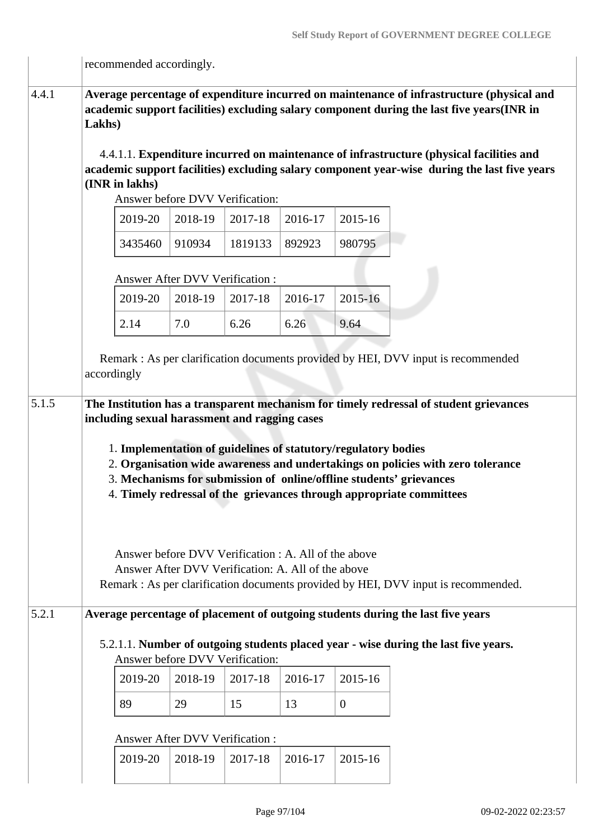|       |             | recommended accordingly. |         |                                                                                                                 |         |              |                                                                                                                                                                                                                                |
|-------|-------------|--------------------------|---------|-----------------------------------------------------------------------------------------------------------------|---------|--------------|--------------------------------------------------------------------------------------------------------------------------------------------------------------------------------------------------------------------------------|
| 4.4.1 | Lakhs)      |                          |         |                                                                                                                 |         |              | Average percentage of expenditure incurred on maintenance of infrastructure (physical and<br>academic support facilities) excluding salary component during the last five years(INR in                                         |
|       |             | (INR in lakhs)           |         | Answer before DVV Verification:                                                                                 |         |              | 4.4.1.1. Expenditure incurred on maintenance of infrastructure (physical facilities and<br>academic support facilities) excluding salary component year-wise during the last five years                                        |
|       |             | 2019-20                  | 2018-19 | 2017-18                                                                                                         | 2016-17 | 2015-16      |                                                                                                                                                                                                                                |
|       |             | 3435460                  | 910934  | 1819133                                                                                                         | 892923  | 980795       |                                                                                                                                                                                                                                |
|       |             |                          |         | <b>Answer After DVV Verification:</b>                                                                           |         |              |                                                                                                                                                                                                                                |
|       |             | 2019-20                  | 2018-19 | 2017-18                                                                                                         | 2016-17 | 2015-16      |                                                                                                                                                                                                                                |
|       |             | 2.14                     | 7.0     | 6.26                                                                                                            | 6.26    | 9.64         |                                                                                                                                                                                                                                |
|       | accordingly |                          |         |                                                                                                                 |         |              | Remark : As per clarification documents provided by HEI, DVV input is recommended                                                                                                                                              |
|       |             |                          |         | including sexual harassment and ragging cases<br>1. Implementation of guidelines of statutory/regulatory bodies |         |              | 2. Organisation wide awareness and undertakings on policies with zero tolerance<br>3. Mechanisms for submission of online/offline students' grievances<br>4. Timely redressal of the grievances through appropriate committees |
|       |             |                          |         | Answer before DVV Verification : A. All of the above<br>Answer After DVV Verification: A. All of the above      |         |              | Remark : As per clarification documents provided by HEI, DVV input is recommended.                                                                                                                                             |
| 5.2.1 |             |                          |         |                                                                                                                 |         |              | Average percentage of placement of outgoing students during the last five years                                                                                                                                                |
|       |             |                          |         | Answer before DVV Verification:                                                                                 |         |              | 5.2.1.1. Number of outgoing students placed year - wise during the last five years.                                                                                                                                            |
|       |             | 2019-20                  | 2018-19 | 2017-18                                                                                                         | 2016-17 | 2015-16      |                                                                                                                                                                                                                                |
|       |             | 89                       | 29      | 15                                                                                                              | 13      | $\mathbf{0}$ |                                                                                                                                                                                                                                |
|       |             |                          |         | <b>Answer After DVV Verification:</b>                                                                           |         |              |                                                                                                                                                                                                                                |
|       |             | 2019-20                  | 2018-19 | 2017-18                                                                                                         | 2016-17 | 2015-16      |                                                                                                                                                                                                                                |
|       |             |                          |         |                                                                                                                 |         |              |                                                                                                                                                                                                                                |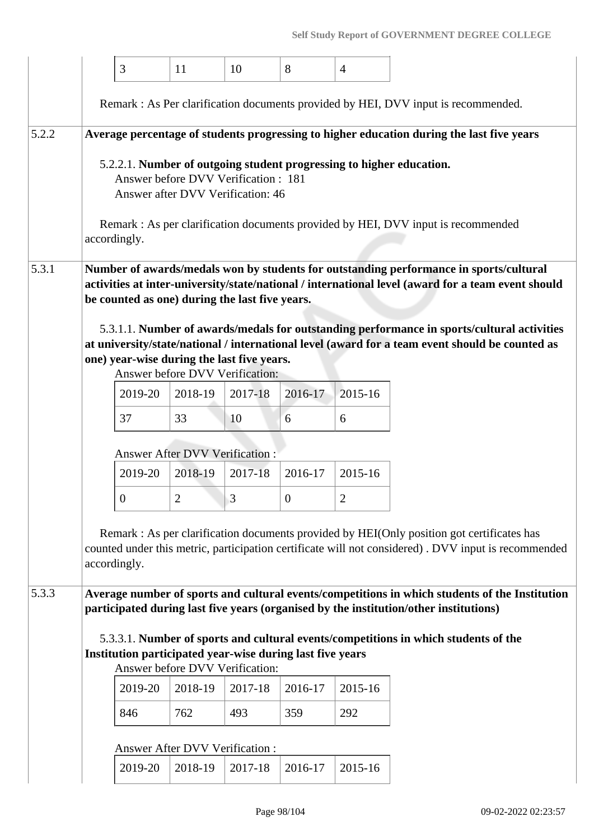|       | 3                                                         | 11                                                                       | 10             | 8                | $\overline{4}$ |                                                                                                                                                                                                   |
|-------|-----------------------------------------------------------|--------------------------------------------------------------------------|----------------|------------------|----------------|---------------------------------------------------------------------------------------------------------------------------------------------------------------------------------------------------|
|       |                                                           |                                                                          |                |                  |                | Remark : As Per clarification documents provided by HEI, DVV input is recommended.                                                                                                                |
| 5.2.2 |                                                           |                                                                          |                |                  |                | Average percentage of students progressing to higher education during the last five years                                                                                                         |
|       |                                                           | Answer before DVV Verification: 181<br>Answer after DVV Verification: 46 |                |                  |                | 5.2.2.1. Number of outgoing student progressing to higher education.                                                                                                                              |
|       | accordingly.                                              |                                                                          |                |                  |                | Remark: As per clarification documents provided by HEI, DVV input is recommended                                                                                                                  |
| 5.3.1 | be counted as one) during the last five years.            |                                                                          |                |                  |                | Number of awards/medals won by students for outstanding performance in sports/cultural<br>activities at inter-university/state/national / international level (award for a team event should      |
|       | one) year-wise during the last five years.                | Answer before DVV Verification:                                          |                |                  |                | 5.3.1.1. Number of awards/medals for outstanding performance in sports/cultural activities<br>at university/state/national / international level (award for a team event should be counted as     |
|       | 2019-20                                                   | 2018-19                                                                  | 2017-18        | 2016-17          | 2015-16        |                                                                                                                                                                                                   |
|       | 37                                                        | 33                                                                       | 10             | 6                | 6              |                                                                                                                                                                                                   |
|       |                                                           | Answer After DVV Verification:                                           |                |                  |                |                                                                                                                                                                                                   |
|       | 2019-20                                                   | 2018-19                                                                  | 2017-18        | 2016-17          | 2015-16        |                                                                                                                                                                                                   |
|       | $\overline{0}$                                            | $\overline{2}$                                                           | $\mathfrak{Z}$ | $\boldsymbol{0}$ | 2              |                                                                                                                                                                                                   |
|       | accordingly.                                              |                                                                          |                |                  |                | Remark : As per clarification documents provided by HEI(Only position got certificates has<br>counted under this metric, participation certificate will not considered). DVV input is recommended |
| 5.3.3 |                                                           |                                                                          |                |                  |                | Average number of sports and cultural events/competitions in which students of the Institution<br>participated during last five years (organised by the institution/other institutions)           |
|       | Institution participated year-wise during last five years | Answer before DVV Verification:                                          |                |                  |                | 5.3.3.1. Number of sports and cultural events/competitions in which students of the                                                                                                               |
|       | 2019-20                                                   | 2018-19                                                                  | 2017-18        | 2016-17          | 2015-16        |                                                                                                                                                                                                   |
|       | 846                                                       | 762                                                                      | 493            | 359              | 292            |                                                                                                                                                                                                   |
|       |                                                           | Answer After DVV Verification :                                          |                |                  |                |                                                                                                                                                                                                   |
|       | 2019-20                                                   | 2018-19                                                                  | 2017-18        | 2016-17          | 2015-16        |                                                                                                                                                                                                   |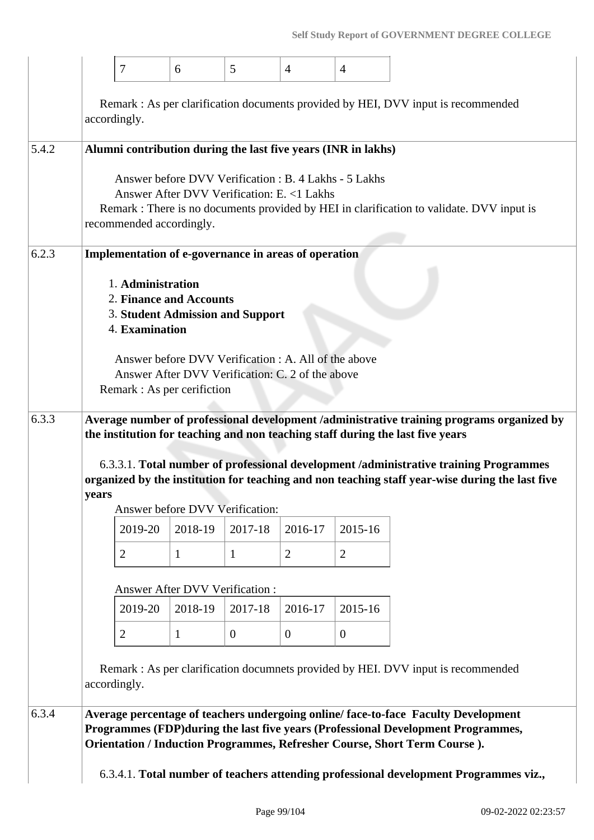|       |              | 7                                   | 6                                                                  | 5            | $\overline{4}$                                                                                           | $\overline{4}$                                                |                                                                                                                                                                                                                                                                                                                                                                         |
|-------|--------------|-------------------------------------|--------------------------------------------------------------------|--------------|----------------------------------------------------------------------------------------------------------|---------------------------------------------------------------|-------------------------------------------------------------------------------------------------------------------------------------------------------------------------------------------------------------------------------------------------------------------------------------------------------------------------------------------------------------------------|
|       | accordingly. |                                     |                                                                    |              |                                                                                                          |                                                               | Remark : As per clarification documents provided by HEI, DVV input is recommended                                                                                                                                                                                                                                                                                       |
| 5.4.2 |              |                                     |                                                                    |              |                                                                                                          | Alumni contribution during the last five years (INR in lakhs) |                                                                                                                                                                                                                                                                                                                                                                         |
|       |              | recommended accordingly.            |                                                                    |              | Answer before DVV Verification : B. 4 Lakhs - 5 Lakhs<br>Answer After DVV Verification: E. <1 Lakhs      |                                                               | Remark : There is no documents provided by HEI in clarification to validate. DVV input is                                                                                                                                                                                                                                                                               |
| 6.2.3 |              | 1. Administration<br>4. Examination | 2. Finance and Accounts<br><b>3. Student Admission and Support</b> |              | Implementation of e-governance in areas of operation                                                     |                                                               |                                                                                                                                                                                                                                                                                                                                                                         |
|       |              |                                     | Remark : As per cerifiction                                        |              | Answer before DVV Verification : A. All of the above<br>Answer After DVV Verification: C. 2 of the above |                                                               |                                                                                                                                                                                                                                                                                                                                                                         |
| 6.3.3 | vears        |                                     | Answer before DVV Verification:                                    |              |                                                                                                          |                                                               | Average number of professional development /administrative training programs organized by<br>the institution for teaching and non teaching staff during the last five years<br>6.3.3.1. Total number of professional development /administrative training Programmes<br>organized by the institution for teaching and non teaching staff year-wise during the last five |
|       |              | 2019-20                             | 2018-19                                                            | 2017-18      | 2016-17                                                                                                  | 2015-16                                                       |                                                                                                                                                                                                                                                                                                                                                                         |
|       |              | $\overline{2}$                      | $\mathbf{1}$                                                       | $\mathbf{1}$ | $\overline{2}$                                                                                           | $\overline{2}$                                                |                                                                                                                                                                                                                                                                                                                                                                         |
|       |              |                                     |                                                                    |              |                                                                                                          |                                                               |                                                                                                                                                                                                                                                                                                                                                                         |
|       |              | 2019-20                             | Answer After DVV Verification:<br>2018-19                          | 2017-18      | 2016-17                                                                                                  | 2015-16                                                       |                                                                                                                                                                                                                                                                                                                                                                         |
|       |              | $\overline{2}$                      | $\mathbf{1}$                                                       | $\mathbf{0}$ | $\overline{0}$                                                                                           | $\overline{0}$                                                |                                                                                                                                                                                                                                                                                                                                                                         |
|       | accordingly. |                                     |                                                                    |              |                                                                                                          |                                                               | Remark : As per clarification documnets provided by HEI. DVV input is recommended                                                                                                                                                                                                                                                                                       |
| 6.3.4 |              |                                     |                                                                    |              |                                                                                                          |                                                               | Average percentage of teachers undergoing online/face-to-face Faculty Development<br>Programmes (FDP) during the last five years (Professional Development Programmes,<br>Orientation / Induction Programmes, Refresher Course, Short Term Course).                                                                                                                     |
|       |              |                                     |                                                                    |              |                                                                                                          |                                                               | 6.3.4.1. Total number of teachers attending professional development Programmes viz.,                                                                                                                                                                                                                                                                                   |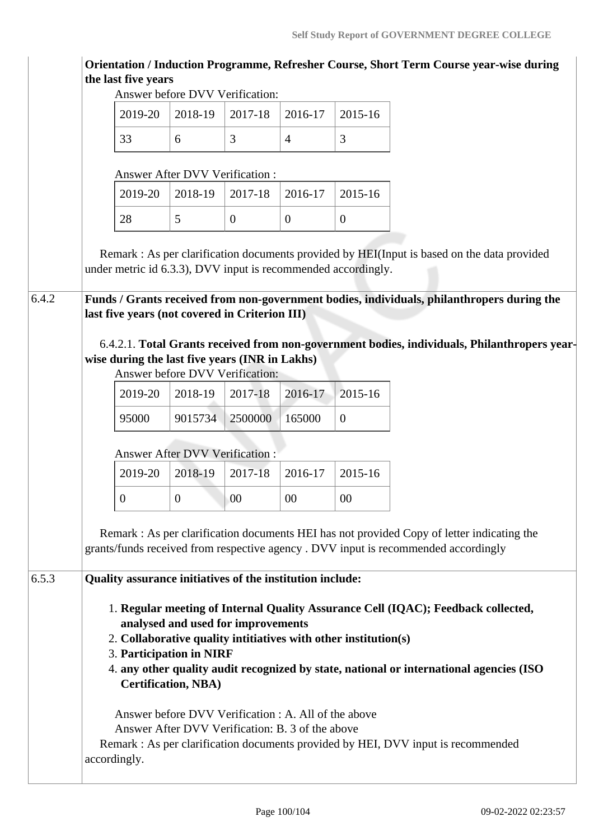|       | the last five years |         |                                                        |                                                                                                          |                  |                | Orientation / Induction Programme, Refresher Course, Short Term Course year-wise during                                                                                           |  |
|-------|---------------------|---------|--------------------------------------------------------|----------------------------------------------------------------------------------------------------------|------------------|----------------|-----------------------------------------------------------------------------------------------------------------------------------------------------------------------------------|--|
|       |                     | 2019-20 | 2018-19                                                | Answer before DVV Verification:<br>2017-18                                                               | 2016-17          | 2015-16        |                                                                                                                                                                                   |  |
|       | 33                  |         | 6                                                      | 3                                                                                                        | $\overline{4}$   | 3              |                                                                                                                                                                                   |  |
|       |                     |         | <b>Answer After DVV Verification:</b>                  |                                                                                                          |                  |                |                                                                                                                                                                                   |  |
|       |                     | 2019-20 | 2018-19                                                | 2017-18                                                                                                  | 2016-17          | 2015-16        |                                                                                                                                                                                   |  |
|       | 28                  |         | 5                                                      | $\overline{0}$                                                                                           | $\boldsymbol{0}$ | $\overline{0}$ |                                                                                                                                                                                   |  |
|       |                     |         |                                                        | under metric id 6.3.3), DVV input is recommended accordingly.                                            |                  |                | Remark: As per clarification documents provided by HEI(Input is based on the data provided                                                                                        |  |
| 6.4.2 |                     |         |                                                        | last five years (not covered in Criterion III)                                                           |                  |                | Funds / Grants received from non-government bodies, individuals, philanthropers during the                                                                                        |  |
|       |                     |         |                                                        | wise during the last five years (INR in Lakhs)<br>Answer before DVV Verification:                        |                  |                | 6.4.2.1. Total Grants received from non-government bodies, individuals, Philanthropers year-                                                                                      |  |
|       |                     | 2019-20 | 2018-19                                                | 2017-18                                                                                                  | 2016-17          | 2015-16        |                                                                                                                                                                                   |  |
|       |                     | 95000   | 9015734                                                | 2500000                                                                                                  | 165000           | $\mathbf{0}$   |                                                                                                                                                                                   |  |
|       |                     |         | Answer After DVV Verification :                        |                                                                                                          |                  |                |                                                                                                                                                                                   |  |
|       |                     | 2019-20 | 2018-19                                                | 2017-18                                                                                                  | 2016-17          | 2015-16        |                                                                                                                                                                                   |  |
|       | $\Omega$            |         | $\overline{0}$                                         | $00\,$                                                                                                   | $00\,$           | $00\,$         |                                                                                                                                                                                   |  |
|       |                     |         |                                                        |                                                                                                          |                  |                | Remark : As per clarification documents HEI has not provided Copy of letter indicating the<br>grants/funds received from respective agency . DVV input is recommended accordingly |  |
| 6.5.3 |                     |         |                                                        | Quality assurance initiatives of the institution include:                                                |                  |                |                                                                                                                                                                                   |  |
|       |                     |         | 3. Participation in NIRF<br><b>Certification, NBA)</b> | analysed and used for improvements<br>2. Collaborative quality intitiatives with other institution(s)    |                  |                | 1. Regular meeting of Internal Quality Assurance Cell (IQAC); Feedback collected,<br>4. any other quality audit recognized by state, national or international agencies (ISO      |  |
|       | accordingly.        |         |                                                        | Answer before DVV Verification : A. All of the above<br>Answer After DVV Verification: B. 3 of the above |                  |                | Remark : As per clarification documents provided by HEI, DVV input is recommended                                                                                                 |  |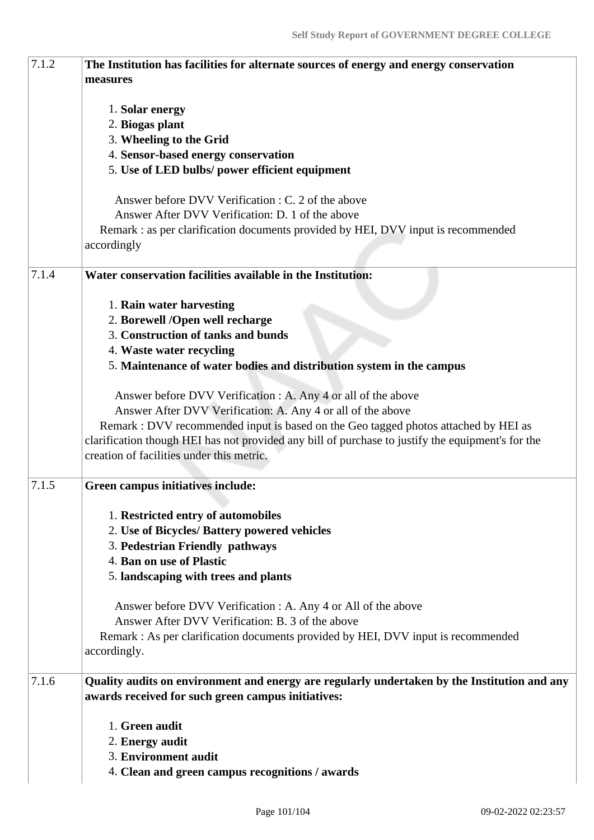| 7.1.2 | The Institution has facilities for alternate sources of energy and energy conservation            |
|-------|---------------------------------------------------------------------------------------------------|
|       | measures                                                                                          |
|       |                                                                                                   |
|       | 1. Solar energy                                                                                   |
|       | 2. Biogas plant                                                                                   |
|       | 3. Wheeling to the Grid                                                                           |
|       | 4. Sensor-based energy conservation                                                               |
|       | 5. Use of LED bulbs/ power efficient equipment                                                    |
|       |                                                                                                   |
|       | Answer before DVV Verification : C. 2 of the above                                                |
|       | Answer After DVV Verification: D. 1 of the above                                                  |
|       |                                                                                                   |
|       | Remark : as per clarification documents provided by HEI, DVV input is recommended                 |
|       | accordingly                                                                                       |
|       |                                                                                                   |
| 7.1.4 | Water conservation facilities available in the Institution:                                       |
|       |                                                                                                   |
|       | 1. Rain water harvesting                                                                          |
|       | 2. Borewell /Open well recharge                                                                   |
|       | 3. Construction of tanks and bunds                                                                |
|       | 4. Waste water recycling                                                                          |
|       | 5. Maintenance of water bodies and distribution system in the campus                              |
|       |                                                                                                   |
|       | Answer before DVV Verification : A. Any 4 or all of the above                                     |
|       | Answer After DVV Verification: A. Any 4 or all of the above                                       |
|       | Remark : DVV recommended input is based on the Geo tagged photos attached by HEI as               |
|       | clarification though HEI has not provided any bill of purchase to justify the equipment's for the |
|       | creation of facilities under this metric.                                                         |
|       |                                                                                                   |
| 7.1.5 | Green campus initiatives include:                                                                 |
|       |                                                                                                   |
|       | 1. Restricted entry of automobiles                                                                |
|       | 2. Use of Bicycles/ Battery powered vehicles                                                      |
|       | 3. Pedestrian Friendly pathways                                                                   |
|       | 4. Ban on use of Plastic                                                                          |
|       | 5. landscaping with trees and plants                                                              |
|       |                                                                                                   |
|       | Answer before DVV Verification : A. Any 4 or All of the above                                     |
|       | Answer After DVV Verification: B. 3 of the above                                                  |
|       | Remark : As per clarification documents provided by HEI, DVV input is recommended                 |
|       | accordingly.                                                                                      |
|       |                                                                                                   |
| 7.1.6 | Quality audits on environment and energy are regularly undertaken by the Institution and any      |
|       | awards received for such green campus initiatives:                                                |
|       |                                                                                                   |
|       |                                                                                                   |
|       | 1. Green audit                                                                                    |
|       | 2. Energy audit                                                                                   |
|       | 3. Environment audit                                                                              |
|       | 4. Clean and green campus recognitions / awards                                                   |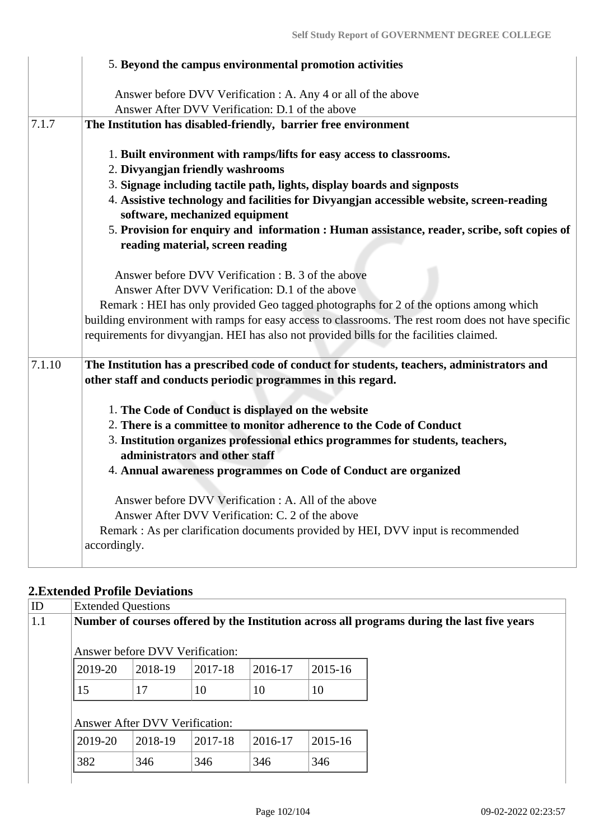|        | 5. Beyond the campus environmental promotion activities                                             |
|--------|-----------------------------------------------------------------------------------------------------|
|        | Answer before DVV Verification : A. Any 4 or all of the above                                       |
|        | Answer After DVV Verification: D.1 of the above                                                     |
| 7.1.7  | The Institution has disabled-friendly, barrier free environment                                     |
|        | 1. Built environment with ramps/lifts for easy access to classrooms.                                |
|        | 2. Divyangjan friendly washrooms                                                                    |
|        | 3. Signage including tactile path, lights, display boards and signposts                             |
|        | 4. Assistive technology and facilities for Divyangjan accessible website, screen-reading            |
|        | software, mechanized equipment                                                                      |
|        | 5. Provision for enquiry and information : Human assistance, reader, scribe, soft copies of         |
|        | reading material, screen reading                                                                    |
|        | Answer before DVV Verification : B. 3 of the above                                                  |
|        | Answer After DVV Verification: D.1 of the above                                                     |
|        | Remark : HEI has only provided Geo tagged photographs for 2 of the options among which              |
|        | building environment with ramps for easy access to classrooms. The rest room does not have specific |
|        | requirements for divyangjan. HEI has also not provided bills for the facilities claimed.            |
| 7.1.10 | The Institution has a prescribed code of conduct for students, teachers, administrators and         |
|        | other staff and conducts periodic programmes in this regard.                                        |
|        | 1. The Code of Conduct is displayed on the website                                                  |
|        | 2. There is a committee to monitor adherence to the Code of Conduct                                 |
|        | 3. Institution organizes professional ethics programmes for students, teachers,                     |
|        | administrators and other staff                                                                      |
|        | 4. Annual awareness programmes on Code of Conduct are organized                                     |
|        |                                                                                                     |
|        | Answer before DVV Verification : A. All of the above                                                |
|        | Answer After DVV Verification: C. 2 of the above                                                    |
|        | Remark : As per clarification documents provided by HEI, DVV input is recommended<br>accordingly.   |
|        |                                                                                                     |

## **2.Extended Profile Deviations**

|                  | <b>Extended Questions</b>             |         |         |             |                                                                                             |  |
|------------------|---------------------------------------|---------|---------|-------------|---------------------------------------------------------------------------------------------|--|
|                  |                                       |         |         |             | Number of courses offered by the Institution across all programs during the last five years |  |
|                  | Answer before DVV Verification:       |         |         |             |                                                                                             |  |
| $ 2019-20 $      | 2018-19                               | 2017-18 | 2016-17 | $2015 - 16$ |                                                                                             |  |
| $\vert 15 \vert$ | 17                                    | 10      | 10      | 10          |                                                                                             |  |
|                  |                                       |         |         |             |                                                                                             |  |
|                  | <b>Answer After DVV Verification:</b> |         |         |             |                                                                                             |  |
| $ 2019-20 $      | 2018-19                               | 2017-18 | 2016-17 | $2015 - 16$ |                                                                                             |  |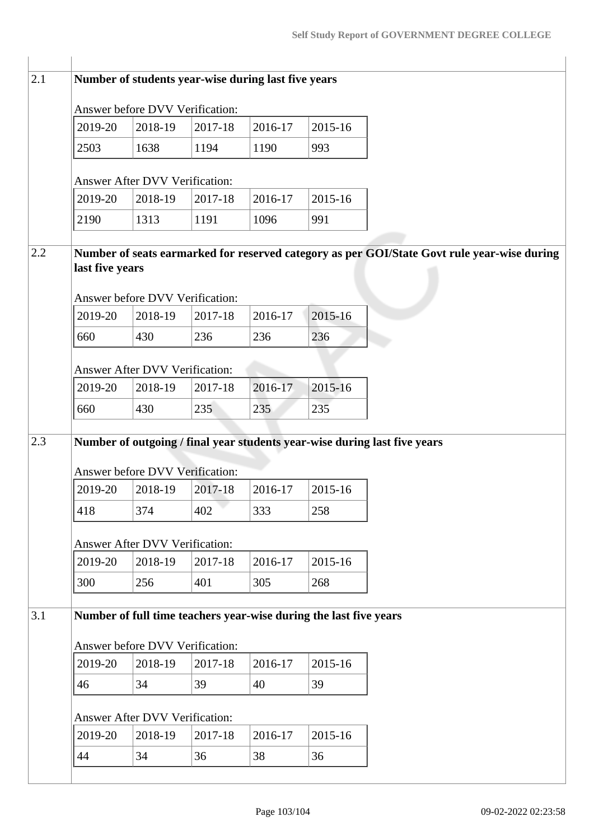|                 |                                            |         | Number of students year-wise during last five years |                                                                                             |
|-----------------|--------------------------------------------|---------|-----------------------------------------------------|---------------------------------------------------------------------------------------------|
|                 | Answer before DVV Verification:            |         |                                                     |                                                                                             |
| 2019-20         | 2018-19                                    | 2017-18 | 2016-17                                             | 2015-16                                                                                     |
| 2503            | 1638                                       | 1194    | 1190                                                | 993                                                                                         |
|                 |                                            |         |                                                     |                                                                                             |
|                 | Answer After DVV Verification:             |         |                                                     |                                                                                             |
| 2019-20         | 2018-19                                    | 2017-18 | 2016-17                                             | 2015-16                                                                                     |
| 2190            | 1313                                       | 1191    | 1096                                                | 991                                                                                         |
| last five years |                                            |         |                                                     | Number of seats earmarked for reserved category as per GOI/State Govt rule year-wise during |
|                 | Answer before DVV Verification:            |         |                                                     |                                                                                             |
| 2019-20         | 2018-19                                    | 2017-18 | 2016-17                                             | 2015-16                                                                                     |
| 660             | 430                                        | 236     | 236                                                 | 236                                                                                         |
|                 | Answer After DVV Verification:             |         |                                                     |                                                                                             |
| 2019-20         | 2018-19                                    | 2017-18 | 2016-17                                             | 2015-16                                                                                     |
|                 |                                            |         |                                                     |                                                                                             |
|                 |                                            |         |                                                     |                                                                                             |
| 660             | 430                                        | 235     | 235                                                 | 235                                                                                         |
|                 | Answer before DVV Verification:            |         |                                                     | Number of outgoing / final year students year-wise during last five years                   |
| 2019-20         | 2018-19                                    | 2017-18 | 2016-17                                             | 2015-16                                                                                     |
| 418             | 374                                        | 402     | 333                                                 | 258                                                                                         |
|                 |                                            |         |                                                     |                                                                                             |
|                 | Answer After DVV Verification:             |         |                                                     |                                                                                             |
| 2019-20         | 2018-19                                    | 2017-18 | 2016-17                                             | 2015-16                                                                                     |
| 300             | 256                                        | 401     | 305                                                 | 268                                                                                         |
|                 |                                            |         |                                                     | Number of full time teachers year-wise during the last five years                           |
| 2019-20         | Answer before DVV Verification:<br>2018-19 | 2017-18 | 2016-17                                             | 2015-16                                                                                     |
|                 |                                            |         |                                                     |                                                                                             |
| 46              | 34                                         | 39      | 40                                                  | 39                                                                                          |
|                 | Answer After DVV Verification:             |         |                                                     |                                                                                             |
| 2019-20         | 2018-19                                    | 2017-18 | 2016-17                                             | 2015-16                                                                                     |